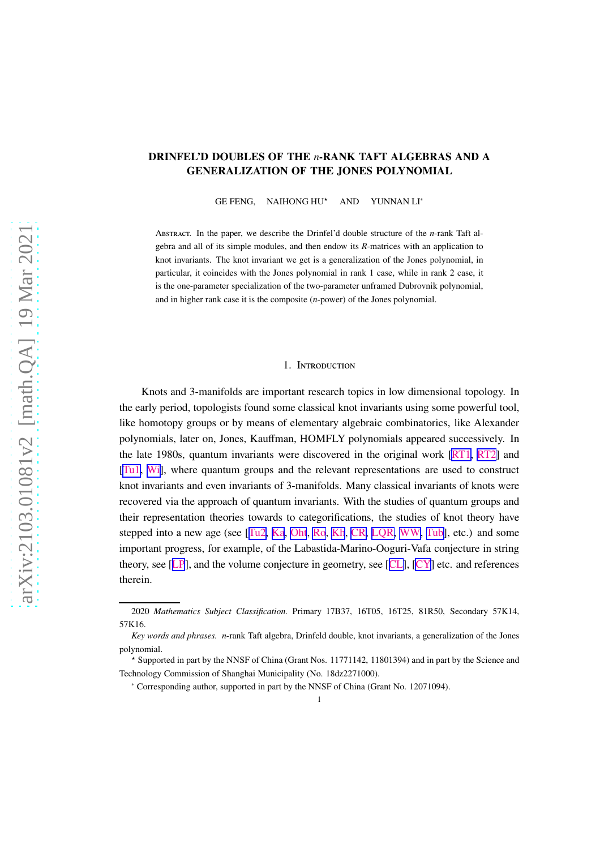## <span id="page-0-0"></span>DRINFEL'D DOUBLES OF THE *n*-RANK TAFT ALGEBRAS AND A GENERALIZATION OF THE JONES POLYNOMIAL

GE FENG, NAIHONG HU<sup>★</sup> AND YUNNAN LI<sup>∗</sup>

Abstract. In the paper, we describe the Drinfel'd double structure of the *n*-rank Taft algebra and all of its simple modules, and then endow its *R*-matrices with an application to knot invariants. The knot invariant we get is a generalization of the Jones polynomial, in particular, it coincides with the Jones polynomial in rank 1 case, while in rank 2 case, it is the one-parameter specialization of the two-parameter unframed Dubrovnik polynomial, and in higher rank case it is the composite (*n*-power) of the Jones polynomial.

#### 1. Introduction

Knots and 3-manifolds are important research topics in low dimensional topology. In the early period, topologists found some classical knot invariants using some powerful tool, like homotopy groups or by means of elementary algebraic combinatorics, like Alexander polynomials, later on, Jones, Kauffman, HOMFLY polynomials appeared successively. In the late 1980s, quantum invariants were discovered in the original work [\[RT1,](#page-33-0) [RT2](#page-34-0)] and [[Tu1](#page-34-0), [Wi\]](#page-34-0), where quantum groups and the relevant representations are used to construct knot invariants and even invariants of 3-manifolds. Many classical invariants of knots were recovered via the approach of quantum invariants. With the studies of quantum groups and their representation theories towards to categorifications, the studies of knot theory have stepped into a new age (see [[Tu2,](#page-34-0) [Ka](#page-33-0), [Oht](#page-33-0), [Ro](#page-34-0), [Kh](#page-33-0), [CR,](#page-32-0) [LQR,](#page-33-0) [WW,](#page-34-0) [Tub\]](#page-34-0), etc.) and some important progress, for example, of the Labastida-Marino-Ooguri-Vafa conjecture in string theory, see [[LP](#page-33-0)], and the volume conjecture in geometry, see [[CL\]](#page-32-0), [\[CY](#page-32-0)] etc. and references therein.

<sup>2020</sup> *Mathematics Subject Classification.* Primary 17B37, 16T05, 16T25, 81R50, Secondary 57K14, 57K16.

*Key words and phrases. n*-rank Taft algebra, Drinfeld double, knot invariants, a generalization of the Jones polynomial.

<sup>⋆</sup> Supported in part by the NNSF of China (Grant Nos. 11771142, 11801394) and in part by the Science and Technology Commission of Shanghai Municipality (No. 18dz2271000).

<sup>∗</sup> Corresponding author, supported in part by the NNSF of China (Grant No. 12071094).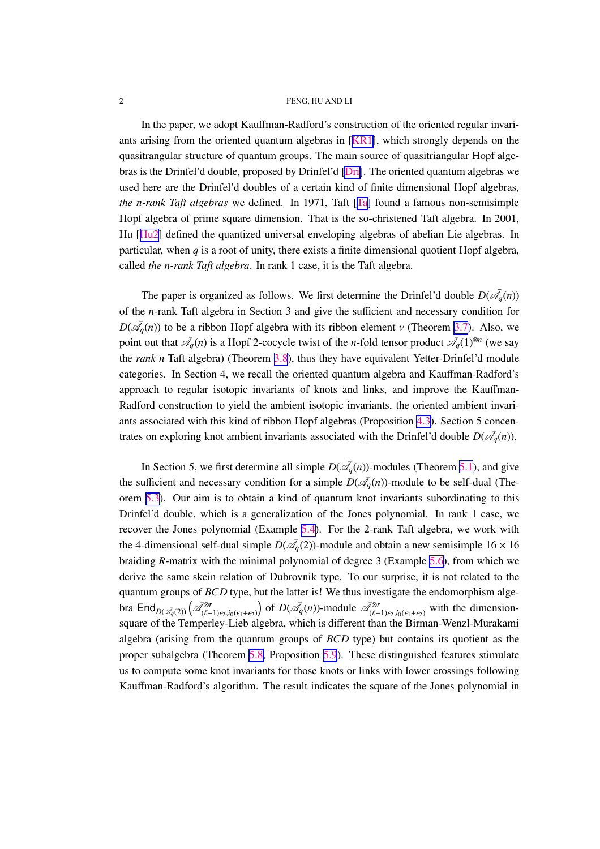<span id="page-1-0"></span>In the paper, we adopt Kauffman-Radford's construction of the oriented regular invariants arising from the oriented quantum algebras in [[KR1\]](#page-33-0), which strongly depends on the quasitrangular structure of quantum groups. The main source of quasitriangular Hopf algebras is the Drinfel'd double, proposed by Drinfel'd [\[Dri\]](#page-32-0). The oriented quantum algebras we used here are the Drinfel'd doubles of a certain kind of finite dimensional Hopf algebras, *the n-rank Taft algebras* we defined. In 1971, Taft [[Ta\]](#page-34-0) found a famous non-semisimple Hopf algebra of prime square dimension. That is the so-christened Taft algebra. In 2001, Hu [[Hu2](#page-33-0)] defined the quantized universal enveloping algebras of abelian Lie algebras. In particular, when  $q$  is a root of unity, there exists a finite dimensional quotient Hopf algebra, called *the n-rank Taft algebra*. In rank 1 case, it is the Taft algebra.

The paper is organized as follows. We first determine the Drinfel'd double  $D(\bar{\mathscr{A}}_q(n))$ of the *n*-rank Taft algebra in Section 3 and give the sufficient and necessary condition for  $D(\bar{\mathcal{A}}_q(n))$  to be a ribbon Hopf algebra with its ribbon element  $\nu$  (Theorem [3.7](#page-10-0)). Also, we point out that  $\bar{\mathcal{A}}_q(n)$  is a Hopf 2-cocycle twist of the *n*-fold tensor product  $\bar{\mathcal{A}}_q(1)^{\otimes n}$  (we say the *rank n* Taft algebra) (Theorem [3.8](#page-12-0)), thus they have equivalent Yetter-Drinfel'd module categories. In Section 4, we recall the oriented quantum algebra and Kauffman-Radford's approach to regular isotopic invariants of knots and links, and improve the Kauffman-Radford construction to yield the ambient isotopic invariants, the oriented ambient invariants associated with this kind of ribbon Hopf algebras (Proposition [4.3\)](#page-18-0). Section 5 concentrates on exploring knot ambient invariants associated with the Drinfel'd double  $D(\bar{\mathscr{A}}_q(n))$ .

In Section 5, we first determine all simple  $D(\bar{\mathscr{A}}_q(n))$ -modules (Theorem [5.1](#page-20-0)), and give the sufficient and necessary condition for a simple  $D(\bar{\mathcal{A}}_q(n))$ -module to be self-dual (Theorem [5.3](#page-22-0)). Our aim is to obtain a kind of quantum knot invariants subordinating to this Drinfel'd double, which is a generalization of the Jones polynomial. In rank 1 case, we recover the Jones polynomial (Example [5.4\)](#page-23-0). For the 2-rank Taft algebra, we work with the 4-dimensional self-dual simple  $D(\bar{\mathcal{A}}_q(2))$ -module and obtain a new semisimple  $16 \times 16$ braiding *R*-matrix with the minimal polynomial of degree 3 (Example [5.6\)](#page-25-0), from which we derive the same skein relation of Dubrovnik type. To our surprise, it is not related to the quantum groups of *BCD* type, but the latter is! We thus investigate the endomorphism algebra  $\text{End}_{D(\mathscr{A}_q(2))}\left(\mathscr{A}_{(\ell-1)\epsilon_2,i_0(\epsilon_1+\epsilon_2)}^{\otimes r}\right)$  of  $D(\mathscr{A}_q(n))$ -module  $\mathscr{A}_{(\ell-1)\epsilon_2,i_0(\epsilon_1+\epsilon_2)}^{\otimes r}$  with the dimensionsquare of the Temperley-Lieb algebra, which is different than the Birman-Wenzl-Murakami algebra (arising from the quantum groups of *BCD* type) but contains its quotient as the proper subalgebra (Theorem [5.8,](#page-29-0) Proposition [5.9](#page-30-0)). These distinguished features stimulate us to compute some knot invariants for those knots or links with lower crossings following Kauffman-Radford's algorithm. The result indicates the square of the Jones polynomial in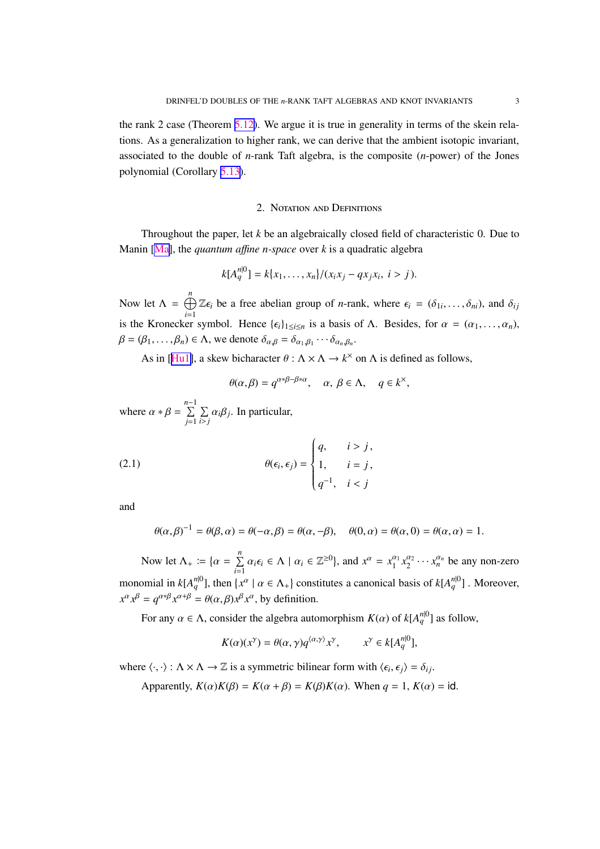<span id="page-2-0"></span>the rank 2 case (Theorem [5.12\)](#page-31-0). We argue it is true in generality in terms of the skein relations. As a generalization to higher rank, we can derive that the ambient isotopic invariant, associated to the double of *n*-rank Taft algebra, is the composite (*n*-power) of the Jones polynomial (Corollary [5.13\)](#page-32-0).

### 2. Notation and Definitions

Throughout the paper, let *k* be an algebraically closed field of characteristic 0. Due to Manin [\[Ma\]](#page-33-0), the *quantum a*ffi*ne n-space* over *k* is a quadratic algebra

$$
k[A_q^{n|0}] = k\{x_1, \ldots, x_n\}/(x_ix_j - qx_jx_i, i > j).
$$

Now let  $\Lambda = \bigoplus_{n=1}^{n}$ *i*=1  $\mathbb{Z}\epsilon_i$  be a free abelian group of *n*-rank, where  $\epsilon_i = (\delta_{1i}, \dots, \delta_{ni})$ , and  $\delta_{ij}$ is the Kronecker symbol. Hence  $\{\epsilon_i\}_{1\leq i\leq n}$  is a basis of  $\Lambda$ . Besides, for  $\alpha = (\alpha_1, \dots, \alpha_n)$ ,  $\beta = (\beta_1, ..., \beta_n) \in \Lambda$ , we denote  $\delta_{\alpha,\beta} = \delta_{\alpha_1,\beta_1} \cdots \delta_{\alpha_n,\beta_n}$ .

As in [[Hu1\]](#page-33-0), a skew bicharacter  $\theta$  :  $\Lambda \times \Lambda \to k^{\times}$  on  $\Lambda$  is defined as follows,

$$
\theta(\alpha,\beta) = q^{\alpha*\beta-\beta*\alpha}, \quad \alpha, \beta \in \Lambda, \quad q \in k^{\times},
$$

where  $\alpha * \beta = \sum_{i=1}^{n-1}$ *j*=1  $\Sigma$  $\sum_{i>j} \alpha_i \beta_j$ . In particular,

(2.1) 
$$
\theta(\epsilon_i, \epsilon_j) = \begin{cases} q, & i > j, \\ 1, & i = j, \\ q^{-1}, & i < j \end{cases}
$$

and

$$
\theta(\alpha,\beta)^{-1} = \theta(\beta,\alpha) = \theta(-\alpha,\beta) = \theta(\alpha,-\beta), \quad \theta(0,\alpha) = \theta(\alpha,0) = \theta(\alpha,\alpha) = 1.
$$

Now let  $\Lambda_+ := \{ \alpha = \sum^n \}$  $\sum_{i=1}^{n} \alpha_i \epsilon_i \in \Lambda \mid \alpha_i \in \mathbb{Z}^{\geq 0}$ , and  $x^{\alpha} = x_1^{\alpha_1}$  $\frac{\alpha_1}{1} x_2^{\alpha_2}$  $\frac{\alpha_2}{2} \cdots \hat{x}_n^{\alpha_n}$  be any non-zero monomial in  $k[A_q^{n|0}]$ , then  $\{x^\alpha \mid \alpha \in \Lambda_+\}$  constitutes a canonical basis of  $k[A_q^{n|0}]$ . Moreover,  $x^{\alpha} x^{\beta} = q^{\alpha * \beta} x^{\alpha + \beta} = \theta(\alpha, \beta) x^{\beta} x^{\alpha}$ , by definition.

For any  $\alpha \in \Lambda$ , consider the algebra automorphism  $K(\alpha)$  of  $k[A_q^{n|0}]$  as follow,

$$
K(\alpha)(x^{\gamma}) = \theta(\alpha, \gamma) q^{\langle \alpha, \gamma \rangle} x^{\gamma}, \qquad x^{\gamma} \in k[A_q^{n|0}],
$$

where  $\langle \cdot, \cdot \rangle : \Lambda \times \Lambda \to \mathbb{Z}$  is a symmetric bilinear form with  $\langle \epsilon_i, \epsilon_j \rangle = \delta_{ij}$ .

Apparently,  $K(\alpha)K(\beta) = K(\alpha + \beta) = K(\beta)K(\alpha)$ . When  $q = 1$ ,  $K(\alpha) = id$ .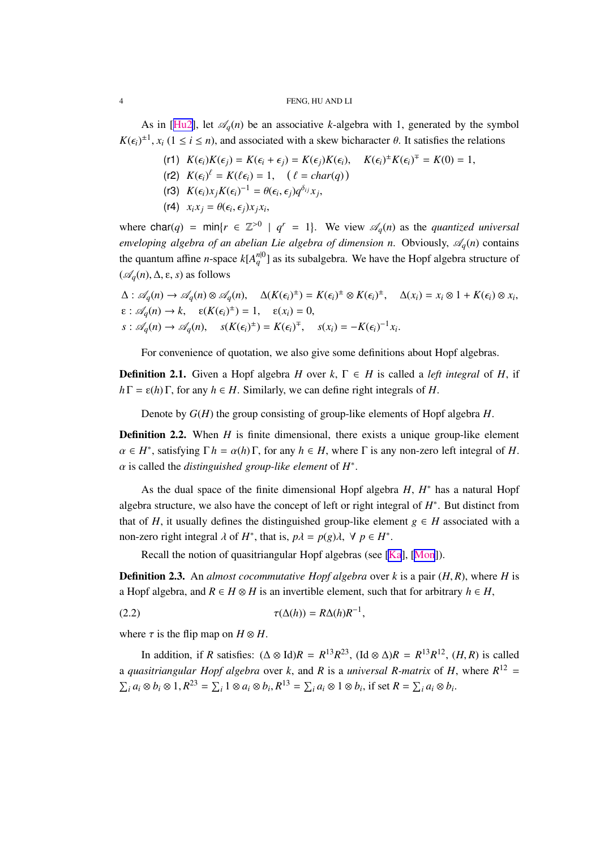As in [[Hu2\]](#page-33-0), let  $\mathcal{A}_q(n)$  be an associative *k*-algebra with 1, generated by the symbol  $K(\epsilon_i)^{\pm 1}$ ,  $x_i$  ( $1 \le i \le n$ ), and associated with a skew bicharacter  $\theta$ . It satisfies the relations

- $K(\epsilon_i)K(\epsilon_j) = K(\epsilon_i + \epsilon_j) = K(\epsilon_j)K(\epsilon_i), \quad K(\epsilon_i)^{\pm}K(\epsilon_i)^{\mp} = K(0) = 1,$
- $(K(2) \ K(\epsilon_i)^{\ell} = K(\ell \epsilon_i) = 1, \quad (\ell = char(q))$
- (r3)  $K(\epsilon_i) x_j K(\epsilon_i)^{-1} = \theta(\epsilon_i, \epsilon_j) q^{\delta_{ij}} x_j$ ,
- $(x4)$   $x_i x_j = \theta(\epsilon_i, \epsilon_j) x_j x_i$

where  $char(q) = min\{r \in \mathbb{Z}^{>0} \mid q^r = 1\}$ . We view  $\mathcal{A}_q(n)$  as the *quantized universal enveloping algebra of an abelian Lie algebra of dimension n. Obviously,*  $\mathscr{A}_a(n)$  contains the quantum affine *n*-space  $k[A_q^{n|0}]$  as its subalgebra. We have the Hopf algebra structure of  $({\mathscr{A}}_q(n), \Delta, \varepsilon, s)$  as follows

$$
\Delta: \mathscr{A}_q(n) \to \mathscr{A}_q(n) \otimes \mathscr{A}_q(n), \quad \Delta(K(\epsilon_i)^{\pm}) = K(\epsilon_i)^{\pm} \otimes K(\epsilon_i)^{\pm}, \quad \Delta(x_i) = x_i \otimes 1 + K(\epsilon_i) \otimes x_i,
$$
  
\n
$$
\epsilon: \mathscr{A}_q(n) \to k, \quad \epsilon(K(\epsilon_i)^{\pm}) = 1, \quad \epsilon(x_i) = 0,
$$
  
\n
$$
s: \mathscr{A}_q(n) \to \mathscr{A}_q(n), \quad s(K(\epsilon_i)^{\pm}) = K(\epsilon_i)^{\mp}, \quad s(x_i) = -K(\epsilon_i)^{-1}x_i.
$$

For convenience of quotation, we also give some definitions about Hopf algebras.

**Definition 2.1.** Given a Hopf algebra *H* over *k*,  $\Gamma \in H$  is called a *left integral* of *H*, if  $h\Gamma = \varepsilon(h)\Gamma$ , for any  $h \in H$ . Similarly, we can define right integrals of *H*.

Denote by *G*(*H*) the group consisting of group-like elements of Hopf algebra *H*.

**Definition 2.2.** When *H* is finite dimensional, there exists a unique group-like element  $\alpha \in H^*$ , satisfying  $\Gamma h = \alpha(h)\Gamma$ , for any  $h \in H$ , where  $\Gamma$  is any non-zero left integral of *H*. α is called the *distinguished group-like element* of *H* ∗ .

As the dual space of the finite dimensional Hopf algebra *H*, *H* ∗ has a natural Hopf algebra structure, we also have the concept of left or right integral of *H* ∗ . But distinct from that of *H*, it usually defines the distinguished group-like element  $g \in H$  associated with a non-zero right integral  $\lambda$  of  $H^*$ , that is,  $p\lambda = p(g)\lambda$ ,  $\forall p \in H^*$ .

Recall the notion of quasitriangular Hopf algebras (see [\[Ka](#page-33-0)], [[Mon](#page-33-0)]).

Definition 2.3. An *almost cocommutative Hopf algebra* over *k* is a pair (*H*, *R*), where *H* is a Hopf algebra, and  $R \in H \otimes H$  is an invertible element, such that for arbitrary  $h \in H$ ,

$$
\tau(\Delta(h)) = R\Delta(h)R^{-1},
$$

where  $\tau$  is the flip map on  $H \otimes H$ .

In addition, if *R* satisfies:  $(\Delta \otimes \text{Id})R = R^{13}R^{23}$ ,  $(\text{Id} \otimes \Delta)R = R^{13}R^{12}$ ,  $(H, R)$  is called a *quasitriangular Hopf algebra* over *k*, and *R* is a *universal R-matrix* of *H*, where  $R^{12}$  =  $\sum_i a_i \otimes b_i \otimes 1, R^{23} = \sum_i 1 \otimes a_i \otimes b_i, R^{13} = \sum_i a_i \otimes 1 \otimes b_i$ , if set  $R = \sum_i a_i \otimes b_i$ .

<span id="page-3-0"></span>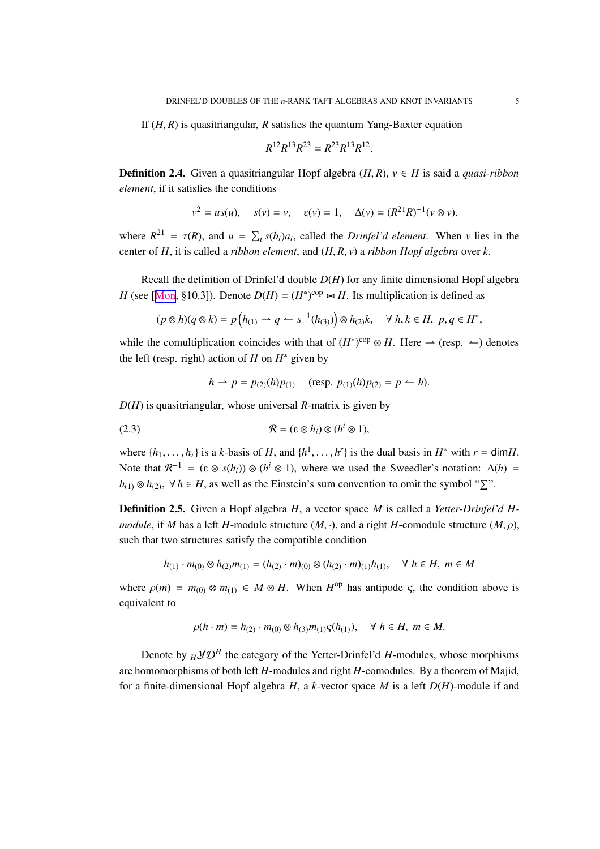<span id="page-4-0"></span>If (*H*, *R*) is quasitriangular, *R* satisfies the quantum Yang-Baxter equation

$$
R^{12}R^{13}R^{23} = R^{23}R^{13}R^{12}.
$$

Definition 2.4. Given a quasitriangular Hopf algebra (*H*, *R*), *v* ∈ *H* is said a *quasi-ribbon element*, if it satisfies the conditions

$$
v^2 = us(u)
$$
,  $s(v) = v$ ,  $\varepsilon(v) = 1$ ,  $\Delta(v) = (R^{21}R)^{-1}(v \otimes v)$ .

where  $R^{21} = \tau(R)$ , and  $u = \sum_i s(b_i)a_i$ , called the *Drinfel'd element*. When *v* lies in the center of *H*, it is called a *ribbon element*, and (*H*, *R*, *v*) a *ribbon Hopf algebra* over *k*.

Recall the definition of Drinfel'd double *D*(*H*) for any finite dimensional Hopf algebra *H* (see [[Mon](#page-33-0), §10.3]). Denote  $D(H) = (H^*)^{\text{cop}} \rightarrow H$ . Its multiplication is defined as

$$
(p \otimes h)(q \otimes k) = p\left(h_{(1)} \rightarrow q \leftarrow s^{-1}(h_{(3)})\right) \otimes h_{(2)}k, \quad \forall \ h, k \in H, \ p, q \in H^*,
$$

while the comultiplication coincides with that of  $(H^*)^{\text{cop}} \otimes H$ . Here  $\rightarrow$  (resp.  $\leftarrow$ ) denotes the left (resp. right) action of *H* on *H* ∗ given by

$$
h \rightarrow p = p_{(2)}(h)p_{(1)}
$$
 (resp.  $p_{(1)}(h)p_{(2)} = p \leftarrow h$ ).

*D*(*H*) is quasitriangular, whose universal *R*-matrix is given by

(2.3) 
$$
\mathcal{R} = (\varepsilon \otimes h_i) \otimes (h^i \otimes 1),
$$

where  $\{h_1, \ldots, h_r\}$  is a *k*-basis of *H*, and  $\{h^1, \ldots, h^r\}$  is the dual basis in  $H^*$  with  $r = \text{dim} H$ . Note that  $\mathcal{R}^{-1} = (\varepsilon \otimes s(h_i)) \otimes (h^i \otimes 1)$ , where we used the Sweedler's notation:  $\Delta(h) =$ *h*<sub>(1)</sub> ⊗ *h*<sub>(2)</sub>, ∀*h* ∈ *H*, as well as the Einstein's sum convention to omit the symbol " $\Sigma$ ".

Definition 2.5. Given a Hopf algebra *H*, a vector space *M* is called a *Yetter-Drinfel'd Hmodule*, if *M* has a left *H*-module structure  $(M, \cdot)$ , and a right *H*-comodule structure  $(M, \rho)$ , such that two structures satisfy the compatible condition

$$
h_{(1)} \cdot m_{(0)} \otimes h_{(2)}m_{(1)} = (h_{(2)} \cdot m)_{(0)} \otimes (h_{(2)} \cdot m)_{(1)}h_{(1)}, \quad \forall \ h \in H, \ m \in M
$$

where  $\rho(m) = m_{(0)} \otimes m_{(1)} \in M \otimes H$ . When  $H^{\text{op}}$  has antipode  $\varsigma$ , the condition above is equivalent to

$$
\rho(h \cdot m) = h_{(2)} \cdot m_{(0)} \otimes h_{(3)} m_{(1)} \varsigma(h_{(1)}), \quad \forall \ h \in H, \ m \in M.
$$

Denote by  $_H\mathcal{YD}^H$  the category of the Yetter-Drinfel'd *H*-modules, whose morphisms are homomorphisms of both left *H*-modules and right *H*-comodules. By a theorem of Majid, for a finite-dimensional Hopf algebra *H*, a *k*-vector space *M* is a left *D*(*H*)-module if and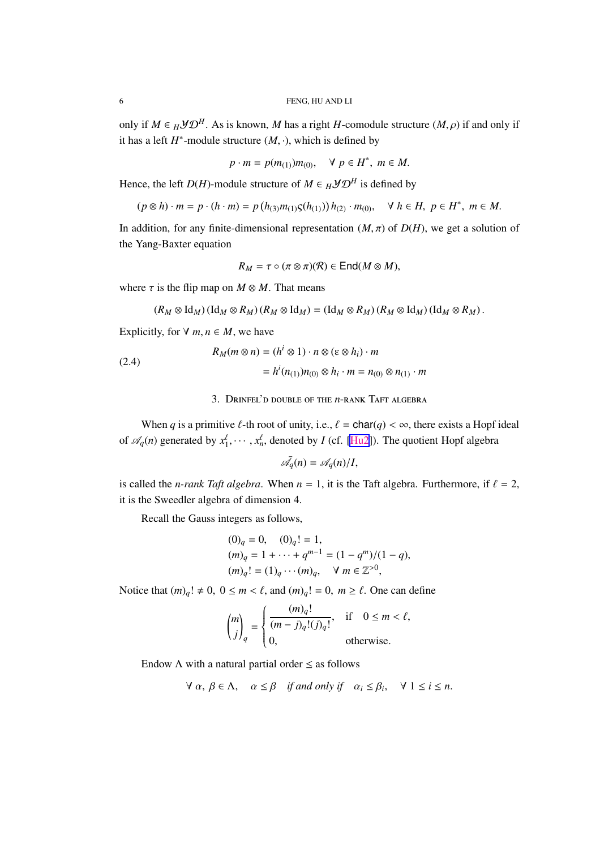<span id="page-5-0"></span>only if  $M \in H \mathcal{YD}^H$ . As is known, *M* has a right *H*-comodule structure  $(M, \rho)$  if and only if it has a left  $H^*$ -module structure  $(M, \cdot)$ , which is defined by

$$
p \cdot m = p(m_{(1)})m_{(0)}, \quad \forall \ p \in H^*, \ m \in M.
$$

Hence, the left *D*(*H*)-module structure of  $M \in H \mathcal{YD}^H$  is defined by

$$
(p \otimes h) \cdot m = p \cdot (h \cdot m) = p(h_{(3)}m_{(1)}S(h_{(1)}))h_{(2)} \cdot m_{(0)}, \quad \forall \ h \in H, \ p \in H^*, \ m \in M.
$$

In addition, for any finite-dimensional representation  $(M, \pi)$  of  $D(H)$ , we get a solution of the Yang-Baxter equation

$$
R_M = \tau \circ (\pi \otimes \pi)(\mathcal{R}) \in \text{End}(M \otimes M),
$$

where  $\tau$  is the flip map on  $M \otimes M$ . That means

$$
(R_M \otimes \text{Id}_M) (\text{Id}_M \otimes R_M) (R_M \otimes \text{Id}_M) = (\text{Id}_M \otimes R_M) (R_M \otimes \text{Id}_M) (\text{Id}_M \otimes R_M).
$$

Explicitly, for  $\forall m, n \in M$ , we have

(2.4)  
\n
$$
R_M(m \otimes n) = (h^i \otimes 1) \cdot n \otimes (\varepsilon \otimes h_i) \cdot m
$$
\n
$$
= h^i(n_{(1)})n_{(0)} \otimes h_i \cdot m = n_{(0)} \otimes n_{(1)} \cdot m
$$

3. Drinfel'd double of the *n*-rank Taft algebra

When *q* is a primitive  $\ell$ -th root of unity, i.e.,  $\ell = \text{char}(q) < \infty$ , there exists a Hopf ideal of  $\mathcal{A}_q(n)$  generated by  $x_1^{\ell}$  $x_1^{\ell}, \dots, x_n^{\ell}$ , denoted by *I* (cf. [\[Hu2](#page-33-0)]). The quotient Hopf algebra

$$
\bar{\mathscr{A}_q}(n) = \mathscr{A}_q(n)/I,
$$

is called the *n-rank Taft algebra*. When  $n = 1$ , it is the Taft algebra. Furthermore, if  $\ell = 2$ , it is the Sweedler algebra of dimension 4.

Recall the Gauss integers as follows,

$$
(0)q = 0, (0)q! = 1,(m)q = 1 + ··· + qm-1 = (1 - qm)/(1 - q),(m)q! = (1)q ··· (m)q,  $\forall$  m  $\in \mathbb{Z}^{>0}$ ,
$$

Notice that  $(m)_q! \neq 0$ ,  $0 \leq m < \ell$ , and  $(m)_q! = 0$ ,  $m \geq \ell$ . One can define

$$
\binom{m}{j}_q = \begin{cases} \frac{(m)_q!}{(m-j)_q!(j)_q!}, & \text{if } 0 \le m < \ell, \\ 0, & \text{otherwise.} \end{cases}
$$

Endow  $\Lambda$  with a natural partial order  $\leq$  as follows

$$
\forall \alpha, \beta \in \Lambda, \quad \alpha \leq \beta \quad \text{if and only if} \quad \alpha_i \leq \beta_i, \quad \forall \ 1 \leq i \leq n.
$$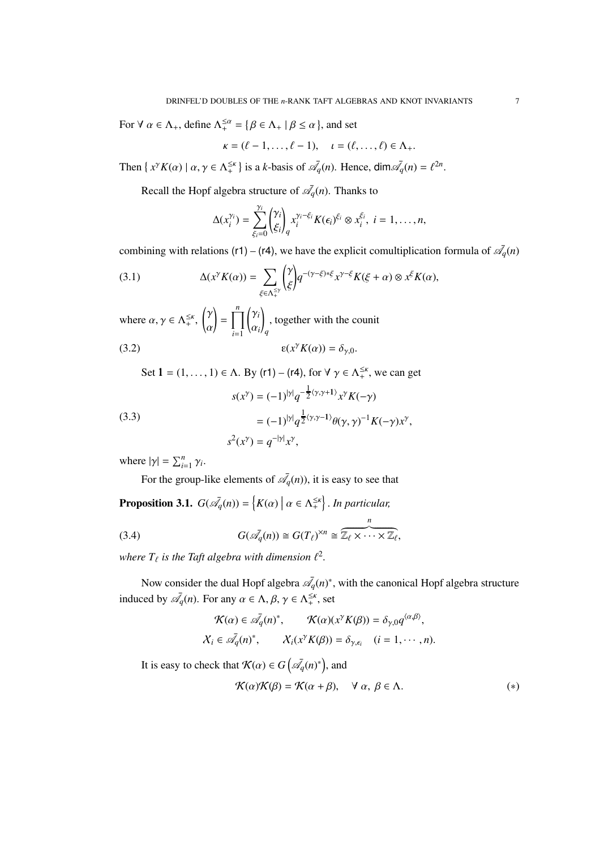<span id="page-6-0"></span>For  $\forall \alpha \in \Lambda_+$ , define  $\Lambda_+^{\leq \alpha} = \{ \beta \in \Lambda_+ \mid \beta \leq \alpha \}$ , and set

$$
\kappa = (\ell - 1, \ldots, \ell - 1), \quad \iota = (\ell, \ldots, \ell) \in \Lambda_+.
$$

Then  $\{x^{\gamma}K(\alpha) \mid \alpha, \gamma \in \Lambda_+^{\leq \kappa}\}$  is a *k*-basis of  $\overline{\mathscr{A}}_q(n)$ . Hence,  $\dim \overline{\mathscr{A}}_q(n) = \ell^{2n}$ .

Recall the Hopf algebra structure of  $\mathcal{A}_q(n)$ . Thanks to

$$
\Delta(x_i^{\gamma_i}) = \sum_{\xi_i=0}^{\gamma_i} {\gamma_i \choose \xi_i}_q x_i^{\gamma_i-\xi_i} K(\epsilon_i)^{\xi_i} \otimes x_i^{\xi_i}, i = 1,\ldots,n,
$$

combining with relations (r1) – (r4), we have the explicit comultiplication formula of  $\mathcal{A}_q(n)$ 

(3.1) 
$$
\Delta(x^{\gamma} K(\alpha)) = \sum_{\xi \in \Lambda_+^{\leq \gamma}} \binom{\gamma}{\xi} q^{-(\gamma - \xi) * \xi} x^{\gamma - \xi} K(\xi + \alpha) \otimes x^{\xi} K(\alpha),
$$

where  $\alpha, \gamma \in \Lambda_+^{\leq \kappa}$ , γ α  $\Big| = \prod^n$ *i*=1  $(y_i$ α*i* ! *q* , together with the counit

(3.2) 
$$
\epsilon(x^{\gamma} K(\alpha)) = \delta_{\gamma,0}.
$$

Set  $1 = (1, \ldots, 1) \in \Lambda$ . By (r1) – (r4), for  $\forall \gamma \in \Lambda_+^{\leq \kappa}$ , we can get

(3.3)  

$$
s(x^{\gamma}) = (-1)^{|\gamma|} q^{-\frac{1}{2} \langle \gamma, \gamma + 1 \rangle} x^{\gamma} K(-\gamma)
$$

$$
= (-1)^{|\gamma|} q^{\frac{1}{2} \langle \gamma, \gamma - 1 \rangle} \theta(\gamma, \gamma)^{-1} K(-\gamma) x^{\gamma},
$$

$$
s^{2}(x^{\gamma}) = q^{-|\gamma|} x^{\gamma},
$$

where  $|\gamma| = \sum_{i=1}^{n} \gamma_i$ .

For the group-like elements of  $\bar{\mathcal{A}}_q(n)$ , it is easy to see that

**Proposition 3.1.**  $G(\bar{\mathscr{A}}_q(n)) = \{K(\alpha) \mid \alpha \in \Lambda_+^{\leq \kappa}\}\$ . In particular,

(3.4) 
$$
G(\bar{\mathscr{A}}_q(n)) \cong G(T_\ell)^{\times n} \cong \overbrace{\mathbb{Z}_\ell \times \cdots \times \mathbb{Z}_\ell}^{n},
$$

where  $T_{\ell}$  is the Taft algebra with dimension  $\ell^2$ .

Now consider the dual Hopf algebra  $\bar{\mathscr{A}}_q(n)^*$ , with the canonical Hopf algebra structure induced by  $\bar{\mathcal{A}}_q(n)$ . For any  $\alpha \in \Lambda$ ,  $\beta$ ,  $\gamma \in \Lambda_+^{\leq \kappa}$ , set

$$
\mathcal{K}(\alpha) \in \bar{\mathscr{A}_q}(n)^*, \qquad \mathcal{K}(\alpha)(x^{\gamma}K(\beta)) = \delta_{\gamma,0}q^{\langle \alpha,\beta \rangle},
$$
  

$$
\mathcal{X}_i \in \bar{\mathscr{A}_q}(n)^*, \qquad \mathcal{X}_i(x^{\gamma}K(\beta)) = \delta_{\gamma,\epsilon_i} \quad (i = 1, \cdots, n).
$$

It is easy to check that  $\mathcal{K}(\alpha) \in G\left(\overline{\mathscr{A}}_q(n)^*\right)$ , and

$$
\mathcal{K}(\alpha)\mathcal{K}(\beta) = \mathcal{K}(\alpha + \beta), \quad \forall \alpha, \beta \in \Lambda.
$$
 (\*)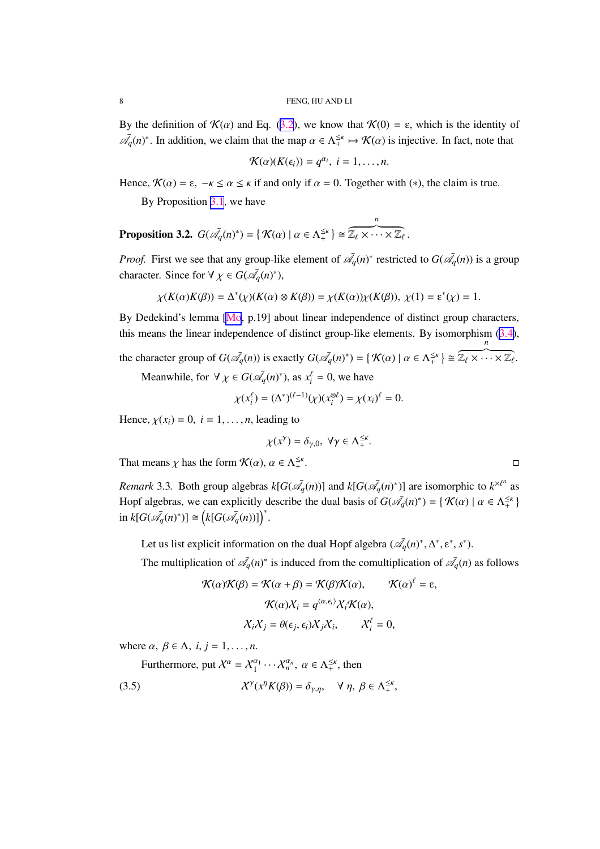<span id="page-7-0"></span>By the definition of  $\mathcal{K}(\alpha)$  and Eq. ([3.2](#page-6-0)), we know that  $\mathcal{K}(0) = \varepsilon$ , which is the identity of  $\bar{\mathcal{A}}_q(n)^*$ . In addition, we claim that the map  $\alpha \in \Lambda_+^{\leq \kappa} \mapsto \mathcal{K}(\alpha)$  is injective. In fact, note that

$$
\mathcal{K}(\alpha)(K(\epsilon_i))=q^{\alpha_i},\ i=1,\ldots,n.
$$

Hence,  $\mathcal{K}(\alpha) = \varepsilon$ ,  $-\kappa \leq \alpha \leq \kappa$  if and only if  $\alpha = 0$ . Together with (\*), the claim is true.

By Proposition [3.1](#page-6-0), we have

**Proposition 3.2.** 
$$
G(\overline{\mathscr{A}}_q(n)^*) = \{ \mathcal{K}(\alpha) \mid \alpha \in \Lambda_+^{\leq \kappa} \} \cong \overline{\mathbb{Z}_{\ell} \times \cdots \times \mathbb{Z}_{\ell}}.
$$

*Proof.* First we see that any group-like element of  $\bar{\mathscr{A}}_q(n)^*$  restricted to  $G(\bar{\mathscr{A}}_q(n))$  is a group character. Since for  $\forall \chi \in G(\bar{\mathcal{A}}_q(n)^*)$ ,

$$
\chi(K(\alpha)K(\beta))=\Delta^*(\chi)(K(\alpha)\otimes K(\beta))=\chi(K(\alpha))\chi(K(\beta)),\ \chi(1)=\epsilon^*(\chi)=1.
$$

By Dedekind's lemma [\[Mo](#page-33-0), p.19] about linear independence of distinct group characters, this means the linear independence of distinct group-like elements. By isomorphism [\(3.4\)](#page-6-0),

the character group of  $G(\overline{\mathcal{A}}_q(n))$  is exactly  $G(\overline{\mathcal{A}}_q(n)^*) = \{ \mathcal{K}(\alpha) \mid \alpha \in \Lambda_+^{\leq \kappa} \} \cong$  $\overbrace{\mathbb{Z}_\ell \times \cdots \times \mathbb{Z}_\ell}^n$ .

Meanwhile, for  $\forall \chi \in G(\bar{\mathcal{A}}_q(n)^*)$ , as  $x_i^{\ell} = 0$ , we have

$$
\chi(x_i^{\ell}) = (\Delta^*)^{(\ell-1)}(\chi)(x_i^{\otimes \ell}) = \chi(x_i)^{\ell} = 0.
$$

Hence,  $\chi(x_i) = 0$ ,  $i = 1, \ldots, n$ , leading to

$$
\chi(x^\gamma)=\delta_{\gamma,0},\ \forall \gamma\in \Lambda_+^{\leq\kappa}.
$$

That means  $\chi$  has the form  $\mathcal{K}(\alpha)$ ,  $\alpha \in \Lambda_+^{\leq \kappa}$ 

*Remark* 3.3. Both group algebras  $k[G(\bar{\mathcal{A}}_q(n))]$  and  $k[G(\bar{\mathcal{A}}_q(n)^*)]$  are isomorphic to  $k^{\times l^n}$  as Hopf algebras, we can explicitly describe the dual basis of  $G(\overline{\mathcal{A}}_q(n)^*) = \{ \mathcal{K}(\alpha) \mid \alpha \in \Lambda_+^{\leq \kappa} \}$  $\text{in } k[G(\bar{\mathscr{A}}_q(n)^*)] \cong (k[G(\bar{\mathscr{A}}_q(n))] )^*.$ 

Let us list explicit information on the dual Hopf algebra  $(\bar{\mathscr{A}}_q(n)^*, \Delta^*, \varepsilon^*, s^*)$ .

The multiplication of  $\mathcal{A}_q(n)^*$  is induced from the comultiplication of  $\mathcal{A}_q(n)$  as follows

$$
\mathcal{K}(\alpha)\mathcal{K}(\beta) = \mathcal{K}(\alpha + \beta) = \mathcal{K}(\beta)\mathcal{K}(\alpha), \qquad \mathcal{K}(\alpha)^{\ell} = \varepsilon,
$$

$$
\mathcal{K}(\alpha)\mathcal{X}_i = q^{\langle \alpha, \epsilon_i \rangle} \mathcal{X}_i \mathcal{K}(\alpha),
$$

$$
\mathcal{X}_i \mathcal{X}_j = \theta(\epsilon_j, \epsilon_i) \mathcal{X}_j \mathcal{X}_i, \qquad \mathcal{X}_i^{\ell} = 0,
$$

where  $\alpha$ ,  $\beta \in \Lambda$ ,  $i, j = 1, \ldots, n$ .

Furthermore, put  $X^{\alpha} = X_1^{\alpha_1}$  $\alpha_1^{a_1} \cdots \alpha_n^{a_n}$ ,  $\alpha \in \Lambda_+^{\leq \kappa}$ , then

(3.5) 
$$
\chi^{\gamma}(x^{\eta}K(\beta)) = \delta_{\gamma,\eta}, \quad \forall \eta, \beta \in \Lambda_{+}^{\leq \kappa},
$$

.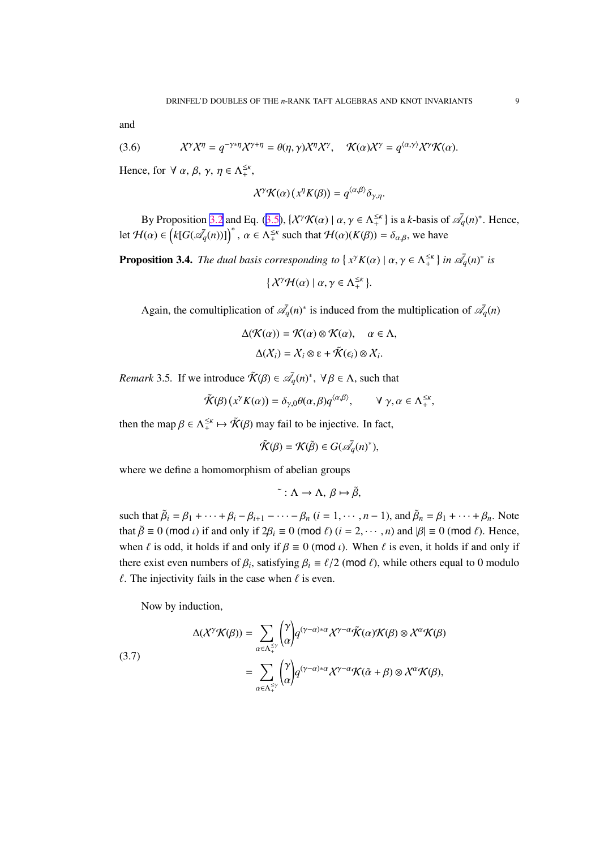<span id="page-8-0"></span>and

(3.6) 
$$
\mathcal{X}^{\gamma}\mathcal{X}^{\eta} = q^{-\gamma*\eta}\mathcal{X}^{\gamma+\eta} = \theta(\eta,\gamma)\mathcal{X}^{\eta}\mathcal{X}^{\gamma}, \quad \mathcal{K}(\alpha)\mathcal{X}^{\gamma} = q^{\langle \alpha,\gamma \rangle}\mathcal{X}^{\gamma}\mathcal{K}(\alpha).
$$

Hence, for  $\forall \alpha, \beta, \gamma, \eta \in \Lambda_+^{\leq \kappa}$ ,

$$
\mathcal{X}^{\gamma}\mathcal{K}(\alpha)\left(x^{\eta}K(\beta)\right)=q^{\langle\alpha,\beta\rangle}\delta_{\gamma,\eta}.
$$

By Proposition [3.2](#page-7-0) and Eq. ([3.5](#page-7-0)),  $\{X^{\gamma}\mathcal{K}(\alpha) \mid \alpha, \gamma \in \Lambda_{+}^{\leq \kappa} \}$  is a *k*-basis of  $\overline{\mathscr{A}}_q(n)^*$ . Hence, let  $\mathcal{H}(\alpha) \in (k[G(\bar{\mathcal{A}}_q(n))] )^*$ ,  $\alpha \in \Lambda_+^{\leq \kappa}$  such that  $\mathcal{H}(\alpha)(K(\beta)) = \delta_{\alpha,\beta}$ , we have

**Proposition 3.4.** *The dual basis corresponding to*  $\{x^{\gamma}K(\alpha) | \alpha, \gamma \in \Lambda_{+}^{\leq \kappa}\}\$ in  $\mathcal{A}_q(n)^*$  is

$$
\{X^{\gamma} \mathcal{H}(\alpha) \mid \alpha, \gamma \in \Lambda_+^{\leq \kappa}\}.
$$

Again, the comultiplication of  $\mathscr{A}_q(n)^*$  is induced from the multiplication of  $\mathscr{A}_q(n)$ 

$$
\Delta(\mathcal{K}(\alpha)) = \mathcal{K}(\alpha) \otimes \mathcal{K}(\alpha), \quad \alpha \in \Lambda,
$$
  

$$
\Delta(\mathcal{X}_i) = \mathcal{X}_i \otimes \varepsilon + \tilde{\mathcal{K}}(\epsilon_i) \otimes \mathcal{X}_i.
$$

*Remark* 3.5. If we introduce  $\tilde{\mathcal{K}}(\beta) \in \bar{\mathcal{A}}_q(n)^*$ ,  $\forall \beta \in \Lambda$ , such that

$$
\tilde{\mathcal{K}}(\beta)(x^{\gamma}K(\alpha)) = \delta_{\gamma,0}\theta(\alpha,\beta)q^{\langle\alpha,\beta\rangle}, \qquad \forall \gamma, \alpha \in \Lambda_+^{\leq \kappa},
$$

then the map  $\beta \in \Lambda_+^{\leq \kappa} \mapsto \tilde{\mathcal{K}}(\beta)$  may fail to be injective. In fact,

$$
\tilde{\mathcal{K}}(\beta)=\mathcal{K}(\tilde{\beta})\in G(\bar{\mathscr{A}_q}(n)^*),
$$

where we define a homomorphism of abelian groups

$$
\tilde{\cdot} : \Lambda \to \Lambda, \, \beta \mapsto \tilde{\beta},
$$

such that  $\tilde{\beta}_i = \beta_1 + \cdots + \beta_i - \beta_{i+1} - \cdots - \beta_n$   $(i = 1, \dots, n-1)$ , and  $\tilde{\beta}_n = \beta_1 + \cdots + \beta_n$ . Note that  $\tilde{\beta} \equiv 0 \pmod{l}$  if and only if  $2\beta_i \equiv 0 \pmod{l}$  ( $i = 2, \dots, n$ ) and  $|\beta| \equiv 0 \pmod{l}$ . Hence, when  $\ell$  is odd, it holds if and only if  $\beta \equiv 0 \pmod{l}$ . When  $\ell$  is even, it holds if and only if there exist even numbers of  $\beta_i$ , satisfying  $\beta_i \equiv \ell/2$  (mod  $\ell$ ), while others equal to 0 modulo  $\ell$ . The injectivity fails in the case when  $\ell$  is even.

Now by induction,

(3.7)  
\n
$$
\Delta(\mathcal{X}^{\gamma}\mathcal{K}(\beta)) = \sum_{\alpha \in \Lambda_{+}^{\leq \gamma}} \binom{\gamma}{\alpha} q^{(\gamma-\alpha)*\alpha} \mathcal{X}^{\gamma-\alpha} \tilde{\mathcal{K}}(\alpha) \mathcal{K}(\beta) \otimes \mathcal{X}^{\alpha} \mathcal{K}(\beta)
$$
\n
$$
= \sum_{\alpha \in \Lambda_{+}^{\leq \gamma}} \binom{\gamma}{\alpha} q^{(\gamma-\alpha)*\alpha} \mathcal{X}^{\gamma-\alpha} \mathcal{K}(\tilde{\alpha}+\beta) \otimes \mathcal{X}^{\alpha} \mathcal{K}(\beta),
$$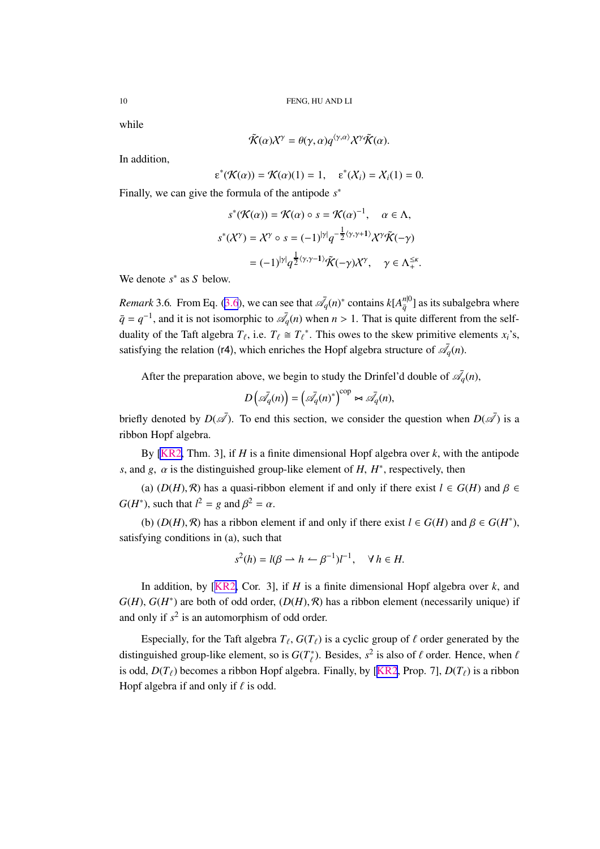while

$$
\tilde{\mathcal{K}}(\alpha)X^{\gamma} = \theta(\gamma, \alpha)q^{\langle \gamma, \alpha \rangle}X^{\gamma}\tilde{\mathcal{K}}(\alpha).
$$

In addition,

$$
\varepsilon^*(\mathcal{K}(\alpha)) = \mathcal{K}(\alpha)(1) = 1, \quad \varepsilon^*(\mathcal{X}_i) = \mathcal{X}_i(1) = 0.
$$

Finally, we can give the formula of the antipode *s* ∗

$$
s^*(\mathcal{K}(\alpha)) = \mathcal{K}(\alpha) \circ s = \mathcal{K}(\alpha)^{-1}, \quad \alpha \in \Lambda,
$$
  

$$
s^*(\mathcal{X}^{\gamma}) = \mathcal{X}^{\gamma} \circ s = (-1)^{|\gamma|} q^{-\frac{1}{2} \langle \gamma, \gamma + 1 \rangle} \mathcal{X}^{\gamma} \tilde{\mathcal{K}}(-\gamma)
$$
  

$$
= (-1)^{|\gamma|} q^{\frac{1}{2} \langle \gamma, \gamma - 1 \rangle} \tilde{\mathcal{K}}(-\gamma) \mathcal{X}^{\gamma}, \quad \gamma \in \Lambda_{+}^{\leq \kappa}.
$$

We denote *s* ∗ as *S* below.

*Remark* [3.6](#page-8-0). From Eq. (3.6), we can see that  $\bar{\mathcal{A}}_q(n)^*$  contains  $k[A_{\bar{q}}^{n|0}]$  as its subalgebra where  $\bar{q} = q^{-1}$ , and it is not isomorphic to  $\bar{\mathcal{A}}_q(n)$  when  $n > 1$ . That is quite different from the selfduality of the Taft algebra  $T_{\ell}$ , i.e.  $T_{\ell} \cong T_{\ell}^*$ . This owes to the skew primitive elements  $x_i$ 's, satisfying the relation (r4), which enriches the Hopf algebra structure of  $\mathscr{A}_q(n)$ .

After the preparation above, we begin to study the Drinfel'd double of  $\bar{\mathcal{A}}_q(n)$ ,

$$
D\left(\bar{\mathscr{A}_q}(n)\right) = \left(\bar{\mathscr{A}_q}(n)^*\right)^{\text{cop}} \bowtie \bar{\mathscr{A}_q}(n),
$$

briefly denoted by  $D(\overline{\mathscr{A}})$ . To end this section, we consider the question when  $D(\overline{\mathscr{A}})$  is a ribbon Hopf algebra.

By [\[KR2,](#page-33-0) Thm. 3], if *H* is a finite dimensional Hopf algebra over *k*, with the antipode *s*, and *g*,  $\alpha$  is the distinguished group-like element of *H*,  $H^*$ , respectively, then

(a)  $(D(H), \mathcal{R})$  has a quasi-ribbon element if and only if there exist  $l \in G(H)$  and  $\beta \in$ *G*(*H*<sup>\*</sup>), such that  $l^2 = g$  and  $\beta^2 = \alpha$ .

(b)  $(D(H), \mathcal{R})$  has a ribbon element if and only if there exist  $l \in G(H)$  and  $\beta \in G(H^*)$ , satisfying conditions in (a), such that

$$
s^{2}(h) = l(\beta \to h \leftarrow \beta^{-1})l^{-1}, \quad \forall \, h \in H.
$$

In addition, by [[KR2,](#page-33-0) Cor. 3], if *H* is a finite dimensional Hopf algebra over *k*, and  $G(H)$ ,  $G(H^*)$  are both of odd order,  $(D(H), \mathcal{R})$  has a ribbon element (necessarily unique) if and only if  $s^2$  is an automorphism of odd order.

Especially, for the Taft algebra  $T_{\ell}$ ,  $G(T_{\ell})$  is a cyclic group of  $\ell$  order generated by the distinguished group-like element, so is  $G(T^*_{\ell})$ . Besides,  $s^2$  is also of  $\ell$  order. Hence, when  $\ell$ is odd,  $D(T_\ell)$  becomes a ribbon Hopf algebra. Finally, by [[KR2](#page-33-0), Prop. 7],  $D(T_\ell)$  is a ribbon Hopf algebra if and only if  $\ell$  is odd.

<span id="page-9-0"></span>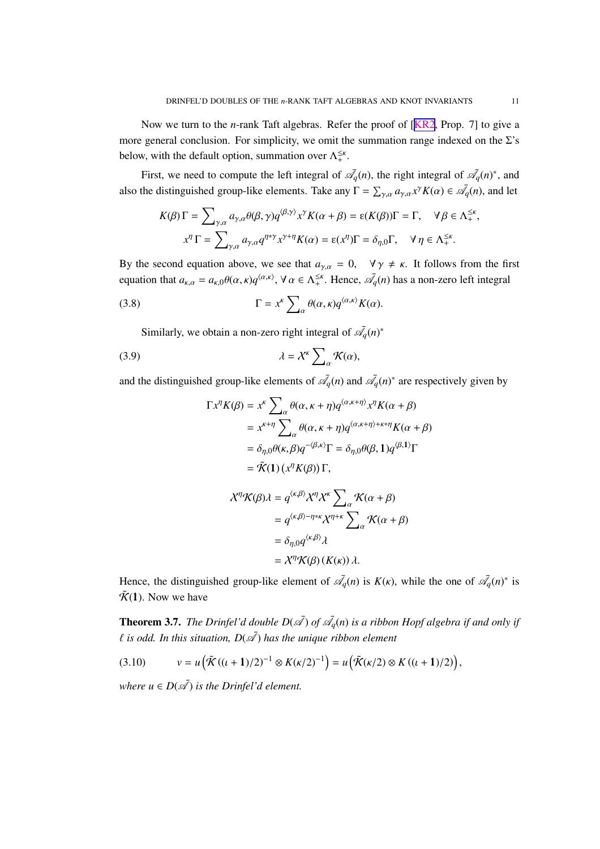,

<span id="page-10-0"></span>Now we turn to the *n*-rank Taft algebras. Refer the proof of [[KR2](#page-33-0), Prop. 7] to give a more general conclusion. For simplicity, we omit the summation range indexed on the  $\Sigma$ 's below, with the default option, summation over  $\Lambda_{+}^{\leq \kappa}$ .

First, we need to compute the left integral of  $\mathcal{A}_q(n)$ , the right integral of  $\mathcal{A}_q(n)^*$ , and also the distinguished group-like elements. Take any  $\Gamma = \sum_{\gamma,\alpha} a_{\gamma,\alpha} x^{\gamma} K(\alpha) \in \bar{\mathcal{A}}_q(n)$ , and let

$$
K(\beta)\Gamma = \sum_{\gamma,\alpha} a_{\gamma,\alpha} \theta(\beta,\gamma) q^{\langle \beta,\gamma \rangle} x^{\gamma} K(\alpha+\beta) = \varepsilon(K(\beta))\Gamma = \Gamma, \quad \forall \beta \in \Lambda_{+}^{\leq \kappa}
$$

$$
x^{\eta} \Gamma = \sum_{\gamma,\alpha} a_{\gamma,\alpha} q^{\eta * \gamma} x^{\gamma + \eta} K(\alpha) = \varepsilon(x^{\eta})\Gamma = \delta_{\eta,0}\Gamma, \quad \forall \eta \in \Lambda_{+}^{\leq \kappa}.
$$

By the second equation above, we see that  $a_{\gamma,\alpha} = 0$ ,  $\forall \gamma \neq \kappa$ . It follows from the first equation that  $a_{\kappa,\alpha} = a_{\kappa,0} \theta(\alpha,\kappa) q^{\langle \alpha,\kappa \rangle}, \forall \alpha \in \Lambda^{\leq \kappa}_+$ . Hence,  $\bar{\mathcal{A}}_q(n)$  has a non-zero left integral

(3.8) 
$$
\Gamma = x^k \sum_{\alpha} \theta(\alpha, \kappa) q^{\langle \alpha, \kappa \rangle} K(\alpha).
$$

Similarly, we obtain a non-zero right integral of  $\mathscr{A}_q(n)^*$ 

$$
\lambda = \mathcal{X}^{\kappa} \sum_{\alpha} \mathcal{K}(\alpha),
$$

and the distinguished group-like elements of  $\bar{\mathscr{A}}_q(n)$  and  $\bar{\mathscr{A}}_q(n)^*$  are respectively given by

$$
\Gamma x^{\eta} K(\beta) = x^{\kappa} \sum_{\alpha} \theta(\alpha, \kappa + \eta) q^{\langle \alpha, \kappa + \eta \rangle} x^{\eta} K(\alpha + \beta)
$$
  
=  $x^{\kappa + \eta} \sum_{\alpha} \theta(\alpha, \kappa + \eta) q^{\langle \alpha, \kappa + \eta \rangle + \kappa + \eta} K(\alpha + \beta)$   
=  $\delta_{\eta,0} \theta(\kappa, \beta) q^{-\langle \beta, \kappa \rangle} \Gamma = \delta_{\eta,0} \theta(\beta, 1) q^{\langle \beta, 1 \rangle} \Gamma$   
=  $\tilde{K}(1) (x^{\eta} K(\beta)) \Gamma$ ,

$$
\mathcal{X}^{\eta}\mathcal{K}(\beta)\lambda = q^{\langle\kappa,\beta\rangle}\mathcal{X}^{\eta}\mathcal{X}^{\kappa}\sum_{\alpha}\mathcal{K}(\alpha+\beta)
$$
  
=  $q^{\langle\kappa,\beta\rangle-\eta*\kappa}\mathcal{X}^{\eta+\kappa}\sum_{\alpha}\mathcal{K}(\alpha+\beta)$   
=  $\delta_{\eta,0}q^{\langle\kappa,\beta\rangle}\lambda$   
=  $\mathcal{X}^{\eta}\mathcal{K}(\beta)(K(\kappa))\lambda$ .

Hence, the distinguished group-like element of  $\mathcal{A}_q(n)$  is  $K(\kappa)$ , while the one of  $\mathcal{A}_q(n)^*$  is  $\tilde{\mathcal{K}}(1)$ . Now we have

**Theorem 3.7.** The Drinfel'd double  $D(\bar{A})$  of  $\bar{A_q}(n)$  is a ribbon Hopf algebra if and only if  $\ell$  is odd. In this situation,  $D(\bar{\mathscr{A}})$  has the unique ribbon element

$$
(3.10) \t v = u(\tilde{\mathcal{K}}((\iota + 1)/2)^{-1} \otimes K(\kappa/2)^{-1}) = u(\tilde{\mathcal{K}}(\kappa/2) \otimes K((\iota + 1)/2)),
$$

*where*  $u \in D(\bar{\mathcal{A}})$  *is the Drinfel'd element.*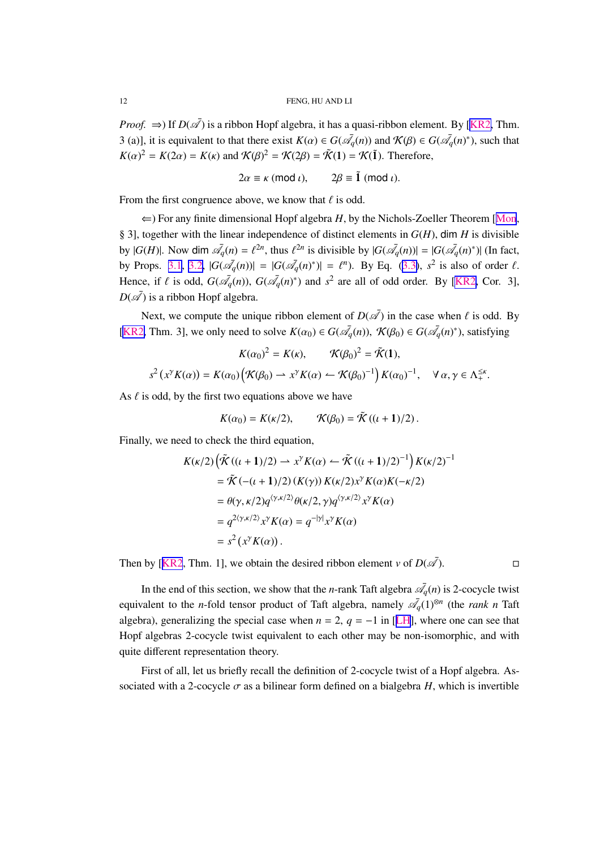<span id="page-11-0"></span>*Proof.*  $\Rightarrow$ ) If  $D(\overline{\mathscr{A}})$  is a ribbon Hopf algebra, it has a quasi-ribbon element. By [[KR2,](#page-33-0) Thm. 3 (a)], it is equivalent to that there exist  $K(\alpha) \in G(\bar{\mathcal{A}}_q(n))$  and  $\mathcal{K}(\beta) \in G(\bar{\mathcal{A}}_q(n)^*)$ , such that  $K(\alpha)^2 = K(2\alpha) = K(\kappa)$  and  $K(\beta)^2 = K(2\beta) = \tilde{K}(1) = K(\tilde{1})$ . Therefore,

$$
2\alpha \equiv \kappa \pmod{\iota}, \qquad 2\beta \equiv \tilde{1} \pmod{\iota}.
$$

From the first congruence above, we know that  $\ell$  is odd.

 $\Leftarrow$ ) For any finite dimensional Hopf algebra *H*, by the Nichols-Zoeller Theorem [[Mon](#page-33-0), § 3], together with the linear independence of distinct elements in *G*(*H*), dim *H* is divisible by  $|G(H)|$ . Now dim  $\overline{A_q}(n) = \ell^{2n}$ , thus  $\ell^{2n}$  is divisible by  $|G(\overline{A_q}(n))| = |G(\overline{A_q}(n)^*)|$  (In fact, by Props. [3.1](#page-6-0), [3.2,](#page-7-0)  $|G(\bar{\mathscr{A}}_q(n))| = |G(\bar{\mathscr{A}}_q(n)^*)| = \ell^n$ . By Eq. [\(3.3\)](#page-6-0),  $s^2$  is also of order  $\ell$ . Hence, if  $\ell$  is odd,  $G(\bar{\mathcal{A}}_q(n))$ ,  $G(\bar{\mathcal{A}}_q(n)^*)$  and  $s^2$  are all of odd order. By [\[KR2,](#page-33-0) Cor. 3],  $D(\mathscr{A})$  is a ribbon Hopf algebra.

Next, we compute the unique ribbon element of  $D(\bar{\mathscr{A}})$  in the case when  $\ell$  is odd. By [[KR2,](#page-33-0) Thm. 3], we only need to solve  $K(\alpha_0) \in G(\bar{\mathcal{A}}_q(n))$ ,  $\mathcal{K}(\beta_0) \in G(\bar{\mathcal{A}}_q(n)^*)$ , satisfying

$$
K(\alpha_0)^2 = K(\kappa), \qquad \mathcal{K}(\beta_0)^2 = \tilde{\mathcal{K}}(1),
$$
  

$$
s^2(x^{\gamma}K(\alpha)) = K(\alpha_0)\Big(\mathcal{K}(\beta_0) \to x^{\gamma}K(\alpha) \leftarrow \mathcal{K}(\beta_0)^{-1}\Big)K(\alpha_0)^{-1}, \quad \forall \alpha, \gamma \in \Lambda_+^{\leq \kappa}.
$$

As  $\ell$  is odd, by the first two equations above we have

$$
K(\alpha_0) = K(\kappa/2), \qquad \mathcal{K}(\beta_0) = \tilde{\mathcal{K}}((\iota + 1)/2).
$$

Finally, we need to check the third equation,

$$
K(\kappa/2) \left( \tilde{\mathcal{K}}((\iota + 1)/2) \to x^{\gamma} K(\alpha) \leftarrow \tilde{\mathcal{K}}((\iota + 1)/2)^{-1} \right) K(\kappa/2)^{-1}
$$
  
=  $\tilde{\mathcal{K}}(-( \iota + 1)/2) (K(\gamma)) K(\kappa/2) x^{\gamma} K(\alpha) K(-\kappa/2)$   
=  $\theta(\gamma, \kappa/2) q^{\langle \gamma, \kappa/2 \rangle} \theta(\kappa/2, \gamma) q^{\langle \gamma, \kappa/2 \rangle} x^{\gamma} K(\alpha)$   
=  $q^{2\langle \gamma, \kappa/2 \rangle} x^{\gamma} K(\alpha) = q^{-|\gamma|} x^{\gamma} K(\alpha)$   
=  $s^{2} (x^{\gamma} K(\alpha)).$ 

Then by [[KR2](#page-33-0), Thm. 1], we obtain the desired ribbon element *v* of  $D(\overline{\mathscr{A}})$ . ).

In the end of this section, we show that the *n*-rank Taft algebra  $\mathcal{A}_q(n)$  is 2-cocycle twist equivalent to the *n*-fold tensor product of Taft algebra, namely  $\mathscr{A}_q(1)^{\otimes n}$  (the *rank n* Taft algebra), generalizing the special case when  $n = 2$ ,  $q = -1$  in [[LH](#page-33-0)], where one can see that Hopf algebras 2-cocycle twist equivalent to each other may be non-isomorphic, and with quite different representation theory.

First of all, let us briefly recall the definition of 2-cocycle twist of a Hopf algebra. Associated with a 2-cocycle  $\sigma$  as a bilinear form defined on a bialgebra *H*, which is invertible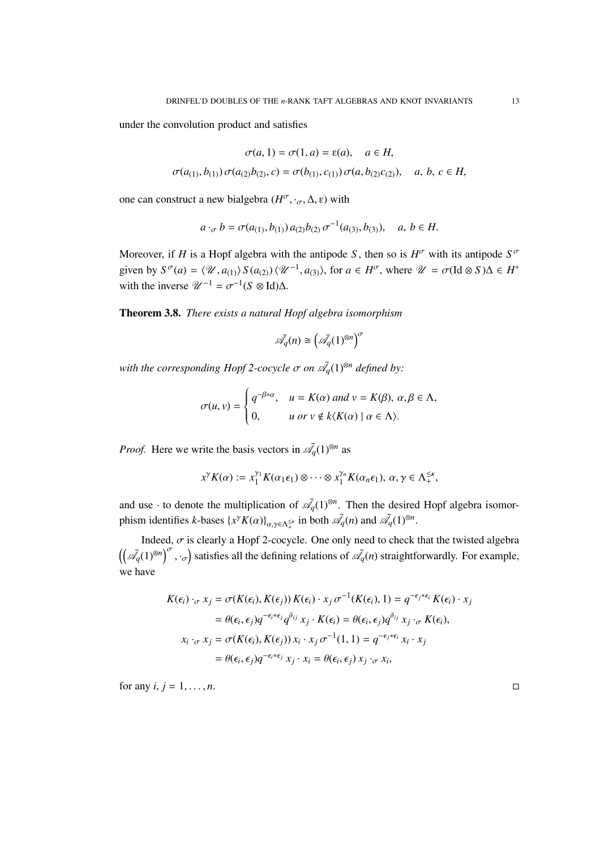<span id="page-12-0"></span>under the convolution product and satisfies

$$
\sigma(a, 1) = \sigma(1, a) = \varepsilon(a), \quad a \in H,
$$
  

$$
\sigma(a_{(1)}, b_{(1)}) \sigma(a_{(2)}b_{(2)}, c) = \sigma(b_{(1)}, c_{(1)}) \sigma(a, b_{(2)}c_{(2)}), \quad a, b, c \in H,
$$

one can construct a new bialgebra ( $H^{\sigma}$ , ·<sub>σ</sub>, Δ, ε) with

$$
a \cdot_{\sigma} b = \sigma(a_{(1)}, b_{(1)}) a_{(2)} b_{(2)} \sigma^{-1}(a_{(3)}, b_{(3)}), \quad a, b \in H.
$$

Moreover, if *H* is a Hopf algebra with the antipode *S*, then so is  $H^{\sigma}$  with its antipode  $S^{\sigma}$ given by  $S^{\sigma}(a) = \langle \mathcal{U}, a_{(1)} \rangle S(a_{(2)}) \langle \mathcal{U}^{-1}, a_{(3)} \rangle$ , for  $a \in H^{\sigma}$ , where  $\mathcal{U} = \sigma(\text{Id} \otimes S) \Delta \in H^*$ with the inverse  $\mathcal{U}^{-1} = \sigma^{-1}(S \otimes \text{Id})\Delta$ .

Theorem 3.8. *There exists a natural Hopf algebra isomorphism*

$$
\bar{\mathcal{A}_q}(n) \cong \left(\bar{\mathcal{A}_q}(1)^{\otimes n}\right)^\sigma
$$

with the corresponding Hopf 2-cocycle  $\sigma$  on  $\overline{\mathscr{A}}_q(1)^{\otimes n}$  defined by:

$$
\sigma(u, v) = \begin{cases} q^{-\beta * \alpha}, & u = K(\alpha) \text{ and } v = K(\beta), \alpha, \beta \in \Lambda, \\ 0, & u \text{ or } v \notin k \langle K(\alpha) \mid \alpha \in \Lambda \rangle. \end{cases}
$$

*Proof.* Here we write the basis vectors in  $\mathscr{A}_q(1)^{\otimes n}$  as

$$
x^{\gamma}K(\alpha) := x_1^{\gamma_1}K(\alpha_1\epsilon_1) \otimes \cdots \otimes x_1^{\gamma_n}K(\alpha_n\epsilon_1), \ \alpha, \gamma \in \Lambda_+^{\leq \kappa},
$$

and use  $\cdot$  to denote the multiplication of  $\bar{\mathcal{A}}_q(1)^{\otimes n}$ . Then the desired Hopf algebra isomorphism identifies *k*-bases  $\{x^{\gamma}K(\alpha)\}_{{\alpha,\gamma\in\Lambda_{+}^{\leq \kappa}}}$  in both  $\bar{\mathscr{A}}_q(n)$  and  $\bar{\mathscr{A}}_q(1)^{\otimes n}$ .

Indeed,  $\sigma$  is clearly a Hopf 2-cocycle. One only need to check that the twisted algebra  $(\left(\overline{\mathscr{A}}_q(1)^{\otimes n}\right)^{\sigma}, \cdot_{\sigma})$  satisfies all the defining relations of  $\overline{\mathscr{A}}_q(n)$  straightforwardly. For example, we have

$$
K(\epsilon_i) \cdot_{\sigma} x_j = \sigma(K(\epsilon_i), K(\epsilon_j)) K(\epsilon_i) \cdot x_j \sigma^{-1}(K(\epsilon_i), 1) = q^{-\epsilon_j * \epsilon_i} K(\epsilon_i) \cdot x_j
$$
  
\n
$$
= \theta(\epsilon_i, \epsilon_j) q^{-\epsilon_i * \epsilon_j} q^{\delta_{ij}} x_j \cdot K(\epsilon_i) = \theta(\epsilon_i, \epsilon_j) q^{\delta_{ij}} x_j \cdot_{\sigma} K(\epsilon_i),
$$
  
\n
$$
x_i \cdot_{\sigma} x_j = \sigma(K(\epsilon_i), K(\epsilon_j)) x_i \cdot x_j \sigma^{-1}(1, 1) = q^{-\epsilon_j * \epsilon_i} x_i \cdot x_j
$$
  
\n
$$
= \theta(\epsilon_i, \epsilon_j) q^{-\epsilon_i * \epsilon_j} x_j \cdot x_i = \theta(\epsilon_i, \epsilon_j) x_j \cdot_{\sigma} x_i,
$$

for any  $i, j = 1, \ldots, n$ .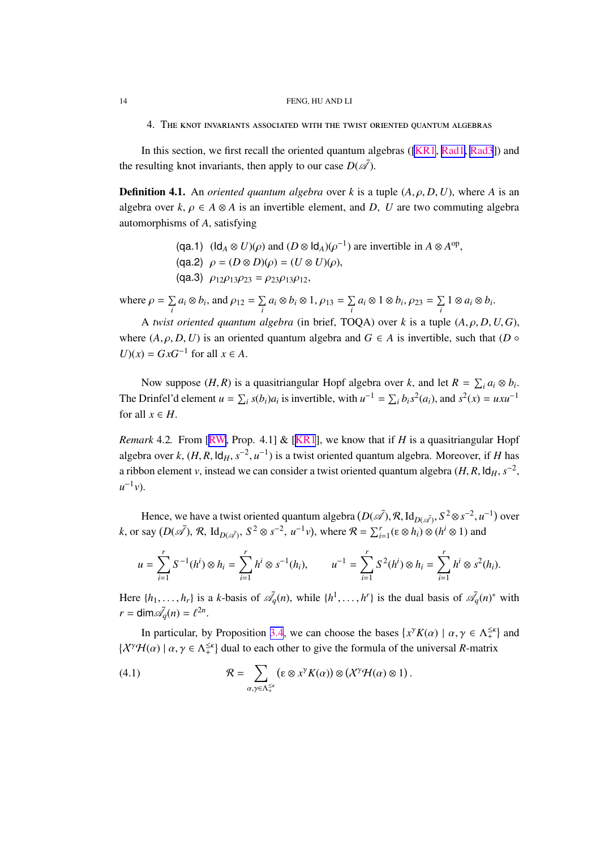4. The knot invariants associated with the twist oriented quantum algebras

In this section, we first recall the oriented quantum algebras ([\[KR1](#page-33-0), [Rad1,](#page-33-0) [Rad3](#page-33-0)]) and the resulting knot invariants, then apply to our case  $D(\bar{\mathscr{A}})$ .

**Definition 4.1.** An *oriented quantum algebra* over *k* is a tuple  $(A, \rho, D, U)$ , where *A* is an algebra over  $k, \rho \in A \otimes A$  is an invertible element, and *D*, *U* are two commuting algebra automorphisms of *A*, satisfying

- (qa.1)  $(\text{Id}_A \otimes U)(\rho)$  and  $(D \otimes \text{Id}_A)(\rho^{-1})$  are invertible in  $A \otimes A^{\text{op}}$ , (qa.2)  $\rho = (D \otimes D)(\rho) = (U \otimes U)(\rho)$ ,
- (qa.3)  $\rho_{12}\rho_{13}\rho_{23} = \rho_{23}\rho_{13}\rho_{12}$ ,

where  $\rho = \sum$  $\sum_i a_i \otimes b_i$ , and  $\rho_{12} = \sum_i$  $\sum_i a_i \otimes b_i \otimes 1, \rho_{13} = \sum_i$  $\sum_i a_i \otimes 1 \otimes b_i, \rho_{23} = \sum_i$ *i* 1 ⊗ *a<sup>i</sup>* ⊗ *b<sup>i</sup>* .

A *twist oriented quantum algebra* (in brief, TOQA) over *k* is a tuple  $(A, \rho, D, U, G)$ , where  $(A, \rho, D, U)$  is an oriented quantum algebra and  $G \in A$  is invertible, such that  $(D \circ$ *U*)(*x*) = *GxG*<sup>−1</sup> for all *x* ∈ *A*.

Now suppose  $(H, R)$  is a quasitriangular Hopf algebra over *k*, and let  $R = \sum_i a_i \otimes b_i$ . The Drinfel'd element  $u = \sum_i s(b_i)a_i$  is invertible, with  $u^{-1} = \sum_i b_i s^2(a_i)$ , and  $s^2(x) = uxu^{-1}$ for all  $x \in H$ .

*Remark* 4.2. From [\[RW](#page-33-0), Prop. 4.1] & [[KR1](#page-33-0)], we know that if *H* is a quasitriangular Hopf algebra over *k*,  $(H, R, \text{Id}_H, s^{-2}, u^{-1})$  is a twist oriented quantum algebra. Moreover, if *H* has a ribbon element *v*, instead we can consider a twist oriented quantum algebra  $(H, R, \text{Id}_H, s^{-2})$ ,  $u^{-1}v$ ).

Hence, we have a twist oriented quantum algebra  $(D(\bar{A}), \mathcal{R}, \mathrm{Id}_{D(\bar{A})}, S^2 \otimes s^{-2}, u^{-1})$  over *k*, or say  $(D(\overline{\mathscr{A}}), \mathcal{R}, \operatorname{Id}_{D(\overline{\mathscr{A}})}, S^2 \otimes s^{-2}, u^{-1}v)$ , where  $\mathcal{R} = \sum_{i=1}^r (\varepsilon \otimes h_i) \otimes (h^i \otimes 1)$  and

$$
u = \sum_{i=1}^r S^{-1}(h^i) \otimes h_i = \sum_{i=1}^r h^i \otimes s^{-1}(h_i), \qquad u^{-1} = \sum_{i=1}^r S^2(h^i) \otimes h_i = \sum_{i=1}^r h^i \otimes s^2(h_i).
$$

Here  $\{h_1, \ldots, h_r\}$  is a *k*-basis of  $\overline{A}_q(n)$ , while  $\{h^1, \ldots, h^r\}$  is the dual basis of  $\overline{A}_q(n)^*$  with  $r = \dim \bar{\mathcal{A}}_q(n) = \ell^{2n}$ .

In particular, by Proposition [3.4](#page-8-0), we can choose the bases  $\{x^{\gamma}K(\alpha) \mid \alpha, \gamma \in \Lambda_{+}^{\leq \kappa}\}\$  and  $\{\chi^{\gamma}\mathcal{H}(\alpha) \mid \alpha, \gamma \in \Lambda_+^{\leq \kappa}\}\$  dual to each other to give the formula of the universal *R*-matrix

(4.1) 
$$
\mathcal{R} = \sum_{\alpha, \gamma \in \Lambda_{+}^{\leq x}} \left( \varepsilon \otimes x^{\gamma} K(\alpha) \right) \otimes \left( X^{\gamma} \mathcal{H}(\alpha) \otimes 1 \right).
$$

<span id="page-13-0"></span>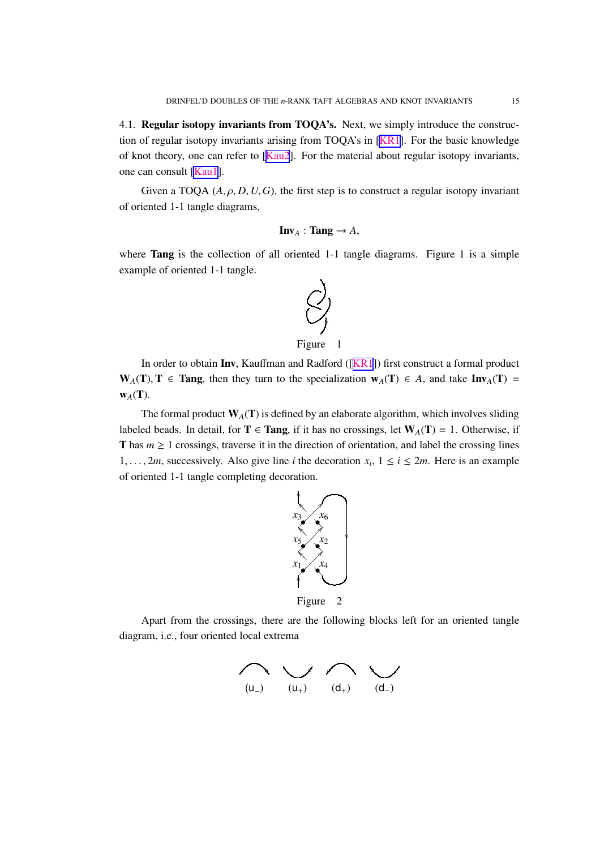<span id="page-14-0"></span>4.1. Regular isotopy invariants from TOQA's. Next, we simply introduce the construction of regular isotopy invariants arising from TOQA's in [\[KR1\]](#page-33-0). For the basic knowledge of knot theory, one can refer to [[Kau2](#page-33-0)]. For the material about regular isotopy invariants, one can consult [\[Kau1](#page-33-0)].

Given a TOQA  $(A, \rho, D, U, G)$ , the first step is to construct a regular isotopy invariant of oriented 1-1 tangle diagrams,

$$
Inv_A : Tang \to A,
$$

where **Tang** is the collection of all oriented 1-1 tangle diagrams. Figure 1 is a simple example of oriented 1-1 tangle.



Figure 1

In order to obtain Inv, Kauffman and Radford ([[KR1](#page-33-0)]) first construct a formal product W<sub>A</sub>(T), T ∈ Tang, then they turn to the specialization  $w_A(T)$  ∈ *A*, and take Inv<sub>A</sub>(T) =  $W_A(T)$ .

The formal product  $W_A(T)$  is defined by an elaborate algorithm, which involves sliding labeled beads. In detail, for  $T \in \text{Tang}$ , if it has no crossings, let  $W_A(T) = 1$ . Otherwise, if T has  $m \geq 1$  crossings, traverse it in the direction of orientation, and label the crossing lines 1, ..., 2*m*, successively. Also give line *i* the decoration  $x_i$ ,  $1 \le i \le 2m$ . Here is an example of oriented 1-1 tangle completing decoration.



Figure 2

Apart from the crossings, there are the following blocks left for an oriented tangle diagram, i.e., four oriented local extrema

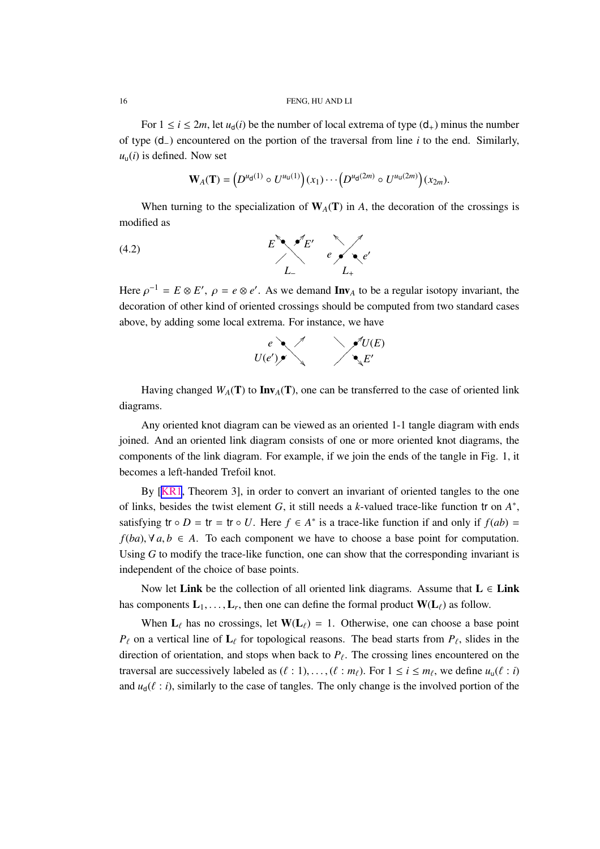For  $1 \le i \le 2m$ , let  $u_d(i)$  be the number of local extrema of type  $(d_+)$  minus the number of type (d−) encountered on the portion of the traversal from line *i* to the end. Similarly,  $u_{\mu}(i)$  is defined. Now set

$$
\mathbf{W}_{A}(\mathbf{T}) = (D^{u_{\mathbf{d}}(1)} \circ U^{u_{\mathbf{u}}(1)})(x_1) \cdots (D^{u_{\mathbf{d}}(2m)} \circ U^{u_{\mathbf{u}}(2m)})(x_{2m}).
$$

When turning to the specialization of  $W_A(T)$  in *A*, the decoration of the crossings is modified as

$$
E \qquad \qquad E' \qquad e' \qquad \qquad e'
$$
\n
$$
L_{-} \qquad \qquad L_{+}
$$
\n
$$
(4.2)
$$

Here  $\rho^{-1} = E \otimes E'$ ,  $\rho = e \otimes e'$ . As we demand **Inv**<sub>A</sub> to be a regular isotopy invariant, the decoration of other kind of oriented crossings should be computed from two standard cases above, by adding some local extrema. For instance, we have



Having changed  $W_A(T)$  to  $\text{Inv}_A(T)$ , one can be transferred to the case of oriented link diagrams.

Any oriented knot diagram can be viewed as an oriented 1-1 tangle diagram with ends joined. And an oriented link diagram consists of one or more oriented knot diagrams, the components of the link diagram. For example, if we join the ends of the tangle in Fig. 1, it becomes a left-handed Trefoil knot.

By [[KR1](#page-33-0), Theorem 3], in order to convert an invariant of oriented tangles to the one of links, besides the twist element *G*, it still needs a *k*-valued trace-like function tr on *A* ∗ , satisfying  $tr \circ D = tr = tr \circ U$ . Here  $f \in A^*$  is a trace-like function if and only if  $f(ab) =$ *f*(*ba*),  $\forall$  *a*, *b* ∈ *A*. To each component we have to choose a base point for computation. Using *G* to modify the trace-like function, one can show that the corresponding invariant is independent of the choice of base points.

Now let Link be the collection of all oriented link diagrams. Assume that  $L \in$  Link has components  $\mathbf{L}_1, \ldots, \mathbf{L}_r$ , then one can define the formal product  $\mathbf{W}(\mathbf{L}_\ell)$  as follow.

When  $L_\ell$  has no crossings, let  $W(L_\ell) = 1$ . Otherwise, one can choose a base point  $P_{\ell}$  on a vertical line of  $\mathbf{L}_{\ell}$  for topological reasons. The bead starts from  $P_{\ell}$ , slides in the direction of orientation, and stops when back to  $P_{\ell}$ . The crossing lines encountered on the traversal are successively labeled as  $(\ell : 1), \ldots, (\ell : m_{\ell})$ . For  $1 \le i \le m_{\ell}$ , we define  $u_{\mathsf{u}}(\ell : i)$ and  $u_d(\ell : i)$ , similarly to the case of tangles. The only change is the involved portion of the

<span id="page-15-0"></span>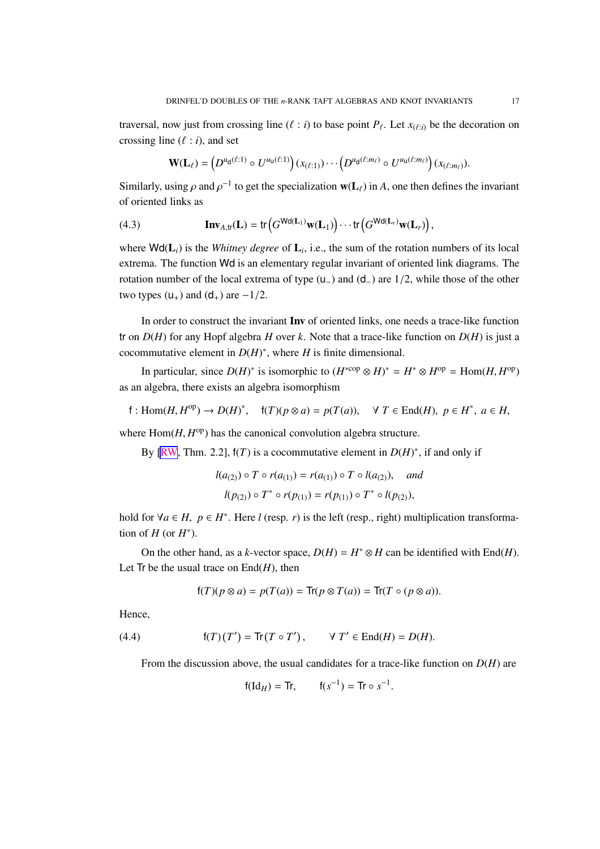<span id="page-16-0"></span>traversal, now just from crossing line  $(\ell : i)$  to base point  $P_{\ell}$ . Let  $x_{(\ell:i)}$  be the decoration on crossing line  $(\ell : i)$ , and set

$$
\mathbf{W}(\mathbf{L}_{\ell}) = \left(D^{u_{\mathsf{d}}(\ell:1)} \circ U^{u_{\mathsf{u}}(\ell:1)}\right)(x_{(\ell:1)}) \cdots \left(D^{u_{\mathsf{d}}(\ell:m_{\ell})} \circ U^{u_{\mathsf{u}}(\ell:m_{\ell})}\right)(x_{(\ell:m_{\ell})}).
$$

Similarly, using  $\rho$  and  $\rho^{-1}$  to get the specialization  $w(L_\ell)$  in *A*, one then defines the invariant of oriented links as

(4.3) 
$$
\mathbf{Inv}_{A,\text{tr}}(\mathbf{L}) = \text{tr}\left(G^{\text{Wd}(\mathbf{L}_1)}\mathbf{w}(\mathbf{L}_1)\right) \cdots \text{tr}\left(G^{\text{Wd}(\mathbf{L}_r)}\mathbf{w}(\mathbf{L}_r)\right),
$$

where  $\text{Wd}(L_i)$  is the *Whitney degree* of  $L_i$ , i.e., the sum of the rotation numbers of its local extrema. The function Wd is an elementary regular invariant of oriented link diagrams. The rotation number of the local extrema of type (u−) and (d−) are 1/2, while those of the other two types  $(u_+)$  and  $(d_+)$  are  $-1/2$ .

In order to construct the invariant Inv of oriented links, one needs a trace-like function tr on  $D(H)$  for any Hopf algebra *H* over *k*. Note that a trace-like function on  $D(H)$  is just a cocommutative element in  $D(H)^*$ , where *H* is finite dimensional.

In particular, since  $D(H)^*$  is isomorphic to  $(H^{*cop} \otimes H)^* = H^* \otimes H^{op} = \text{Hom}(H, H^{op})$ as an algebra, there exists an algebra isomorphism

$$
f: \text{Hom}(H, H^{\text{op}}) \to D(H)^*, \quad f(T)(p \otimes a) = p(T(a)), \quad \forall T \in \text{End}(H), \ p \in H^*, \ a \in H,
$$

where  $Hom(H, H^{\text{op}})$  has the canonical convolution algebra structure.

By [\[RW](#page-33-0), Thm. 2.2],  $f(T)$  is a cocommutative element in  $D(H)^*$ , if and only if

$$
l(a_{(2)}) \circ T \circ r(a_{(1)}) = r(a_{(1)}) \circ T \circ l(a_{(2)}), \quad \text{and}
$$
  

$$
l(p_{(2)}) \circ T^* \circ r(p_{(1)}) = r(p_{(1)}) \circ T^* \circ l(p_{(2)}),
$$

hold for  $\forall a \in H$ ,  $p \in H^*$ . Here *l* (resp. *r*) is the left (resp., right) multiplication transformation of  $H$  (or  $H^*$ ).

On the other hand, as a *k*-vector space,  $D(H) = H^* \otimes H$  can be identified with End(*H*). Let  $\text{Tr}$  be the usual trace on  $\text{End}(H)$ , then

$$
f(T)(p \otimes a) = p(T(a)) = \text{Tr}(p \otimes T(a)) = \text{Tr}(T \circ (p \otimes a)).
$$

Hence,

(4.4) 
$$
f(T)(T') = \text{Tr}(T \circ T'), \qquad \forall T' \in \text{End}(H) = D(H).
$$

From the discussion above, the usual candidates for a trace-like function on *D*(*H*) are

$$
f(\text{Id}_H) = \text{Tr}, \qquad f(s^{-1}) = \text{Tr} \circ s^{-1}.
$$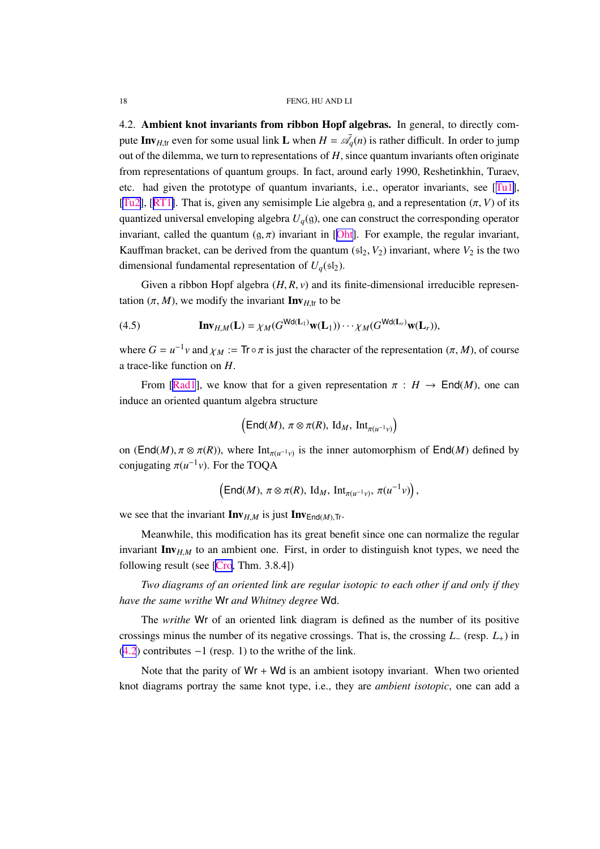<span id="page-17-0"></span>4.2. Ambient knot invariants from ribbon Hopf algebras. In general, to directly compute Inv<sub>H,tr</sub> even for some usual link L when  $H = \bar{\mathcal{A}}_q(n)$  is rather difficult. In order to jump out of the dilemma, we turn to representations of *H*, since quantum invariants often originate from representations of quantum groups. In fact, around early 1990, Reshetinkhin, Turaev, etc. had given the prototype of quantum invariants, i.e., operator invariants, see [[Tu1\]](#page-34-0), [[Tu2](#page-34-0)], [[RT1\]](#page-33-0). That is, given any semisimple Lie algebra g, and a representation  $(\pi, V)$  of its quantized universal enveloping algebra *Uq*(g), one can construct the corresponding operator invariant, called the quantum  $(g, \pi)$  invariant in [[Oht\]](#page-33-0). For example, the regular invariant, Kauffman bracket, can be derived from the quantum  $(sI_2, V_2)$  invariant, where  $V_2$  is the two dimensional fundamental representation of  $U_q(\mathfrak{sl}_2)$ .

Given a ribbon Hopf algebra  $(H, R, v)$  and its finite-dimensional irreducible representation  $(\pi, M)$ , we modify the invariant **Inv**<sub>*H*,tr</sub> to be

(4.5) 
$$
\mathbf{Inv}_{H,M}(\mathbf{L}) = \chi_M(G^{\mathsf{Wd}(\mathbf{L}_1)} \mathbf{w}(\mathbf{L}_1)) \cdots \chi_M(G^{\mathsf{Wd}(\mathbf{L}_r)} \mathbf{w}(\mathbf{L}_r)),
$$

where  $G = u^{-1}v$  and  $\chi_M := \text{Tr} \circ \pi$  is just the character of the representation  $(\pi, M)$ , of course a trace-like function on *H*.

From [\[Rad1](#page-33-0)], we know that for a given representation  $\pi : H \to \text{End}(M)$ , one can induce an oriented quantum algebra structure

$$
\left(\mathsf{End}(M),\,\pi\otimes \pi(R),\,\mathrm{Id}_M,\,\mathrm{Int}_{\pi(u^{-1}v)}\right)
$$

on (End(*M*),  $\pi \otimes \pi(R)$ ), where  $Int_{\pi(u^{-1}v)}$  is the inner automorphism of End(*M*) defined by conjugating  $\pi(u^{-1}v)$ . For the TOQA

$$
\left(\mathsf{End}(M),\,\pi\otimes \pi(R),\,\mathrm{Id}_M,\,\mathrm{Int}_{\pi(u^{-1}v)},\,\pi(u^{-1}v)\right),
$$

we see that the invariant  $\mathbf{Inv}_{H,M}$  is just  $\mathbf{Inv}_{\text{End}(M),\text{Tr}}$ .

Meanwhile, this modification has its great benefit since one can normalize the regular invariant  $\text{Inv}_{H,M}$  to an ambient one. First, in order to distinguish knot types, we need the following result (see [\[Cro](#page-32-0), Thm. 3.8.4])

*Two diagrams of an oriented link are regular isotopic to each other if and only if they have the same writhe* Wr *and Whitney degree* Wd.

The *writhe* Wr of an oriented link diagram is defined as the number of its positive crossings minus the number of its negative crossings. That is, the crossing *L*<sup>−</sup> (resp. *L*+) in  $(4.2)$  $(4.2)$  $(4.2)$  contributes  $-1$  (resp. 1) to the writhe of the link.

Note that the parity of  $Wr + Wd$  is an ambient isotopy invariant. When two oriented knot diagrams portray the same knot type, i.e., they are *ambient isotopic*, one can add a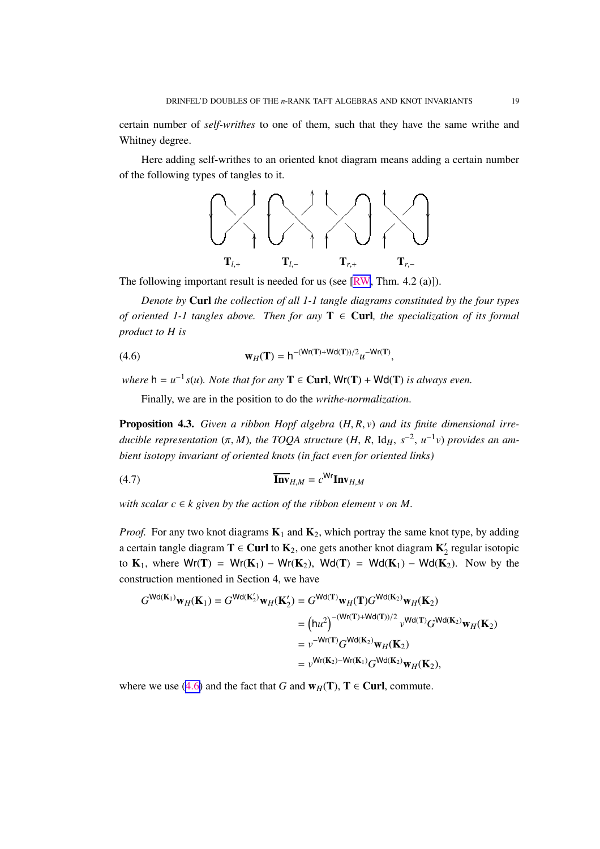<span id="page-18-0"></span>Here adding self-writhes to an oriented knot diagram means adding a certain number of the following types of tangles to it.



The following important result is needed for us (see [\[RW](#page-33-0), Thm. 4.2 (a)]).

*Denote by* Curl *the collection of all 1-1 tangle diagrams constituted by the four types of oriented 1-1 tangles above. Then for any*  $T \in$  **Curl**, the specialization of its formal *product to H is*

(4.6) 
$$
\mathbf{w}_H(\mathbf{T}) = h^{-(\mathsf{Wr}(\mathbf{T}) + \mathsf{Wd}(\mathbf{T}))/2} u^{-\mathsf{Wr}(\mathbf{T})},
$$

*where*  $h = u^{-1} s(u)$ *. Note that for any*  $T \in \text{Curl}$ ,  $Wr(T) + Wd(T)$  *is always even.* 

Finally, we are in the position to do the *writhe-normalization*.

Proposition 4.3. *Given a ribbon Hopf algebra* (*H*, *R*, *v*) *and its finite dimensional irreducible representation* (π, *M*), the TOQA structure (H, R, Id<sub>H</sub>,  $s^{-2}$ ,  $u^{-1}v$ ) provides an am*bient isotopy invariant of oriented knots (in fact even for oriented links)*

$$
\overline{\mathbf{Inv}}_{H,M} = c^{\mathsf{Wr}} \mathbf{Inv}_{H,M}
$$

*with scalar*  $c \in k$  *given by the action of the ribbon element v on M.* 

*Proof.* For any two knot diagrams  $K_1$  and  $K_2$ , which portray the same knot type, by adding a certain tangle diagram  $T \in$  Curl to  $K_2$ , one gets another knot diagram  $K'_2$  regular isotopic to  $K_1$ , where  $Wr(T) = Wr(K_1) - Wr(K_2)$ ,  $Wd(T) = Wd(K_1) - Wd(K_2)$ . Now by the construction mentioned in Section 4, we have

$$
G^{\text{Wd}(\mathbf{K}_1)}\mathbf{w}_H(\mathbf{K}_1) = G^{\text{Wd}(\mathbf{K}_2')}\mathbf{w}_H(\mathbf{K}_2') = G^{\text{Wd}(\mathbf{T})}\mathbf{w}_H(\mathbf{T})G^{\text{Wd}(\mathbf{K}_2)}\mathbf{w}_H(\mathbf{K}_2)
$$
  
\n
$$
= (\mathbf{h}u^2)^{-(\mathbf{W}r(\mathbf{T}) + \mathbf{W}d(\mathbf{T}))/2} v^{\text{Wd}(\mathbf{T})}G^{\text{Wd}(\mathbf{K}_2)}\mathbf{w}_H(\mathbf{K}_2)
$$
  
\n
$$
= v^{-\mathbf{W}r(\mathbf{T})}G^{\text{Wd}(\mathbf{K}_2)}\mathbf{w}_H(\mathbf{K}_2)
$$
  
\n
$$
= v^{\mathbf{W}r(\mathbf{K}_2) - \mathbf{W}r(\mathbf{K}_1)}G^{\text{Wd}(\mathbf{K}_2)}\mathbf{w}_H(\mathbf{K}_2),
$$

where we use (4.6) and the fact that *G* and  $w_H(T)$ ,  $T \in$  Curl, commute.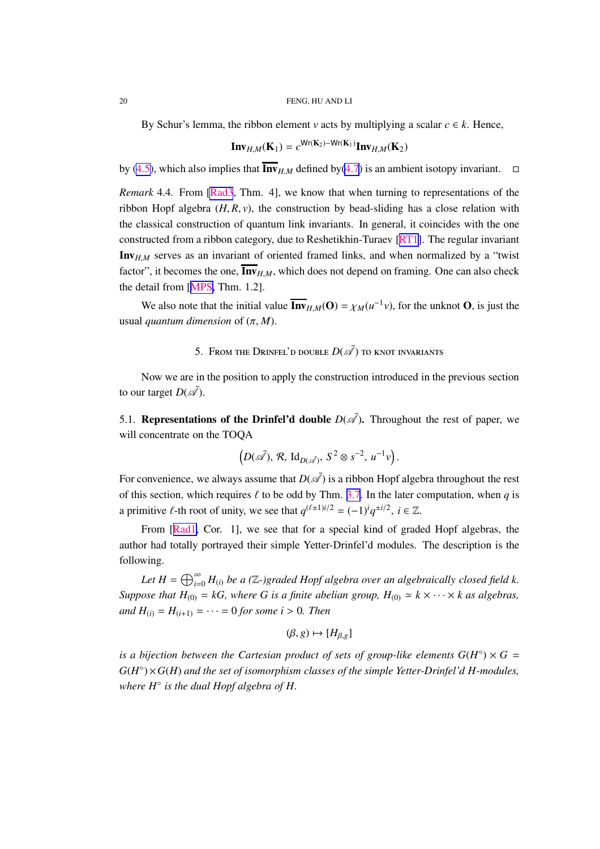<span id="page-19-0"></span>By Schur's lemma, the ribbon element *v* acts by multiplying a scalar  $c \in k$ . Hence,

$$
\mathbf{Inv}_{H,M}(\mathbf{K}_1) = c^{\mathsf{Wr}(\mathbf{K}_2) - \mathsf{Wr}(\mathbf{K}_1)} \mathbf{Inv}_{H,M}(\mathbf{K}_2)
$$

by [\(4.5\)](#page-17-0), which also implies that  $\overline{\text{Inv}}_{H,M}$  defined by[\(4.7\)](#page-18-0) is an ambient isotopy invariant.  $\square$ 

*Remark* 4.4*.* From [\[Rad3](#page-33-0), Thm. 4], we know that when turning to representations of the ribbon Hopf algebra  $(H, R, v)$ , the construction by bead-sliding has a close relation with the classical construction of quantum link invariants. In general, it coincides with the one constructed from a ribbon category, due to Reshetikhin-Turaev [\[RT1\]](#page-33-0). The regular invariant Inv*H*,*<sup>M</sup>* serves as an invariant of oriented framed links, and when normalized by a "twist factor", it becomes the one,  $\overline{\text{Inv}}_{H,M}$ , which does not depend on framing. One can also check the detail from [[MPS,](#page-33-0) Thm. 1.2].

We also note that the initial value  $\overline{\text{Inv}}_{H,M}(\textbf{O}) = \chi_M(u^{-1}v)$ , for the unknot **O**, is just the usual *quantum dimension* of  $(\pi, M)$ .

# 5. From the Drinfel'd double  $D(\bar{\mathscr{A}})$  to knot invariants

Now we are in the position to apply the construction introduced in the previous section to our target  $D(\bar{\mathcal{A}})$ .

5.1. **Representations of the Drinfel'd double**  $D(\overline{\mathscr{A}})$ . Throughout the rest of paper, we will concentrate on the TOQA

$$
\left(D(\bar{\mathscr{A}}), \mathcal{R}, \mathrm{Id}_{D(\bar{\mathscr{A}})}, S^2 \otimes s^{-2}, u^{-1}v\right).
$$

For convenience, we always assume that  $D(\bar{A})$  is a ribbon Hopf algebra throughout the rest of this section, which requires  $\ell$  to be odd by Thm. [3.7](#page-10-0). In the later computation, when *q* is a primitive  $\ell$ -th root of unity, we see that  $q^{(\ell \pm 1)i/2} = (-1)^i q^{\pm i/2}$ ,  $i \in \mathbb{Z}$ .

From [[Rad1,](#page-33-0) Cor. 1], we see that for a special kind of graded Hopf algebras, the author had totally portrayed their simple Yetter-Drinfel'd modules. The description is the following.

Let  $H = \bigoplus_{i=0}^{\infty} H_{(i)}$  be a (Z-)graded Hopf algebra over an algebraically closed field k. *Suppose that*  $H_{(0)} = kG$ , where G is a finite abelian group,  $H_{(0)} \simeq k \times \cdots \times k$  as algebras, *and*  $H_{(i)} = H_{(i+1)} = \cdots = 0$  *for some i* > 0*. Then* 

$$
(\beta, g) \mapsto [H_{\beta, g}]
$$

*is a bijection between the Cartesian product of sets of group-like elements*  $G(H^{\circ}) \times G =$ *G*(*H* ◦ )×*G*(*H*) *and the set of isomorphism classes of the simple Yetter-Drinfel'd H-modules, where H*◦ *is the dual Hopf algebra of H.*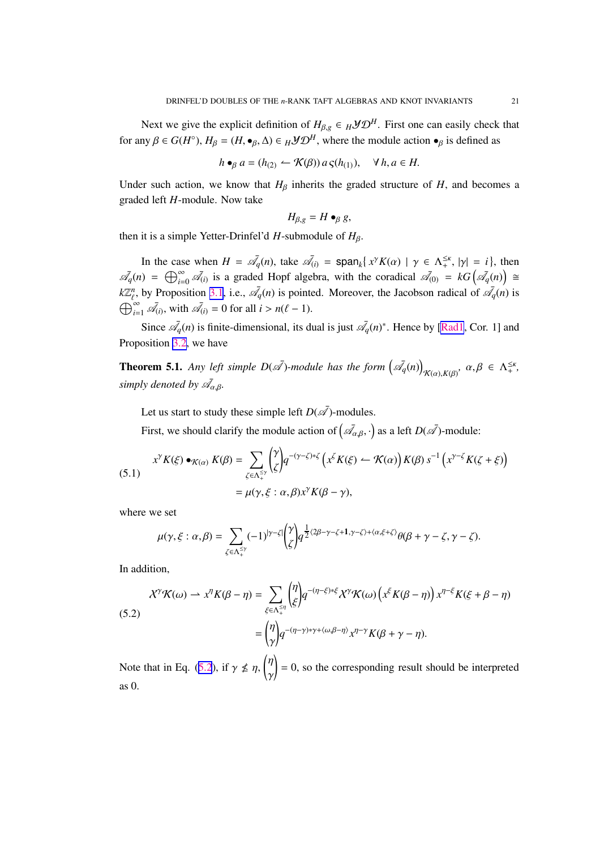<span id="page-20-0"></span>Next we give the explicit definition of  $H_{\beta,g} \in H \mathcal{YD}^H$ . First one can easily check that for any  $\beta \in G(H^{\circ})$ ,  $H_{\beta} = (H, \bullet_{\beta}, \Delta) \in H \mathcal{YD}^H$ , where the module action  $\bullet_{\beta}$  is defined as

$$
h \bullet_{\beta} a = (h_{(2)} \leftarrow \mathcal{K}(\beta)) a \varsigma (h_{(1)}), \quad \forall \, h, a \in H.
$$

Under such action, we know that  $H_\beta$  inherits the graded structure of *H*, and becomes a graded left *H*-module. Now take

$$
H_{\beta,g}=H\bullet_{\beta} g,
$$

then it is a simple Yetter-Drinfel'd  $H$ -submodule of  $H$ <sup>β</sup>.

In the case when  $H = \overline{\mathcal{A}}_q(n)$ , take  $\overline{\mathcal{A}}_{(i)} = \text{span}_k\{x^{\gamma}K(\alpha) | \gamma \in \Lambda_+^{\leq \kappa}, |\gamma| = i\}$ , then  $\overline{\mathcal{A}}_q(n) = \bigoplus_{i=0}^{\infty} \overline{\mathcal{A}}_{(i)}$  is a graded Hopf algebra, with the coradical  $\overline{\mathcal{A}}_{(0)} = kG\left(\overline{\mathcal{A}}_q(n)\right) \cong$  $k\mathbb{Z}_{\ell}^n$ , by Proposition [3.1](#page-6-0), i.e.,  $\mathcal{A}_q(n)$  is pointed. Moreover, the Jacobson radical of  $\mathcal{A}_q(n)$  is  $\bigoplus_{i=1}^{\infty} \bar{\mathscr{A}}_{(i)}$ , with  $\bar{\mathscr{A}}_{(i)} = 0$  for all  $i > n(\ell - 1)$ .

Since  $\mathcal{A}_q(n)$  is finite-dimensional, its dual is just  $\mathcal{A}_q(n)^*$ . Hence by [\[Rad1](#page-33-0), Cor. 1] and Proposition [3.2,](#page-7-0) we have

**Theorem 5.1.** Any left simple  $D(\bar{A})$ -module has the form  $(\bar{A_q}(n))$  $\kappa_{(\alpha),K(\beta)}, \alpha, \beta \in \Lambda_+^{\leq \kappa},$ *simply denoted by*  $\bar{A}_{\alpha,\beta}$ *.* 

Let us start to study these simple left  $D(\overline{\mathscr{A}})$ -modules.

First, we should clarify the module action of  $(\bar{\mathscr{A}}_{\alpha,\beta},\cdot)$  as a left  $D(\bar{\mathscr{A}})$ -module:

(5.1)  

$$
x^{\gamma} K(\xi) \bullet_{\mathcal{K}(\alpha)} K(\beta) = \sum_{\zeta \in \Lambda_+^{\leq \gamma}} \binom{\gamma}{\zeta} q^{-(\gamma - \zeta) * \zeta} \left( x^{\zeta} K(\xi) - \mathcal{K}(\alpha) \right) K(\beta) s^{-1} \left( x^{\gamma - \zeta} K(\zeta + \xi) \right)
$$

$$
= \mu(\gamma, \xi : \alpha, \beta) x^{\gamma} K(\beta - \gamma),
$$

where we set

$$
\mu(\gamma,\xi:\alpha,\beta)=\sum_{\zeta\in\Lambda_+^{\leq\gamma}}(-1)^{|\gamma-\zeta|}\binom{\gamma}{\zeta}q^{\frac{1}{2}\langle 2\beta-\gamma-\zeta+1,\gamma-\zeta\rangle+\langle\alpha,\xi+\zeta\rangle}\theta(\beta+\gamma-\zeta,\gamma-\zeta).
$$

In addition,

(5.2)  
\n
$$
\mathcal{X}^{\gamma}\mathcal{K}(\omega) \rightharpoonup x^{\eta}K(\beta-\eta) = \sum_{\xi \in \Lambda_{+}^{\leq \eta}} \binom{\eta}{\xi} q^{-(\eta-\xi)*\xi} \mathcal{X}^{\gamma}\mathcal{K}(\omega) \left( x^{\xi}K(\beta-\eta) \right) x^{\eta-\xi}K(\xi+\beta-\eta)
$$
\n
$$
= \binom{\eta}{\gamma} q^{-(\eta-\gamma)*\gamma+\langle \omega,\beta-\eta \rangle} x^{\eta-\gamma}K(\beta+\gamma-\eta).
$$

Note that in Eq. (5.2), if  $\gamma \nleq \eta$ ,  $\left(\eta\right)$ γ  $\vert = 0$ , so the corresponding result should be interpreted as 0.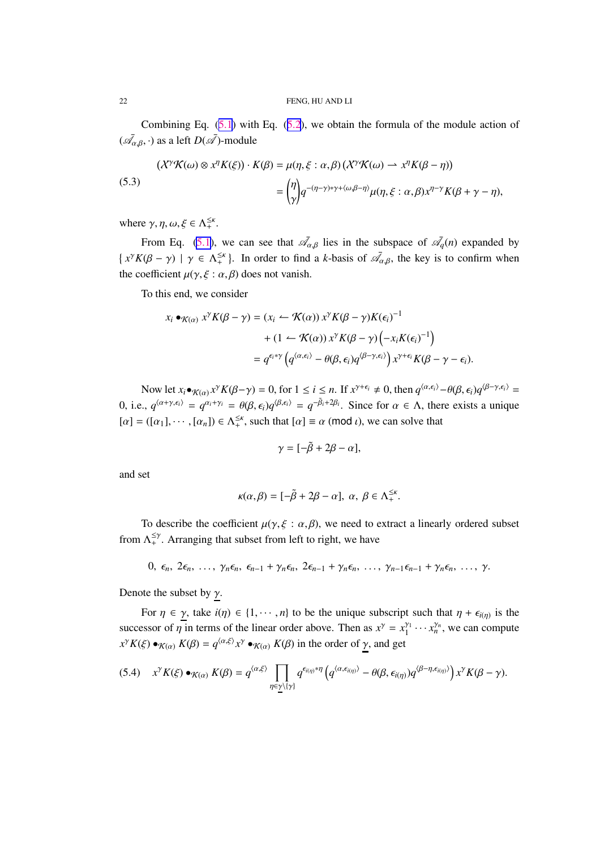<span id="page-21-0"></span>Combining Eq.  $(5.1)$  $(5.1)$  $(5.1)$  with Eq.  $(5.2)$  $(5.2)$  $(5.2)$ , we obtain the formula of the module action of  $(\bar{\mathscr{A}}_{\alpha,\beta},\cdot)$  as a left  $D(\bar{\mathscr{A}})$ -module

(5.3)  
\n
$$
(\mathcal{X}^{\gamma}\mathcal{K}(\omega)\otimes x^{\eta}K(\xi))\cdot K(\beta) = \mu(\eta,\xi:\alpha,\beta)\left(\mathcal{X}^{\gamma}\mathcal{K}(\omega)\rightharpoonup x^{\eta}K(\beta-\eta)\right)
$$
\n
$$
= \binom{\eta}{\gamma}q^{-(\eta-\gamma)*\gamma+\langle\omega,\beta-\eta\rangle}\mu(\eta,\xi:\alpha,\beta)x^{\eta-\gamma}K(\beta+\gamma-\eta),
$$

where  $\gamma$ ,  $\eta$ ,  $\omega$ ,  $\xi \in \Lambda_+^{\leq \kappa}$ .

From Eq. [\(5.1\)](#page-20-0), we can see that  $\bar{\mathcal{A}}_{\alpha,\beta}$  lies in the subspace of  $\bar{\mathcal{A}}_q(n)$  expanded by  $\{x^{\gamma}K(\beta-\gamma) \mid \gamma \in \Lambda_+^{\leq \kappa}\}\.$  In order to find a *k*-basis of  $\overline{\mathscr{A}}_{\alpha,\beta}$ , the key is to confirm when the coefficient  $\mu(\gamma, \xi : \alpha, \beta)$  does not vanish.

To this end, we consider

$$
x_i \bullet_{\mathcal{K}(\alpha)} x^{\gamma} K(\beta - \gamma) = (x_i \leftarrow \mathcal{K}(\alpha)) x^{\gamma} K(\beta - \gamma) K(\epsilon_i)^{-1}
$$

$$
+ (1 \leftarrow \mathcal{K}(\alpha)) x^{\gamma} K(\beta - \gamma) \left( -x_i K(\epsilon_i)^{-1} \right)
$$

$$
= q^{\epsilon_i * \gamma} \left( q^{\langle \alpha, \epsilon_i \rangle} - \theta(\beta, \epsilon_i) q^{\langle \beta - \gamma, \epsilon_i \rangle} \right) x^{\gamma + \epsilon_i} K(\beta - \gamma - \epsilon_i).
$$

Now let  $x_i \bullet_{\mathcal{K}(\alpha)} x^{\gamma} K(\beta - \gamma) = 0$ , for  $1 \le i \le n$ . If  $x^{\gamma + \epsilon_i} \neq 0$ , then  $q^{\langle \alpha, \epsilon_i \rangle} - \theta(\beta, \epsilon_i) q^{\langle \beta - \gamma, \epsilon_i \rangle} =$ 0, i.e.,  $q^{\langle \alpha+\gamma,\epsilon_i \rangle} = q^{\alpha_i+\gamma_i} = \theta(\beta,\epsilon_i)q^{\langle \beta,\epsilon_i \rangle} = q^{-\tilde{\beta}_i+2\beta_i}$ . Since for  $\alpha \in \Lambda$ , there exists a unique  $[\alpha] = ([\alpha_1], \cdots, [\alpha_n]) \in \Lambda_+^{\leq \kappa}$ , such that  $[\alpha] \equiv \alpha \pmod{\iota}$ , we can solve that

$$
\gamma = [-\tilde{\beta} + 2\beta - \alpha],
$$

and set

$$
\kappa(\alpha,\beta)=[-\tilde{\beta}+2\beta-\alpha], \ \alpha, \ \beta\in\Lambda_+^{\leq\kappa}.
$$

To describe the coefficient  $\mu(\gamma, \xi : \alpha, \beta)$ , we need to extract a linearly ordered subset from  $\Lambda_+^{\leq \gamma}$ . Arranging that subset from left to right, we have

$$
0, \epsilon_n, 2\epsilon_n, \ldots, \gamma_n\epsilon_n, \epsilon_{n-1} + \gamma_n\epsilon_n, 2\epsilon_{n-1} + \gamma_n\epsilon_n, \ldots, \gamma_{n-1}\epsilon_{n-1} + \gamma_n\epsilon_n, \ldots, \gamma.
$$

Denote the subset by  $\gamma$ .

For  $\eta \in \gamma$ , take  $i(\eta) \in \{1, \dots, n\}$  to be the unique subscript such that  $\eta + \epsilon_{i(\eta)}$  is the successor of  $\eta$  in terms of the linear order above. Then as  $x^{\gamma} = x_1^{\gamma_1}$  $\chi_1^{\gamma_1} \cdots \chi_n^{\gamma_n}$ , we can compute  $x^{\gamma} K(\xi) \bullet_{\mathcal{K}(\alpha)} K(\beta) = q^{\langle \alpha, \xi \rangle} x^{\gamma} \bullet_{\mathcal{K}(\alpha)} K(\beta)$  in the order of  $\underline{\gamma}$ , and get

$$
(5.4) \t x^{\gamma} K(\xi) \bullet_{\mathcal{K}(\alpha)} K(\beta) = q^{\langle \alpha, \xi \rangle} \prod_{\eta \in \underline{\gamma} \setminus \{\gamma\}} q^{\epsilon_{i(\eta)} * \eta} \left( q^{\langle \alpha, \epsilon_{i(\eta)} \rangle} - \theta(\beta, \epsilon_{i(\eta)}) q^{\langle \beta - \eta, \epsilon_{i(\eta)} \rangle} \right) x^{\gamma} K(\beta - \gamma).
$$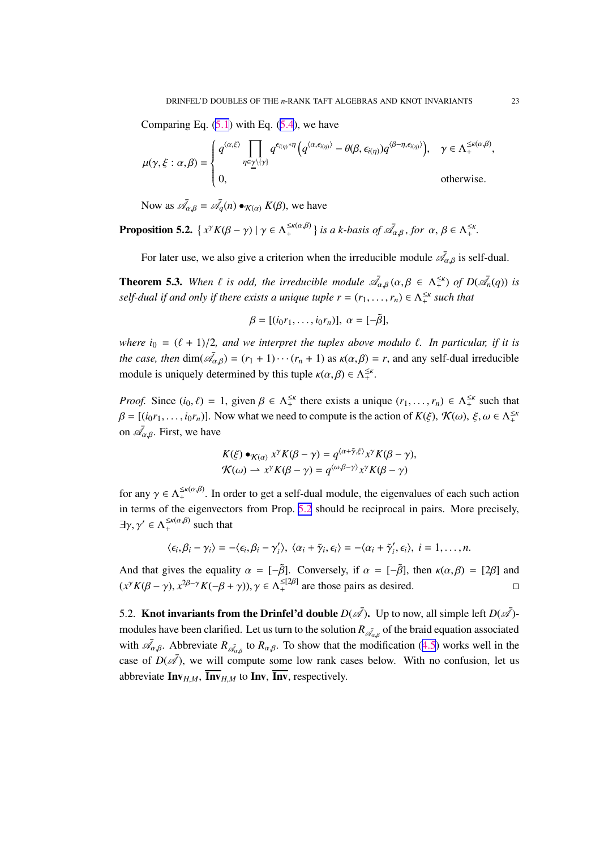<span id="page-22-0"></span>Comparing Eq.  $(5.1)$  $(5.1)$  $(5.1)$  with Eq.  $(5.4)$  $(5.4)$  $(5.4)$ , we have

$$
\mu(\gamma, \xi : \alpha, \beta) = \begin{cases} q^{\langle \alpha, \xi \rangle} \prod_{\eta \in \underline{\gamma} \setminus \{\gamma\}} q^{\epsilon_{i(\eta)} * \eta} \left( q^{\langle \alpha, \epsilon_{i(\eta)} \rangle} - \theta(\beta, \epsilon_{i(\eta)}) q^{\langle \beta - \eta, \epsilon_{i(\eta)} \rangle} \right), & \gamma \in \Lambda_+^{\leq \kappa(\alpha, \beta)}, \\ 0, & \text{otherwise.} \end{cases}
$$

Now as  $\bar{\mathscr{A}}_{\alpha,\beta} = \bar{\mathscr{A}}_q(n) \bullet_{\mathcal{K}(\alpha)} K(\beta)$ , we have

**Proposition 5.2.**  $\{x^{\gamma}K(\beta-\gamma) | \gamma \in \Lambda^{ \leq \kappa(\alpha,\beta) }_{+} \}$  *is a k-basis of*  $\bar{\mathscr{A}}_{\alpha,\beta}$ *, for*  $\alpha, \beta \in \Lambda^{ \leq \kappa}_{+}$ *.* 

For later use, we also give a criterion when the irreducible module  $\bar{\mathscr{A}}_{\alpha,\beta}$  is self-dual.

**Theorem 5.3.** When  $\ell$  is odd, the irreducible module  $\bar{\mathscr{A}}_{\alpha,\beta}(\alpha,\beta \in \Lambda_+^{\leq \kappa})$  of  $D(\bar{\mathscr{A}}_n(q))$  is *self-dual if and only if there exists a unique tuple*  $r = (r_1, \ldots, r_n) \in \Lambda_+^{\leq \kappa}$  *such that* 

$$
\beta = [(i_0r_1,\ldots,i_0r_n)], \alpha = [-\tilde{\beta}],
$$

*where*  $i_0 = (\ell + 1)/2$ *, and we interpret the tuples above modulo*  $\ell$ *. In particular, if it is the case, then*  $\dim(\bar{\mathcal{A}}_{\alpha,\beta}) = (r_1 + 1) \cdots (r_n + 1)$  as  $\kappa(\alpha,\beta) = r$ , and any self-dual irreducible module is uniquely determined by this tuple  $\kappa(\alpha, \beta) \in \Lambda_+^{\leq \kappa}$ .

*Proof.* Since  $(i_0, \ell) = 1$ , given  $\beta \in \Lambda_+^{\leq \kappa}$  there exists a unique  $(r_1, \ldots, r_n) \in \Lambda_+^{\leq \kappa}$  such that  $\beta = [(i_0r_1, \ldots, i_0r_n)]$ . Now what we need to compute is the action of  $K(\xi)$ ,  $\mathcal{K}(\omega)$ ,  $\xi, \omega \in \Lambda_+^{\leq \kappa}$ on  $\bar{\mathcal{A}}_{\alpha,\beta}$ . First, we have

$$
K(\xi) \bullet_{\mathcal{K}(\alpha)} x^{\gamma} K(\beta - \gamma) = q^{\langle \alpha + \tilde{\gamma}, \xi \rangle} x^{\gamma} K(\beta - \gamma),
$$
  

$$
\mathcal{K}(\omega) \to x^{\gamma} K(\beta - \gamma) = q^{\langle \omega, \beta - \gamma \rangle} x^{\gamma} K(\beta - \gamma)
$$

for any  $\gamma \in \Lambda_+^{\leq \kappa(\alpha,\beta)}$ . In order to get a self-dual module, the eigenvalues of each such action in terms of the eigenvectors from Prop. 5.2 should be reciprocal in pairs. More precisely,  $\exists \gamma, \gamma' \in \Lambda_+^{\leq \kappa(\alpha,\beta)}$  such that

$$
\langle \epsilon_i, \beta_i - \gamma_i \rangle = -\langle \epsilon_i, \beta_i - \gamma'_i \rangle, \ \langle \alpha_i + \tilde{\gamma}_i, \epsilon_i \rangle = -\langle \alpha_i + \tilde{\gamma}'_i, \epsilon_i \rangle, \ i = 1, \ldots, n.
$$

And that gives the equality  $\alpha = [-\tilde{\beta}]$ . Conversely, if  $\alpha = [-\tilde{\beta}]$ , then  $\kappa(\alpha, \beta) = [2\beta]$  and  $(x^{\gamma} K(\beta - \gamma), x^{2\beta - \gamma} K(-\beta + \gamma)), \gamma \in \Lambda_+^{\leq [2\beta]}$  are those pairs as desired.

5.2. **Knot invariants from the Drinfel'd double**  $D(\vec{A})$ . Up to now, all simple left  $D(\vec{A})$ modules have been clarified. Let us turn to the solution  $R_{\mathcal{A}_{\alpha,\beta}}$  of the braid equation associated with  $\bar{\mathcal{A}}_{\alpha,\beta}$ . Abbreviate  $R_{\bar{\mathcal{A}}_{\alpha,\beta}}$  to  $R_{\alpha,\beta}$ . To show that the modification ([4.5](#page-17-0)) works well in the case of  $D(\overline{\mathcal{A}})$ , we will compute some low rank cases below. With no confusion, let us abbreviate  $\text{Inv}_{H,M}$ ,  $\text{Inv}_{H,M}$  to Inv, Inv, respectively.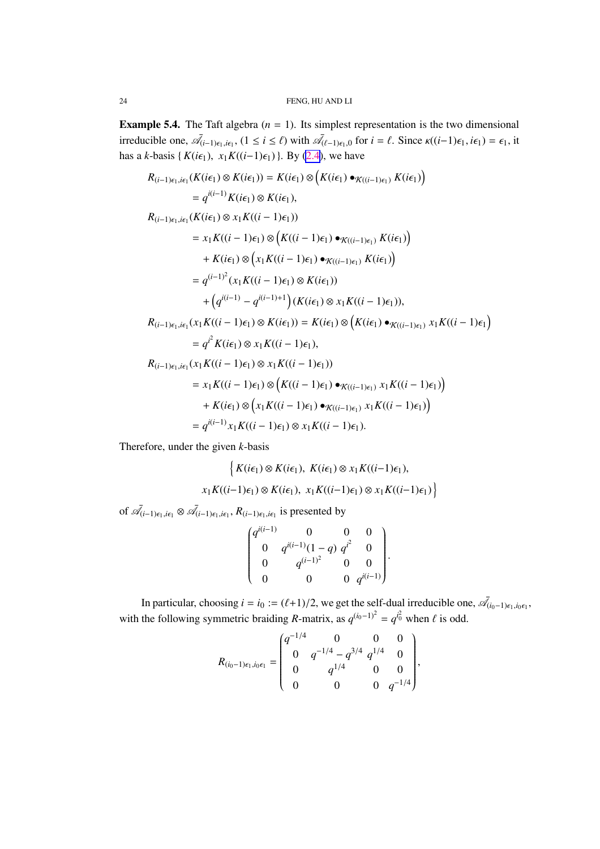**Example 5.4.** The Taft algebra  $(n = 1)$ . Its simplest representation is the two dimensional irreducible one,  $\bar{\mathcal{A}}_{(i-1)\epsilon_1,i\epsilon_1}$ ,  $(1 \le i \le \ell)$  with  $\bar{\mathcal{A}}_{(\ell-1)\epsilon_1,0}$  for  $i = \ell$ . Since  $\kappa((i-1)\epsilon_1,i\epsilon_1) = \epsilon_1$ , it has a *k*-basis { $K(i\epsilon_1)$ ,  $x_1K((i-1)\epsilon_1)$ }. By [\(2.4](#page-5-0)), we have

$$
R_{(i-1)\epsilon_1, i\epsilon_1}(K(i\epsilon_1) \otimes K(i\epsilon_1)) = K(i\epsilon_1) \otimes (K(i\epsilon_1) \bullet_{K((i-1)\epsilon_1)} K(i\epsilon_1))
$$
  
\n
$$
= q^{i(i-1)}K(i\epsilon_1) \otimes K(i\epsilon_1),
$$
  
\n
$$
R_{(i-1)\epsilon_1, i\epsilon_1}(K(i\epsilon_1) \otimes x_1 K((i-1)\epsilon_1))
$$
  
\n
$$
= x_1 K((i-1)\epsilon_1) \otimes (K((i-1)\epsilon_1) \bullet_{K((i-1)\epsilon_1)} K(i\epsilon_1))
$$
  
\n
$$
+ K(i\epsilon_1) \otimes (x_1 K((i-1)\epsilon_1) \bullet_{K((i-1)\epsilon_1)} K(i\epsilon_1))
$$
  
\n
$$
= q^{(i-1)^2} (x_1 K((i-1)\epsilon_1) \otimes K(i\epsilon_1))
$$
  
\n
$$
+ (q^{i(i-1)} - q^{i(i-1)+1}) (K(i\epsilon_1) \otimes x_1 K((i-1)\epsilon_1)),
$$
  
\n
$$
R_{(i-1)\epsilon_1, i\epsilon_1}(x_1 K((i-1)\epsilon_1) \otimes K(i\epsilon_1)) = K(i\epsilon_1) \otimes (K(i\epsilon_1) \bullet_{K((i-1)\epsilon_1)} x_1 K((i-1)\epsilon_1))
$$
  
\n
$$
= q^{i^2} K(i\epsilon_1) \otimes x_1 K((i-1)\epsilon_1),
$$
  
\n
$$
R_{(i-1)\epsilon_1, i\epsilon_1}(x_1 K((i-1)\epsilon_1) \otimes x_1 K((i-1)\epsilon_1))
$$
  
\n
$$
= x_1 K((i-1)\epsilon_1) \otimes (K((i-1)\epsilon_1) \bullet_{K((i-1)\epsilon_1)} x_1 K((i-1)\epsilon_1))
$$
  
\n
$$
+ K(i\epsilon_1) \otimes (x_1 K((i-1)\epsilon_1) \otimes x_1 K((i-1)\epsilon_1).
$$

Therefore, under the given *k*-basis

$$
\left\{ K(i\epsilon_1) \otimes K(i\epsilon_1), K(i\epsilon_1) \otimes x_1 K((i-1)\epsilon_1), \right\}
$$

$$
x_1 K((i-1)\epsilon_1) \otimes K(i\epsilon_1), x_1 K((i-1)\epsilon_1) \otimes x_1 K((i-1)\epsilon_1) \right\}
$$

of  $\bar{\mathscr{A}}_{(i-1)\epsilon_1,i\epsilon_1} \otimes \bar{\mathscr{A}}_{(i-1)\epsilon_1,i\epsilon_1}, R_{(i-1)\epsilon_1,i\epsilon_1}$  is presented by

$$
\begin{pmatrix} q^{i(i-1)} & 0 & 0 & 0 \ 0 & q^{i(i-1)}(1-q) & q^{i^2} & 0 \ 0 & q^{(i-1)^2} & 0 & 0 \ 0 & 0 & 0 & q^{i(i-1)} \end{pmatrix}.
$$

In particular, choosing  $i = i_0 := (\ell+1)/2$ , we get the self-dual irreducible one,  $\mathscr{A}_{(i_0-1)\epsilon_1,i_0\epsilon_1}$ , with the following symmetric braiding *R*-matrix, as  $q^{(i_0-1)^2} = q^{i_0^2}$  when  $\ell$  is odd.

$$
R_{(i_0-1)\epsilon_1, i_0\epsilon_1} = \begin{pmatrix} q^{-1/4} & 0 & 0 & 0 \ 0 & q^{-1/4} - q^{3/4} & q^{1/4} & 0 \ 0 & q^{1/4} & 0 & 0 \ 0 & 0 & 0 & q^{-1/4} \end{pmatrix},
$$

<span id="page-23-0"></span>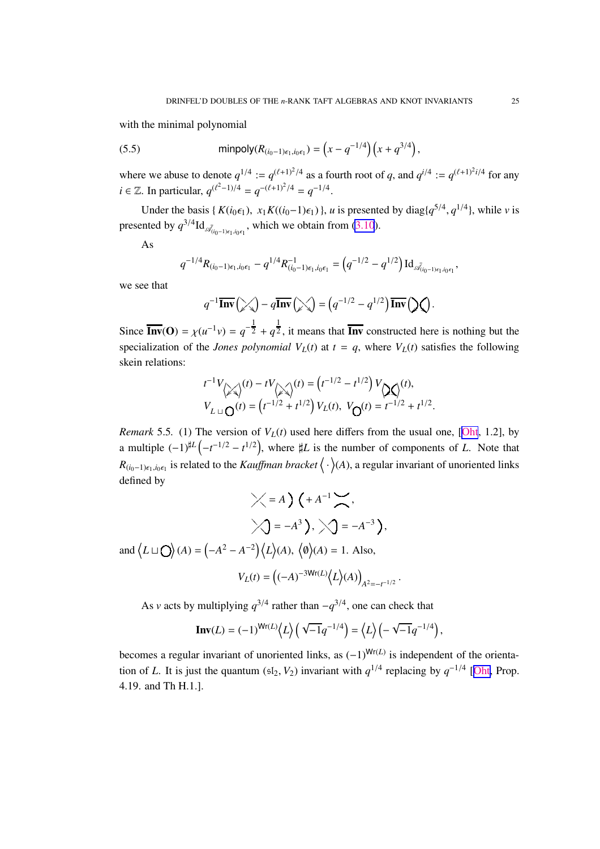<span id="page-24-0"></span>with the minimal polynomial

(5.5) 
$$
\text{minpoly}(R_{(i_0-1)\epsilon_1, i_0\epsilon_1}) = \left(x - q^{-1/4}\right)\left(x + q^{3/4}\right),
$$

where we abuse to denote  $q^{1/4} := q^{(\ell+1)^2/4}$  as a fourth root of q, and  $q^{i/4} := q^{(\ell+1)^2i/4}$  for any *i* ∈ ℤ. In particular,  $q^{(\ell^2-1)/4} = q^{-(\ell+1)^2/4} = q^{-1/4}$ .

Under the basis { $K(i_0 \epsilon_1)$ ,  $x_1 K((i_0-1)\epsilon_1)$ }, *u* is presented by diag{ $q^{5/4}$ ,  $q^{1/4}$ }, while *v* is presented by  $q^{3/4} \text{Id}_{\bar{\mathcal{A}}_{(i_0-1)\epsilon_1, i_0\epsilon_1}}$ , which we obtain from [\(3.10](#page-10-0)).

As

$$
q^{-1/4} R_{(i_0-1)\epsilon_1, i_0\epsilon_1} - q^{1/4} R_{(i_0-1)\epsilon_1, i_0\epsilon_1}^{-1} = (q^{-1/2} - q^{1/2}) \operatorname{Id}_{\mathscr{A}_{(i_0-1)\epsilon_1, i_0\epsilon_1}},
$$

we see that

$$
q^{-1}\overline{\mathbf{Inv}}\left(\diagup_4\right) - q\overline{\mathbf{Inv}}\left(\diagup_4\right) = \left(q^{-1/2} - q^{1/2}\right)\overline{\mathbf{Inv}}\left(\diagdown_4\right).
$$

Since  $\overline{\text{Inv}}(\textbf{O}) = \chi(u^{-1}v) = q^{-\frac{1}{2}} + q^{\frac{1}{2}}$ , it means that  $\overline{\text{Inv}}$  constructed here is nothing but the specialization of the *Jones polynomial*  $V_L(t)$  at  $t = q$ , where  $V_L(t)$  satisfies the following skein relations:

$$
t^{-1}V_{\text{max}}(t) - tV_{\text{max}}(t) = (t^{-1/2} - t^{1/2})V_{\text{max}}(t),
$$
  
\n
$$
V_{L} \cup Q(t) = (t^{-1/2} + t^{1/2})V_{L}(t), V_{Q}(t) = t^{-1/2} + t^{1/2}.
$$

*Remark* 5.5. (1) The version of  $V_L(t)$  used here differs from the usual one, [[Oht](#page-33-0), 1.2], by a multiple  $(-1)^{\sharp L}(-t^{-1/2}-t^{1/2})$ , where  $\sharp L$  is the number of components of *L*. Note that *R*( $i_0$ −1) $\epsilon_1$ , $i_0$  $\epsilon_1$  is related to the *Kauffman bracket*  $\langle \cdot \rangle$ (*A*), a regular invariant of unoriented links defined by

$$
\angle = A \left( + A^{-1} \right),
$$
  

$$
\angle = -A^{3} \left( + A^{-1} \right),
$$
  

$$
\angle = -A^{3} \left( + A^{-1} \right),
$$
  

$$
\angle = -A^{-3} \left( + A^{-2} \right),
$$
  

$$
\angle = -A^{-3} \left( + A^{-3} \right),
$$
  

$$
\angle = -A^{-3} \left( + A^{-3} \right),
$$
  

$$
\angle = -A^{-3} \left( + A^{-1} \right),
$$
  

$$
\angle = -A^{-3} \left( + A^{-1} \right),
$$
  

$$
\angle = -A^{-3} \left( + A^{-1} \right),
$$

 $V_L(t) = \left( (-A)^{-3Wr(L)} \left\langle L \right\rangle (A) \right)$  $A^2 = -t^{-1/2}$ 

As *v* acts by multiplying  $q^{3/4}$  rather than  $-q^{3/4}$ , one can check that

**Inv**
$$
(L) = (-1)^{Wr(L)} \langle L \rangle \left( \sqrt{-1} q^{-1/4} \right) = \langle L \rangle \left( -\sqrt{-1} q^{-1/4} \right),
$$

becomes a regular invariant of unoriented links, as  $(-1)^{Wr(L)}$  is independent of the orientation of *L*. It is just the quantum (sI<sub>2</sub>, *V*<sub>2</sub>) invariant with  $q^{1/4}$  replacing by  $q^{-1/4}$  [[Oht,](#page-33-0) Prop. 4.19. and Th H.1.].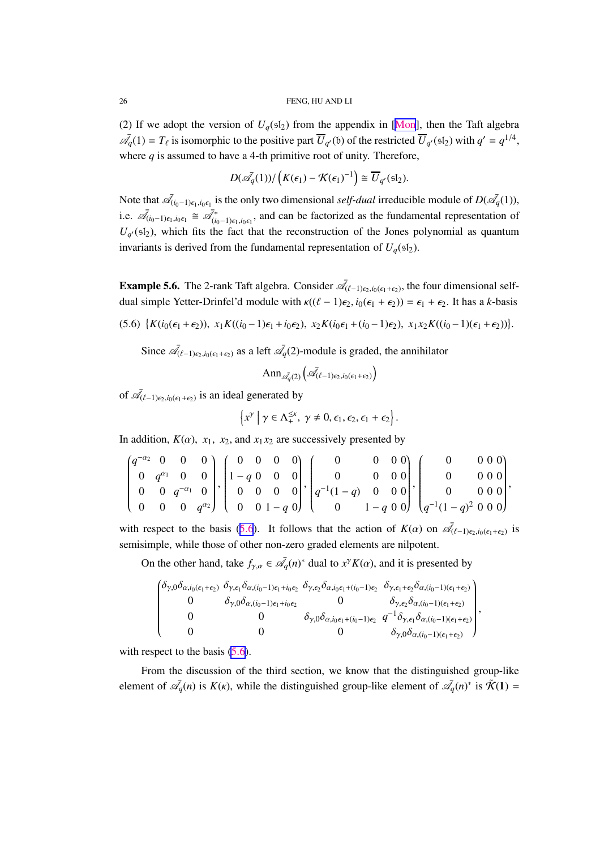<span id="page-25-0"></span>(2) If we adopt the version of  $U_q(\text{sI}_2)$  from the appendix in [[Mon](#page-33-0)], then the Taft algebra  $\overline{\mathcal{A}}_q(1) = T_\ell$  is isomorphic to the positive part  $\overline{U}_{q'}(\mathfrak{b})$  of the restricted  $\overline{U}_{q'}(\mathfrak{sl}_2)$  with  $q' = q^{1/4}$ , where  $q$  is assumed to have a 4-th primitive root of unity. Therefore,

$$
D(\bar{\mathscr{A}_q}(1))/\left(K(\epsilon_1)-\mathcal{K}(\epsilon_1)^{-1}\right)\cong \overline{U}_{q'}(\mathfrak{sl}_2).
$$

Note that  $\bar{\mathcal{A}}_{(i_0-1)\epsilon_1,i_0\epsilon_1}$  is the only two dimensional *self-dual* irreducible module of  $D(\bar{\mathcal{A}}_q(1))$ , i.e.  $\bar{\mathscr{A}}_{(i_0-1)\epsilon_1,i_0\epsilon_1} \cong \bar{\mathscr{A}}_{(i_0-1)\epsilon_1,i_0\epsilon_1}^*$ , and can be factorized as the fundamental representation of  $U_{q'}(\mathfrak{sl}_2)$ , which fits the fact that the reconstruction of the Jones polynomial as quantum invariants is derived from the fundamental representation of  $U_q$ (sl<sub>2</sub>).

**Example 5.6.** The 2-rank Taft algebra. Consider  $\mathcal{A}_{(\ell-1)\epsilon_2,i_0(\epsilon_1+\epsilon_2)}$ , the four dimensional selfdual simple Yetter-Drinfel'd module with  $\kappa((\ell - 1)\epsilon_2, i_0(\epsilon_1 + \epsilon_2)) = \epsilon_1 + \epsilon_2$ . It has a *k*-basis

 $(5.6) \{K(i_0(\epsilon_1+\epsilon_2)), x_1K((i_0-1)\epsilon_1+i_0\epsilon_2), x_2K(i_0\epsilon_1+(i_0-1)\epsilon_2), x_1x_2K((i_0-1)(\epsilon_1+\epsilon_2))\}.$ 

Since  $\bar{\mathcal{A}}_{(\ell-1)\epsilon_2,i_0(\epsilon_1+\epsilon_2)}$  as a left  $\bar{\mathcal{A}}_q(2)$ -module is graded, the annihilator

$$
\mathrm{Ann}_{\bar{\mathscr{A}_q(2)}}\left(\bar{\mathscr{A}_{(\ell-1)\epsilon_2,i_0(\epsilon_1+\epsilon_2)}}\right)
$$

of  $\bar{\mathcal{A}}_{(\ell-1)\epsilon_2,i_0(\epsilon_1+\epsilon_2)}$  is an ideal generated by

$$
\left\{x^{\gamma}\mid \gamma\in\Lambda_+^{\leq\kappa},\;\gamma\neq 0,\epsilon_1,\epsilon_2,\epsilon_1+\epsilon_2\right\}.
$$

In addition,  $K(\alpha)$ ,  $x_1$ ,  $x_2$ , and  $x_1x_2$  are successively presented by

$$
\begin{pmatrix} q^{-\alpha_2} & 0 & 0 & 0 & 0 \ 0 & q^{\alpha_1} & 0 & 0 & 0 \ 0 & 0 & q^{-\alpha_1} & 0 & 0 \ 0 & 0 & 0 & q^{\alpha_2} \end{pmatrix}, \begin{pmatrix} 0 & 0 & 0 & 0 \ 1-q & 0 & 0 & 0 \ 0 & 0 & 0 & 0 \ 0 & 0 & 1-q & 0 \end{pmatrix}, \begin{pmatrix} 0 & 0 & 0 & 0 \ 0 & 0 & 0 & 0 \ 0 & 1-q & 0 & 0 \ 0 & 1-q & 0 & 0 \end{pmatrix}, \begin{pmatrix} 0 & 0 & 0 & 0 \ 0 & 0 & 0 & 0 \ q^{-1}(1-q)^2 & 0 & 0 & 0 \end{pmatrix},
$$

with respect to the basis (5.6). It follows that the action of  $K(\alpha)$  on  $\overline{\mathscr{A}}_{(\ell-1)e_2,i_0(\epsilon_1+\epsilon_2)}$  is semisimple, while those of other non-zero graded elements are nilpotent.

On the other hand, take  $f_{\gamma,\alpha} \in \bar{\mathcal{A}}_q(n)^*$  dual to  $x^{\gamma}K(\alpha)$ , and it is presented by

$$
\begin{pmatrix}\n\delta_{\gamma,0}\delta_{\alpha,i_0(\epsilon_1+\epsilon_2)} & \delta_{\gamma,\epsilon_1}\delta_{\alpha,(i_0-1)\epsilon_1+i_0\epsilon_2} & \delta_{\gamma,\epsilon_2}\delta_{\alpha,i_0\epsilon_1+(i_0-1)\epsilon_2} & \delta_{\gamma,\epsilon_1+\epsilon_2}\delta_{\alpha,(i_0-1)(\epsilon_1+\epsilon_2)} \\
0 & \delta_{\gamma,0}\delta_{\alpha,(i_0-1)\epsilon_1+i_0\epsilon_2} & 0 & \delta_{\gamma,\epsilon_2}\delta_{\alpha,(i_0-1)(\epsilon_1+\epsilon_2)} \\
0 & 0 & \delta_{\gamma,0}\delta_{\alpha,i_0\epsilon_1+(i_0-1)\epsilon_2} & q^{-1}\delta_{\gamma,\epsilon_1}\delta_{\alpha,(i_0-1)(\epsilon_1+\epsilon_2)} \\
0 & 0 & 0 & \delta_{\gamma,0}\delta_{\alpha,(i_0-1)(\epsilon_1+\epsilon_2)}\n\end{pmatrix},
$$

with respect to the basis  $(5.6)$ .

From the discussion of the third section, we know that the distinguished group-like element of  $\bar{\mathcal{A}}_q(n)$  is  $K(\kappa)$ , while the distinguished group-like element of  $\bar{\mathcal{A}}_q(n)^*$  is  $\tilde{\mathcal{K}}(1)$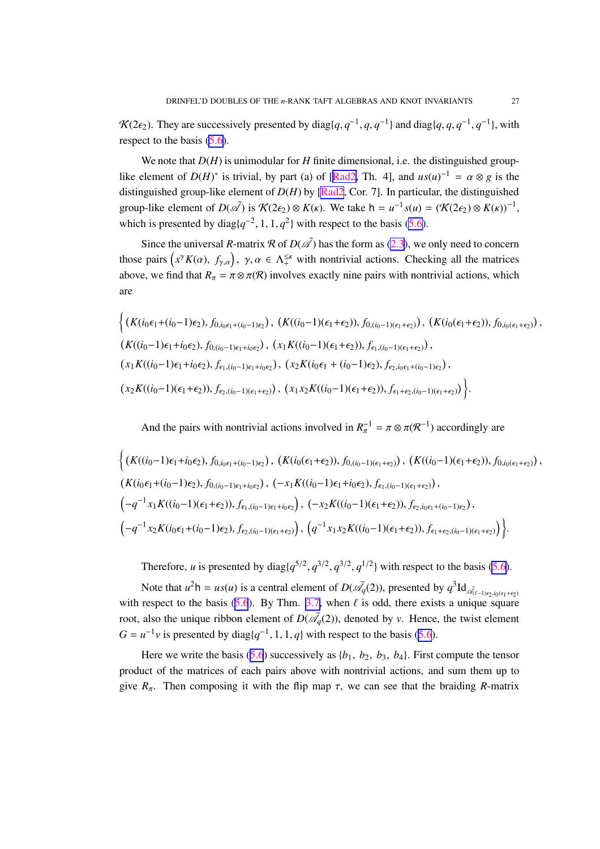<span id="page-26-0"></span> $\mathcal{K}(2\epsilon_2)$ . They are successively presented by diag $\{q, q^{-1}, q, q^{-1}\}\$  and diag $\{q, q, q^{-1}, q^{-1}\}\$ , with respect to the basis  $(5.6)$ .

We note that  $D(H)$  is unimodular for *H* finite dimensional, i.e. the distinguished grouplike element of  $D(H)^*$  is trivial, by part (a) of [[Rad2,](#page-33-0) Th. 4], and  $us(u)^{-1} = \alpha \otimes g$  is the distinguished group-like element of *D*(*H*) by [\[Rad2](#page-33-0), Cor. 7]. In particular, the distinguished group-like element of  $D(\bar{\mathcal{A}})$  is  $\mathcal{K}(2\epsilon_2) \otimes K(\kappa)$ . We take  $h = u^{-1} s(u) = (\mathcal{K}(2\epsilon_2) \otimes K(\kappa))^{-1}$ , which is presented by diag $\{q^{-2}, 1, 1, q^2\}$  with respect to the basis [\(5.6\)](#page-25-0).

Since the universal *R*-matrix  $\mathcal R$  of  $D(\overline{\mathcal A})$  has the form as [\(2.3\)](#page-4-0), we only need to concern those pairs  $(x^{\gamma} K(\alpha), f_{\gamma,\alpha})$ ,  $\gamma, \alpha \in \Lambda_+^{\leq \kappa}$  with nontrivial actions. Checking all the matrices above, we find that  $R_{\pi} = \pi \otimes \pi(\mathcal{R})$  involves exactly nine pairs with nontrivial actions, which are

$$
\left\{ (K(i_0\epsilon_1 + (i_0-1)\epsilon_2), f_{0,i_0\epsilon_1 + (i_0-1)\epsilon_2}), (K((i_0-1)(\epsilon_1 + \epsilon_2)), f_{0,(i_0-1)(\epsilon_1 + \epsilon_2)}), (K(i_0(\epsilon_1 + \epsilon_2)), f_{0,i_0(\epsilon_1 + \epsilon_2)}), (K((i_0-1)\epsilon_1 + i_0\epsilon_2), f_{0,(i_0-1)\epsilon_1 + i_0\epsilon_2}), (x_1K((i_0-1)(\epsilon_1 + \epsilon_2)), f_{\epsilon_1,(i_0-1)(\epsilon_1 + \epsilon_2)}), (x_2K(i_0\epsilon_1 + (i_0-1)\epsilon_2), f_{\epsilon_2,i_0\epsilon_1 + (i_0-1)\epsilon_2}), (x_2K((i_0-1)(\epsilon_1 + \epsilon_2)), f_{\epsilon_1 + \epsilon_2, (i_0-1)(\epsilon_1 + \epsilon_2)}) \right\}
$$

And the pairs with nontrivial actions involved in  $R_{\pi}^{-1} = \pi \otimes \pi(\mathcal{R}^{-1})$  accordingly are

$$
\left\{ (K((i_0-1)\epsilon_1+i_0\epsilon_2), f_{0,i_0\epsilon_1+(i_0-1)\epsilon_2}), (K(i_0(\epsilon_1+\epsilon_2)), f_{0,(i_0-1)(\epsilon_1+\epsilon_2)}), (K((i_0-1)(\epsilon_1+\epsilon_2)), f_{0,i_0(\epsilon_1+\epsilon_2)}), (K((i_0-1)\epsilon_1+i_0\epsilon_2), f_{0,(i_0-1)\epsilon_1+i_0\epsilon_2}), (-x_1K((i_0-1)\epsilon_1+i_0\epsilon_2), f_{\epsilon_1,(i_0-1)(\epsilon_1+\epsilon_2)}), (K((i_0-1)\epsilon_1+i_0\epsilon_2), f_{\epsilon_1,(i_0-1)(\epsilon_1+\epsilon_2)}), (K((i_0-1)\epsilon_1+i_0\epsilon_2), f_{\epsilon_1,(i_0-1)(\epsilon_1+\epsilon_2)})
$$
\n
$$
(-q^{-1}x_1K((i_0-1)(\epsilon_1+\epsilon_2)), f_{\epsilon_1,(i_0-1)(\epsilon_1+\epsilon_2)})
$$
\n
$$
(-q^{-1}x_2K(i_0\epsilon_1+(i_0-1)\epsilon_2), f_{\epsilon_2,(i_0-1)(\epsilon_1+\epsilon_2)})
$$
\n
$$
(q^{-1}x_1x_2K((i_0-1)(\epsilon_1+\epsilon_2)), f_{\epsilon_1+\epsilon_2,(i_0-1)(\epsilon_1+\epsilon_2)})
$$

Therefore, *u* is presented by diag $\{q^{5/2}, q^{3/2}, q^{3/2}, q^{1/2}\}\$  with respect to the basis [\(5.6\)](#page-25-0).

Note that  $u^2h = us(u)$  is a central element of  $D(\bar{\mathcal{A}}_q(2))$ , presented by  $q^3 \text{Id}_{\bar{\mathcal{A}}_{(\ell-1)\epsilon_2, i_0(\epsilon_1+\epsilon_2)}}$ with respect to the basis ([5.6](#page-25-0)). By Thm. [3.7,](#page-10-0) when  $\ell$  is odd, there exists a unique square root, also the unique ribbon element of  $D(\bar{\mathcal{A}}_q(2))$ , denoted by *v*. Hence, the twist element  $G = u^{-1}v$  is presented by diag $\{q^{-1}, 1, 1, q\}$  with respect to the basis ([5.6](#page-25-0)).

Here we write the basis  $(5.6)$  $(5.6)$  $(5.6)$  successively as  $\{b_1, b_2, b_3, b_4\}$ . First compute the tensor product of the matrices of each pairs above with nontrivial actions, and sum them up to give  $R_{\pi}$ . Then composing it with the flip map  $\tau$ , we can see that the braiding *R*-matrix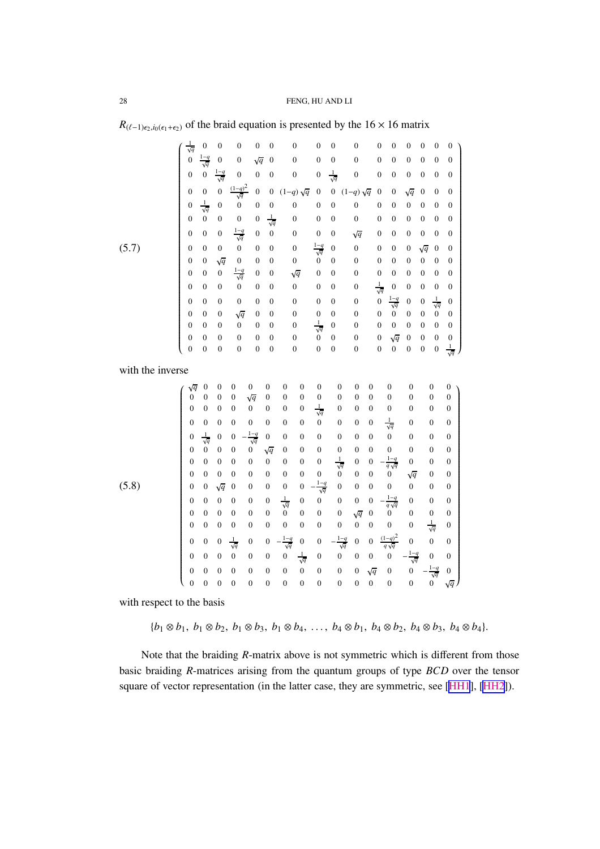|                  | $\frac{1}{\sqrt{q}}$             | $\boldsymbol{0}$                   | $\mathbf{0}$                       | $\mathbf{0}$                                                         | $\boldsymbol{0}$                   | $\overline{0}$                       | $\mathbf{0}$                             |                                      | $\overline{0}$                       | $\overline{0}$                     | 0                                      | $\overline{0}$                     | $\boldsymbol{0}$                      | $\boldsymbol{0}$                     | $\mathbf{0}$                       | $\mathbf{0}$                       | $\boldsymbol{0}$                       |
|------------------|----------------------------------|------------------------------------|------------------------------------|----------------------------------------------------------------------|------------------------------------|--------------------------------------|------------------------------------------|--------------------------------------|--------------------------------------|------------------------------------|----------------------------------------|------------------------------------|---------------------------------------|--------------------------------------|------------------------------------|------------------------------------|----------------------------------------|
|                  | $\overline{0}$                   | $rac{1-q}{\sqrt{q}}$               |                                    | $\boldsymbol{0}$                                                     | $\sqrt{q}$                         | $\overline{0}$                       | $\mathbf{0}$                             |                                      | $\overline{0}$                       | $\overline{0}$                     | $\boldsymbol{0}$                       | $\boldsymbol{0}$                   | $\boldsymbol{0}$                      | $\overline{0}$                       | $\mathbf{0}$                       | $\boldsymbol{0}$                   | $\boldsymbol{0}$                       |
|                  | $\boldsymbol{0}$                 | $\overline{0}$                     | $\frac{1-q}{\sqrt{q}}$             | $\mathbf{0}$                                                         | $\overline{0}$                     | $\boldsymbol{0}$                     | $\overline{0}$                           |                                      | $\boldsymbol{0}$                     | $\frac{1}{\sqrt{q}}$               | $\boldsymbol{0}$                       | $\boldsymbol{0}$                   | $\boldsymbol{0}$                      | $\overline{0}$                       | $\boldsymbol{0}$                   | $\boldsymbol{0}$                   | $\boldsymbol{0}$                       |
|                  | $\mathbf{0}$                     | $\overline{0}$                     | $\overline{0}$                     | $\frac{(1-q)^2}{\sqrt{q}}$                                           | $\mathbf{0}$                       | $\boldsymbol{0}$                     | $(1-q)\sqrt{q}$                          |                                      | $\overline{0}$                       | $\boldsymbol{0}$                   | $(1-q)\sqrt{q}$                        | $\mathbf{0}$                       | $\boldsymbol{0}$                      | $\sqrt{q}$                           | $\overline{0}$                     | $\overline{0}$                     | $\mathbf{0}$                           |
|                  | $\overline{0}$                   | $\frac{1}{\sqrt{q}}$               | $\overline{0}$                     | $\overline{0}$                                                       | $\boldsymbol{0}$                   | $\overline{0}$                       | $\boldsymbol{0}$                         |                                      | $\mathbf{0}$                         | $\overline{0}$                     | $\boldsymbol{0}$                       | $\overline{0}$                     | $\mathbf{0}$                          | $\boldsymbol{0}$                     | $\overline{0}$                     | $\overline{0}$                     | $\mathbf{0}$                           |
|                  | $\mathbf{0}$                     | $\overline{0}$                     | $\boldsymbol{0}$                   | $\boldsymbol{0}$                                                     | $\boldsymbol{0}$                   | $\frac{1}{\sqrt{q}}$                 | $\boldsymbol{0}$                         |                                      | $\boldsymbol{0}$                     | 0                                  | $\boldsymbol{0}$                       | $\boldsymbol{0}$                   | $\boldsymbol{0}$                      | $\boldsymbol{0}$                     | $\boldsymbol{0}$                   | $\boldsymbol{0}$                   | $\boldsymbol{0}$                       |
|                  | $\overline{0}$                   | $\overline{0}$                     | $\boldsymbol{0}$                   | $rac{1-q}{\sqrt{q}}$                                                 | $\overline{0}$                     | $\boldsymbol{0}$                     | $\mathbf{0}$                             |                                      | $\overline{0}$                       | $\mathbf{0}$                       | $\sqrt{q}$                             | $\mathbf{0}$                       | $\boldsymbol{0}$                      | $\mathbf{0}$                         | $\overline{0}$                     | $\mathbf{0}$                       | $\mathbf{0}$                           |
| (5.7)            | $\boldsymbol{0}$                 | $\overline{0}$                     | $\boldsymbol{0}$                   | $\mathbf{0}$                                                         | $\boldsymbol{0}$                   | $\boldsymbol{0}$                     | $\boldsymbol{0}$                         |                                      | $rac{1-q}{\sqrt{q}}$                 | $\overline{0}$                     | $\boldsymbol{0}$                       | $\mathbf{0}$                       | $\boldsymbol{0}$                      | $\boldsymbol{0}$                     | $\sqrt{q}$                         | $\boldsymbol{0}$                   | $\boldsymbol{0}$                       |
|                  | $\mathbf{0}$                     | $\overline{0}$                     | $\sqrt{q}$                         | $\boldsymbol{0}$                                                     | $\boldsymbol{0}$                   | $\boldsymbol{0}$                     | $\boldsymbol{0}$                         |                                      | $\boldsymbol{0}$                     | $\mathbf{0}$                       | $\boldsymbol{0}$                       | $\boldsymbol{0}$                   | $\boldsymbol{0}$                      | $\boldsymbol{0}$                     | $\boldsymbol{0}$                   | $\boldsymbol{0}$                   | $\boldsymbol{0}$                       |
|                  | $\overline{0}$                   | $\overline{0}$                     | $\boldsymbol{0}$                   | $rac{1-q}{\sqrt{q}}$                                                 | $\overline{0}$                     | $\overline{0}$                       | $\sqrt{q}$                               |                                      | $\overline{0}$                       | $\mathbf{0}$                       | $\overline{0}$                         | $\boldsymbol{0}$                   | $\boldsymbol{0}$                      | $\boldsymbol{0}$                     | $\boldsymbol{0}$                   | $\boldsymbol{0}$                   | $\mathbf{0}$                           |
|                  | $\mathbf{0}$                     | $\overline{0}$                     | $\boldsymbol{0}$                   | $\boldsymbol{0}$                                                     | $\boldsymbol{0}$                   | $\boldsymbol{0}$                     | $\boldsymbol{0}$                         |                                      | $\boldsymbol{0}$                     | $\mathbf{0}$                       | $\boldsymbol{0}$                       | $\frac{1}{\sqrt{q}}$               | $\boldsymbol{0}$                      | $\boldsymbol{0}$                     | $\boldsymbol{0}$                   | $\boldsymbol{0}$                   | $\boldsymbol{0}$                       |
|                  | $\overline{0}$                   | $\overline{0}$                     | $\boldsymbol{0}$                   | $\boldsymbol{0}$                                                     | $\boldsymbol{0}$                   | $\boldsymbol{0}$                     | $\boldsymbol{0}$                         |                                      | $\boldsymbol{0}$                     | $\mathbf{0}$                       | $\boldsymbol{0}$                       | $\overline{0}$                     | $\frac{1-q}{\sqrt{q}}$ 0              | $\overline{0}$                       | $\boldsymbol{0}$                   | $\frac{1}{\sqrt{q}}$               | $\mathbf{0}$                           |
|                  | $\overline{0}$                   | $\overline{0}$                     | $\boldsymbol{0}$                   | $\sqrt{q}$                                                           | $\overline{0}$                     | $\overline{0}$                       | $\overline{0}$                           |                                      | $\boldsymbol{0}$                     | $\overline{0}$                     | $\boldsymbol{0}$                       | $\boldsymbol{0}$                   |                                       | $\overline{0}$                       | $\mathbf{0}$                       | $\boldsymbol{0}$                   | $\overline{0}$                         |
|                  | $\overline{0}$<br>$\overline{0}$ | $\overline{0}$                     | $\overline{0}$                     | $\overline{0}$                                                       | $\boldsymbol{0}$                   | $\boldsymbol{0}$                     | $\boldsymbol{0}$                         |                                      | $\frac{1}{\sqrt{q}}$                 | $\boldsymbol{0}$                   | $\boldsymbol{0}$                       | $\boldsymbol{0}$                   | $\overline{0}$                        | $\mathbf{0}$                         | $\boldsymbol{0}$                   | $\overline{0}$<br>$\mathbf{0}$     | $\overline{0}$                         |
|                  | $\overline{0}$                   | $\overline{0}$<br>$\overline{0}$   | $\boldsymbol{0}$<br>$\overline{0}$ | $\boldsymbol{0}$<br>$\overline{0}$                                   | $\boldsymbol{0}$<br>$\overline{0}$ | $\boldsymbol{0}$<br>$\overline{0}$   | $\boldsymbol{0}$<br>$\overline{0}$       |                                      | $\boldsymbol{0}$<br>$\overline{0}$   | $\boldsymbol{0}$<br>$\mathbf{0}$   | $\boldsymbol{0}$<br>$\boldsymbol{0}$   | $\boldsymbol{0}$<br>$\overline{0}$ | $\sqrt{q}$<br>$\overline{0}$          | $\boldsymbol{0}$<br>$\overline{0}$   | $\boldsymbol{0}$<br>$\overline{0}$ | $\overline{0}$                     | $\boldsymbol{0}$<br>$rac{1}{\sqrt{q}}$ |
|                  |                                  |                                    |                                    |                                                                      |                                    |                                      |                                          |                                      |                                      |                                    |                                        |                                    |                                       |                                      |                                    |                                    |                                        |
| with the inverse |                                  |                                    |                                    |                                                                      |                                    |                                      |                                          |                                      |                                      |                                    |                                        |                                    |                                       |                                      |                                    |                                    |                                        |
|                  |                                  | $\boldsymbol{0}$                   | $\boldsymbol{0}$                   | $\overline{0}$<br>$\boldsymbol{0}$                                   |                                    | $\mathbf{0}$                         | $\boldsymbol{0}$                         | $\boldsymbol{0}$                     | $\boldsymbol{0}$                     | $\overline{0}$                     | $\boldsymbol{0}$                       | $\mathbf{0}$                       | $\boldsymbol{0}$                      | $\boldsymbol{0}$                     |                                    | $\boldsymbol{0}$                   | $\boldsymbol{0}$                       |
|                  | $\dot{0}$                        | $\overline{0}$                     | $\overline{0}$                     | $\overline{0}$                                                       | $\sqrt{q}$                         | $\overline{0}$                       | $\boldsymbol{0}$                         | $\boldsymbol{0}$                     | $\boldsymbol{0}$                     | $\overline{0}$                     | $\boldsymbol{0}$                       | $\overline{0}$                     | $\mathbf{0}$                          | $\boldsymbol{0}$                     |                                    | $\mathbf{0}$                       | $\mathbf{0}$                           |
|                  | $\overline{0}$                   | $\overline{0}$                     | $\overline{0}$                     | $\overline{0}$                                                       | $\boldsymbol{0}$                   | 0                                    | $\boldsymbol{0}$                         | $\boldsymbol{0}$                     | $\frac{1}{\sqrt{q}}$                 | $\boldsymbol{0}$                   | $\boldsymbol{0}$                       | $\boldsymbol{0}$                   | $\boldsymbol{0}$                      | $\boldsymbol{0}$                     |                                    | $\boldsymbol{0}$                   | $\boldsymbol{0}$                       |
|                  | $\overline{0}$                   | $\overline{0}$                     | $\overline{0}$                     | $\boldsymbol{0}$<br>$\overline{0}$                                   |                                    | $\boldsymbol{0}$                     | $\boldsymbol{0}$                         | $\mathbf{0}$                         | $\boldsymbol{0}$                     | $\boldsymbol{0}$                   | $\boldsymbol{0}$                       | $\boldsymbol{0}$                   | $\frac{1}{\sqrt{q}}$                  | $\mathbf{0}$                         |                                    | $\boldsymbol{0}$                   | $\boldsymbol{0}$                       |
|                  | $\overline{0}$                   | $\frac{1}{\sqrt{q}}$               | $\overline{0}$                     | $\overline{0}$                                                       | $rac{1-q}{\sqrt{q}}$               | $\overline{0}$                       | $\boldsymbol{0}$                         | $\boldsymbol{0}$                     | $\overline{0}$                       | $\overline{0}$                     | $\mathbf{0}$                           | $\overline{0}$                     | $\boldsymbol{0}$                      | $\boldsymbol{0}$                     |                                    | $\mathbf{0}$                       | $\boldsymbol{0}$                       |
|                  | $\mathbf{0}$                     | $\ddot{\mathbf{0}}$                | $\boldsymbol{0}$                   | $\boldsymbol{0}$<br>$\mathbf{0}$                                     |                                    | $\sqrt{q}$                           | $\boldsymbol{0}$                         | $\boldsymbol{0}$                     | $\boldsymbol{0}$                     | $\boldsymbol{0}$                   | $\boldsymbol{0}$                       | $\mathbf{0}$                       | $\overline{0}$                        | $\boldsymbol{0}$                     |                                    | $\mathbf{0}$                       | $\boldsymbol{0}$                       |
|                  | $\overline{0}$<br>$\overline{0}$ | $\boldsymbol{0}$<br>$\overline{0}$ | $\boldsymbol{0}$                   | $\overline{0}$                                                       | $\overline{0}$                     | $\boldsymbol{0}$                     | $\boldsymbol{0}$                         | $\boldsymbol{0}$                     | $\boldsymbol{0}$                     | $\frac{1}{\sqrt{q}}$               | $\boldsymbol{0}$                       | $\overline{0}$                     | $rac{1-q}{q\sqrt{q}}$                 | $\overline{0}$                       |                                    | $\mathbf{0}$                       | $\boldsymbol{0}$                       |
| (5.8)            | $\overline{0}$                   | $\mathbf{0}$                       | $\boldsymbol{0}$<br>$\sqrt{q}$     | $\overline{0}$<br>$\mathbf{0}$                                       | $\overline{0}$<br>$\boldsymbol{0}$ | $\boldsymbol{0}$<br>$\boldsymbol{0}$ | $\boldsymbol{0}$<br>$\boldsymbol{0}$     | $\boldsymbol{0}$<br>$\boldsymbol{0}$ | $\boldsymbol{0}$                     | $\boldsymbol{0}$<br>$\overline{0}$ | $\boldsymbol{0}$<br>$\boldsymbol{0}$   | $\mathbf{0}$<br>$\boldsymbol{0}$   | $\boldsymbol{0}$<br>$\boldsymbol{0}$  | $\sqrt{q}$<br>$\boldsymbol{0}$       |                                    | $\overline{0}$<br>$\boldsymbol{0}$ | $\boldsymbol{0}$<br>$\boldsymbol{0}$   |
|                  |                                  |                                    |                                    |                                                                      |                                    |                                      |                                          |                                      | $rac{1-q}{\sqrt{q}}$                 |                                    |                                        |                                    |                                       |                                      |                                    |                                    |                                        |
|                  | $\overline{0}$<br>$\overline{0}$ | $\overline{0}$<br>$\overline{0}$   | $\boldsymbol{0}$<br>$\overline{0}$ | $\overline{0}$<br>$\overline{0}$<br>$\overline{0}$<br>$\overline{0}$ |                                    | $\boldsymbol{0}$<br>$\boldsymbol{0}$ | $\frac{1}{\sqrt{q}}$<br>$\boldsymbol{0}$ | $\boldsymbol{0}$<br>$\mathbf{0}$     | $\boldsymbol{0}$<br>$\boldsymbol{0}$ | $\boldsymbol{0}$<br>$\overline{0}$ | $\boldsymbol{0}$                       | $\overline{0}$<br>$\overline{0}$   | $rac{1-q}{q\sqrt{q}}$<br>$\mathbf{0}$ | $\boldsymbol{0}$<br>$\boldsymbol{0}$ |                                    | $\boldsymbol{0}$<br>$\overline{0}$ | $\boldsymbol{0}$<br>$\boldsymbol{0}$   |
|                  | $\overline{0}$                   | $\mathbf{0}$                       | $\boldsymbol{0}$                   | $\mathbf{0}$                                                         | $\boldsymbol{0}$                   | $\boldsymbol{0}$                     | $\overline{0}$                           | $\boldsymbol{0}$                     | $\boldsymbol{0}$                     | $\overline{0}$                     | $\sqrt{q}$<br>$\boldsymbol{0}$         | $\boldsymbol{0}$                   | $\boldsymbol{0}$                      | $\boldsymbol{0}$                     |                                    | $\frac{1}{\sqrt{q}}$               | $\boldsymbol{0}$                       |
|                  |                                  |                                    |                                    |                                                                      |                                    |                                      |                                          |                                      |                                      |                                    |                                        |                                    |                                       | $\overline{0}$                       |                                    | $\overline{0}$                     |                                        |
|                  | $\overline{0}$                   | $\boldsymbol{0}$                   | $\boldsymbol{0}$                   | $\frac{1}{\sqrt{q}}$                                                 | $\boldsymbol{0}$                   | $\boldsymbol{0}$                     | $rac{1-q}{\sqrt{q}}$                     | $\boldsymbol{0}$                     | $\boldsymbol{0}$                     |                                    | $\frac{1-q}{\sqrt{q}}$<br>$\mathbf{0}$ | $\overline{0}$                     | $\frac{(1-q)^2}{q\sqrt{q}}$           |                                      |                                    |                                    | $\mathbf{0}$                           |
|                  | $\mathbf{0}$                     | $\boldsymbol{0}$                   | $\overline{0}$                     | $\overline{0}$                                                       | $\boldsymbol{0}$                   | $\boldsymbol{0}$                     | $\boldsymbol{0}$                         | $\frac{1}{\sqrt{q}}$                 | $\boldsymbol{0}$                     | $\boldsymbol{0}$                   | $\boldsymbol{0}$                       | $\boldsymbol{0}$                   | $\boldsymbol{0}$                      | $rac{1-q}{\sqrt{q}}$                 |                                    | $\boldsymbol{0}$                   | $\boldsymbol{0}$                       |
|                  | $\overline{0}$                   | $\mathbf{0}$                       | $\mathbf{0}$                       | $\overline{0}$                                                       | $\mathbf{0}$                       | $\boldsymbol{0}$                     | $\boldsymbol{0}$                         | $\boldsymbol{0}$                     | $\boldsymbol{0}$                     | $\boldsymbol{0}$                   | $\boldsymbol{0}$                       | $\sqrt{q}$                         | $\boldsymbol{0}$                      | $\boldsymbol{0}$                     |                                    | $\frac{1-q}{\sqrt{q}}$             | $\boldsymbol{0}$                       |
|                  | $\overline{0}$                   | $\overline{0}$                     | $\overline{0}$                     | $\overline{0}$                                                       | $\overline{0}$                     | $\overline{0}$                       | $\boldsymbol{0}$                         | $\overline{0}$                       | $\boldsymbol{0}$                     | $\overline{0}$                     | $\overline{0}$                         | $\overline{0}$                     | $\overline{0}$                        | $\overline{0}$                       |                                    | $\mathbf{0}$                       | $\sqrt{q}$                             |

<span id="page-27-0"></span> $R_{(\ell-1)\epsilon_2,i_0(\epsilon_1+\epsilon_2)}$  of the braid equation is presented by the 16 × 16 matrix

with respect to the basis

{*b*<sup>1</sup> ⊗ *b*1, *b*<sup>1</sup> ⊗ *b*2, *b*<sup>1</sup> ⊗ *b*3, *b*<sup>1</sup> ⊗ *b*4, . . . , *b*<sup>4</sup> ⊗ *b*1, *b*<sup>4</sup> ⊗ *b*2, *b*<sup>4</sup> ⊗ *b*3, *b*<sup>4</sup> ⊗ *b*4}.

Note that the braiding *R*-matrix above is not symmetric which is different from those basic braiding *R*-matrices arising from the quantum groups of type *BCD* over the tensor square of vector representation (in the latter case, they are symmetric, see [\[HH1](#page-32-0)], [\[HH2](#page-33-0)]).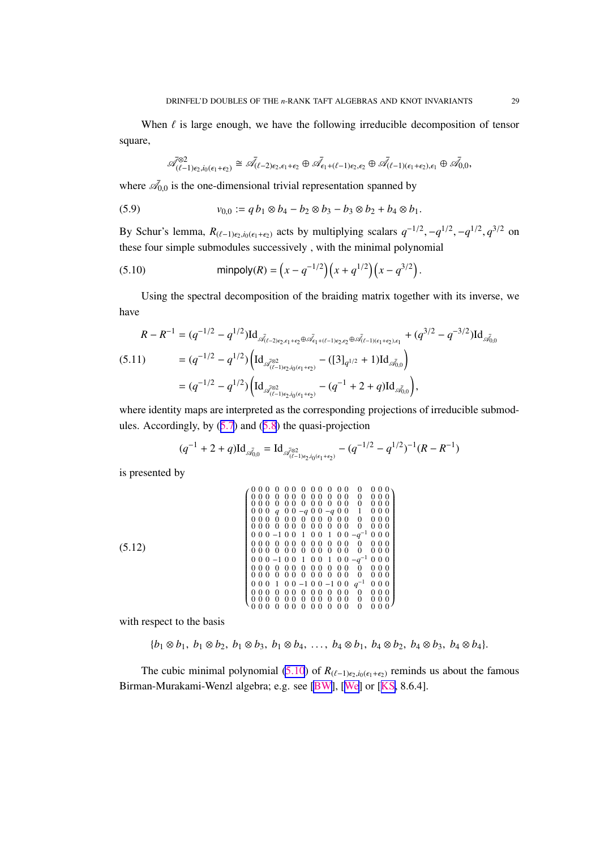<span id="page-28-0"></span>When  $\ell$  is large enough, we have the following irreducible decomposition of tensor square,

$$
\overline{\mathscr{A}}_{(\ell-1)\epsilon_2,i_0(\epsilon_1+\epsilon_2)}^{\otimes 2} \cong \overline{\mathscr{A}}_{(\ell-2)\epsilon_2,\epsilon_1+\epsilon_2} \oplus \overline{\mathscr{A}}_{\epsilon_1+(\ell-1)\epsilon_2,\epsilon_2} \oplus \overline{\mathscr{A}}_{(\ell-1)(\epsilon_1+\epsilon_2),\epsilon_1} \oplus \overline{\mathscr{A}}_{0,0},
$$

where  $\bar{\mathcal{A}}_{0,0}$  is the one-dimensional trivial representation spanned by

(5.9) 
$$
v_{0,0} := q b_1 \otimes b_4 - b_2 \otimes b_3 - b_3 \otimes b_2 + b_4 \otimes b_1.
$$

By Schur's lemma,  $R_{(\ell-1)\epsilon_2,i_0(\epsilon_1+\epsilon_2)}$  acts by multiplying scalars  $q^{-1/2}$ ,  $-q^{1/2}$ ,  $-q^{1/2}$ ,  $q^{3/2}$  on these four simple submodules successively , with the minimal polynomial

(5.10) 
$$
\text{minpoly}(R) = \left(x - q^{-1/2}\right)\left(x + q^{1/2}\right)\left(x - q^{3/2}\right).
$$

Using the spectral decomposition of the braiding matrix together with its inverse, we have

$$
R - R^{-1} = (q^{-1/2} - q^{1/2}) \operatorname{Id}_{\mathscr{A}_{(\ell-2)\epsilon_2, \epsilon_1 + \epsilon_2} \oplus \mathscr{A}_{\epsilon_1 + (\ell-1)\epsilon_2, \epsilon_2} \oplus \mathscr{A}_{(\ell-1)(\epsilon_1 + \epsilon_2), \epsilon_1}} + (q^{3/2} - q^{-3/2}) \operatorname{Id}_{\mathscr{A}_{0,0}}
$$
  
\n(5.11) 
$$
= (q^{-1/2} - q^{1/2}) \left( \operatorname{Id}_{\mathscr{A}_{(\ell-1)\epsilon_2, i_0(\epsilon_1 + \epsilon_2)}} - (\operatorname{[3]}_{q^{1/2}} + 1) \operatorname{Id}_{\mathscr{A}_{0,0}} \right)
$$

$$
= (q^{-1/2} - q^{1/2}) \left( \operatorname{Id}_{\mathscr{A}_{(\ell-1)\epsilon_2, i_0(\epsilon_1 + \epsilon_2)}} - (q^{-1} + 2 + q) \operatorname{Id}_{\mathscr{A}_{0,0}} \right),
$$

where identity maps are interpreted as the corresponding projections of irreducible submodules. Accordingly, by  $(5.7)$  $(5.7)$  $(5.7)$  and  $(5.8)$  $(5.8)$  $(5.8)$  the quasi-projection

$$
(q^{-1} + 2 + q)\mathrm{Id}_{\bar{\mathcal{A}}_{0,0}} = \mathrm{Id}_{\bar{\mathcal{A}}_{(\ell-1)\epsilon_2, i_0(\epsilon_1 + \epsilon_2)}} - (q^{-1/2} - q^{1/2})^{-1}(R - R^{-1})
$$

is presented by

(5.12) 0 0 0 0 0 0 0 0 0 0 0 0 0 0 0 0 0 0 0 0 0 0 0 0 0 0 0 0 0 0 0 0 0 0 0 0 0 0 0 0 0 0 0 0 0 0 0 0 0 0 0 *q* 0 0 −*q* 0 0 −*q* 0 0 1 0 0 0 0 0 0 0 0 0 0 0 0 0 0 0 0 0 0 0 0 0 0 0 0 0 0 0 0 0 0 0 0 0 0 0 0 0 0 −1 0 0 1 0 0 1 0 0 −*q* <sup>−</sup><sup>1</sup> 0 0 0 0 0 0 0 0 0 0 0 0 0 0 0 0 0 0 0 0 0 0 0 0 0 0 0 0 0 0 0 0 0 0 0 0 0 0 −1 0 0 1 0 0 1 0 0 −*q* <sup>−</sup><sup>1</sup> 0 0 0 0 0 0 0 0 0 0 0 0 0 0 0 0 0 0 0 0 0 0 0 0 0 0 0 0 0 0 0 0 0 0 0 0 0 0 1 0 0 −1 0 0 −1 0 0 *q* <sup>−</sup><sup>1</sup> 0 0 0 0 0 0 0 0 0 0 0 0 0 0 0 0 0 0 0 0 0 0 0 0 0 0 0 0 0 0 0 0 0 0 0 0 0 0 0 0 0 0 0 0 0 0 0 0 0 0 0 

with respect to the basis

$$
\{b_1 \otimes b_1, b_1 \otimes b_2, b_1 \otimes b_3, b_1 \otimes b_4, \ldots, b_4 \otimes b_1, b_4 \otimes b_2, b_4 \otimes b_3, b_4 \otimes b_4\}.
$$

The cubic minimal polynomial (5.10) of  $R_{(\ell-1)\epsilon_2,i_0(\epsilon_1+\epsilon_2)}$  reminds us about the famous Birman-Murakami-Wenzl algebra; e.g. see [\[BW\]](#page-32-0), [[We\]](#page-34-0) or [[KS,](#page-33-0) 8.6.4].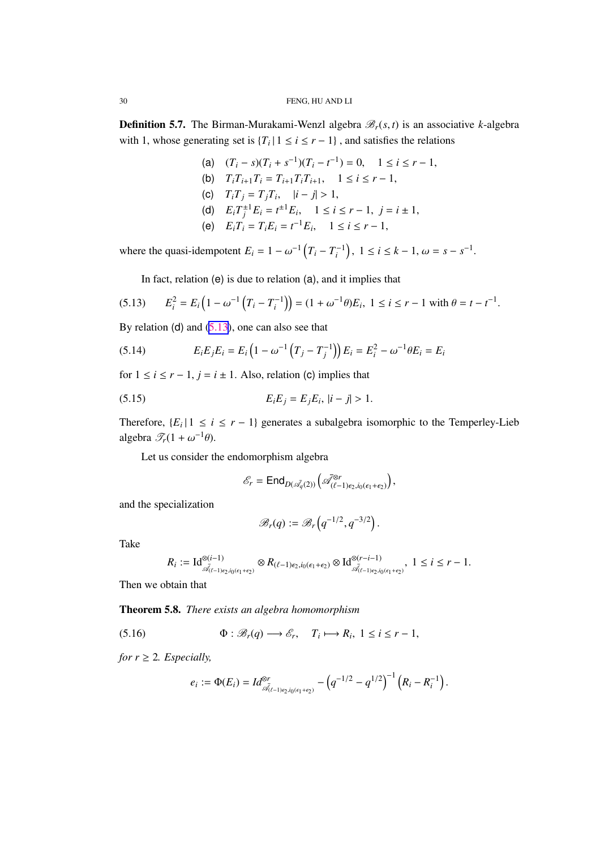<span id="page-29-0"></span>**Definition 5.7.** The Birman-Murakami-Wenzl algebra  $\mathcal{B}_r(s, t)$  is an associative *k*-algebra with 1, whose generating set is  ${T_i | 1 \le i \le r - 1}$ , and satisfies the relations

- (a)  $(T_i s)(T_i + s^{-1})(T_i t^{-1}) = 0, \quad 1 \le i \le r 1,$ (b)  $T_i T_{i+1} T_i = T_{i+1} T_i T_{i+1}, \quad 1 \le i \le r-1,$
- (c)  $T_i T_j = T_j T_i, \quad |i j| > 1,$
- (d)  $E_i T_j^{\pm 1} E_i = t^{\pm 1} E_i, \quad 1 \le i \le r 1, \ j = i \pm 1,$
- (e)  $E_i T_i = T_i E_i = t^{-1} E_i, \quad 1 \le i \le r 1,$

where the quasi-idempotent  $E_i = 1 - \omega^{-1} (T_i - T_i^{-1})$ ,  $1 \le i \le k - 1$ ,  $\omega = s - s^{-1}$ .

In fact, relation (e) is due to relation (a), and it implies that

$$
(5.13) \qquad E_i^2 = E_i \left( 1 - \omega^{-1} \left( T_i - T_i^{-1} \right) \right) = (1 + \omega^{-1} \theta) E_i, \ 1 \le i \le r - 1 \text{ with } \theta = t - t^{-1}.
$$

By relation (d) and  $(5.13)$ , one can also see that

(5.14) 
$$
E_i E_j E_i = E_i \left( 1 - \omega^{-1} \left( T_j - T_j^{-1} \right) \right) E_i = E_i^2 - \omega^{-1} \theta E_i = E_i
$$

for  $1 \le i \le r - 1$ ,  $j = i \pm 1$ . Also, relation (c) implies that

(5.15) 
$$
E_i E_j = E_j E_i, |i - j| > 1.
$$

Therefore,  $\{E_i | 1 \le i \le r - 1\}$  generates a subalgebra isomorphic to the Temperley-Lieb algebra  $\mathscr{T}_r(1 + \omega^{-1}\theta)$ .

Let us consider the endomorphism algebra

$$
\mathscr{E}_r = \text{End}_{D(\bar{\mathscr{A}_q}(2))}\left(\bar{\mathscr{A}}_{(\ell-1)\epsilon_2, i_0(\epsilon_1+\epsilon_2)}^{\otimes r}\right),\,
$$

and the specialization

$$
\mathscr{B}_r(q) := \mathscr{B}_r\left(q^{-1/2}, q^{-3/2}\right).
$$

Take

$$
R_i := \mathrm{Id}_{\overline{\mathcal{A}}_{(\ell-1)\epsilon_2, i_0(\epsilon_1+\epsilon_2)}}^{\otimes (i-1)} \otimes R_{(\ell-1)\epsilon_2, i_0(\epsilon_1+\epsilon_2)} \otimes \mathrm{Id}_{\overline{\mathcal{A}}_{(\ell-1)\epsilon_2, i_0(\epsilon_1+\epsilon_2)}}^{\otimes (r-i-1)}, 1 \le i \le r-1.
$$

Then we obtain that

Theorem 5.8. *There exists an algebra homomorphism*

(5.16) 
$$
\Phi : \mathscr{B}_r(q) \longrightarrow \mathscr{E}_r, \quad T_i \longmapsto R_i, \ 1 \leq i \leq r-1,
$$

*for*  $r \geq 2$ *. Especially,* 

$$
e_i := \Phi(E_i) = Id_{\overline{\mathcal{A}}_{(t-1)\epsilon_2, i_0(\epsilon_1+\epsilon_2)}}^{\otimes r} - \left(q^{-1/2} - q^{1/2}\right)^{-1} \left(R_i - R_i^{-1}\right).
$$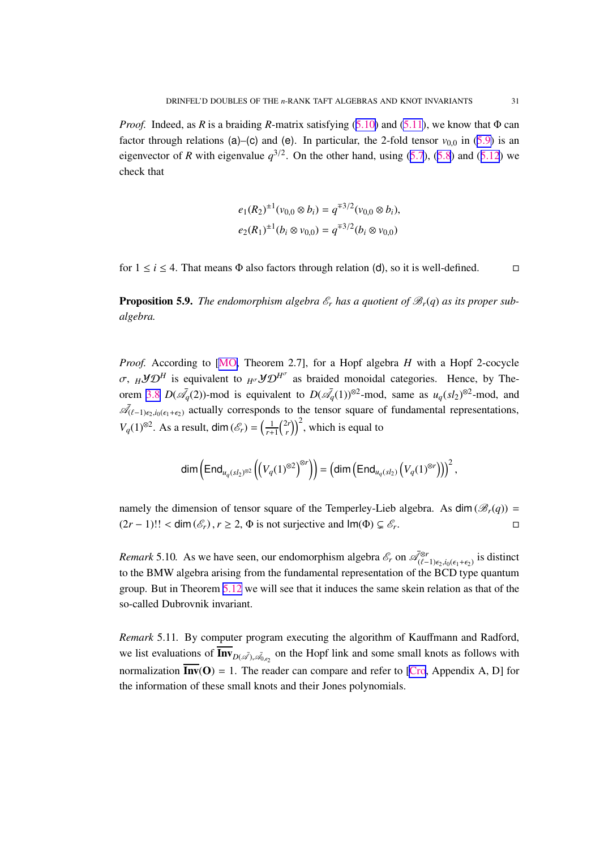<span id="page-30-0"></span>*Proof.* Indeed, as *R* is a braiding *R*-matrix satisfying ([5.10\)](#page-28-0) and [\(5.11](#page-28-0)), we know that Φ can factor through relations (a)–(c) and (e). In particular, the 2-fold tensor  $v_{0,0}$  in [\(5.9\)](#page-28-0) is an eigenvector of *R* with eigenvalue  $q^{3/2}$ . On the other hand, using ([5.7](#page-27-0)), ([5.8](#page-27-0)) and ([5.12](#page-28-0)) we check that

$$
e_1(R_2)^{\pm 1}(v_{0,0}\otimes b_i) = q^{\mp 3/2}(v_{0,0}\otimes b_i),
$$
  

$$
e_2(R_1)^{\pm 1}(b_i\otimes v_{0,0}) = q^{\mp 3/2}(b_i\otimes v_{0,0})
$$

for  $1 \le i \le 4$ . That means  $\Phi$  also factors through relation (d), so it is well-defined.  $\Box$ 

**Proposition 5.9.** The endomorphism algebra  $\mathcal{E}_r$  has a quotient of  $\mathcal{B}_r(q)$  as its proper sub*algebra.*

*Proof.* According to [\[MO,](#page-33-0) Theorem 2.7], for a Hopf algebra *H* with a Hopf 2-cocycle σ,  $_H$ *y* $\mathcal{D}^H$  is equivalent to  $_{H^{\sigma}}$ *y* $\mathcal{D}^{H^{\sigma}}$  as braided monoidal categories. Hence, by The-orem [3.8](#page-12-0)  $D(\bar{\mathcal{A}}_q(2))$ -mod is equivalent to  $D(\bar{\mathcal{A}}_q(1))$ <sup>⊗2</sup>-mod, same as  $u_q(sl_2)^{\otimes 2}$ -mod, and  $\mathcal{\vec{A}}_{(\ell-1)\epsilon_2,i_0(\epsilon_1+\epsilon_2)}$  actually corresponds to the tensor square of fundamental representations,  $V_q(1)^{\otimes 2}$ . As a result, dim  $(\mathscr{E}_r) = \left(\frac{1}{r+1}\right)^{2r}$  $\binom{2r}{r}$ <sup>2</sup>, which is equal to

$$
\dim\left(\text{End}_{u_q(sl_2)^{\otimes 2}}\left(\left(V_q(1)^{\otimes 2}\right)^{\otimes r}\right)\right)=\left(\dim\left(\text{End}_{u_q(sl_2)}\left(V_q(1)^{\otimes r}\right)\right)\right)^2,
$$

namely the dimension of tensor square of the Temperley-Lieb algebra. As dim ( $\mathcal{B}_r(q)$ ) =  $(2r - 1)!! <$  dim  $(\mathscr{E}_r)$ ,  $r \geq 2$ ,  $\Phi$  is not surjective and  $\text{Im}(\Phi) \subsetneq \mathscr{E}_r$ . . В последните последните и производите в село в село в село в село в село в село в село в село в село в село <br>В село в село в село в село в село в село в село в село в село в село в село в село в село в село в село в се<br>

*Remark* 5.10. As we have seen, our endomorphism algebra  $\mathcal{E}_r$  on  $\mathcal{A}_{(\ell-1)e_2,i_0(\epsilon_1+\epsilon_2)}^{g_r}$  is distinct to the BMW algebra arising from the fundamental representation of the BCD type quantum group. But in Theorem [5.12](#page-31-0) we will see that it induces the same skein relation as that of the so-called Dubrovnik invariant.

*Remark* 5.11*.* By computer program executing the algorithm of Kauffmann and Radford, we list evaluations of  $\text{Inv}_{D(\mathcal{A}), \mathcal{A}_{0, \epsilon_2}}$  on the Hopf link and some small knots as follows with normalization  $\overline{\text{Inv}}(O) = 1$ . The reader can compare and refer to [\[Cro](#page-32-0), Appendix A, D] for the information of these small knots and their Jones polynomials.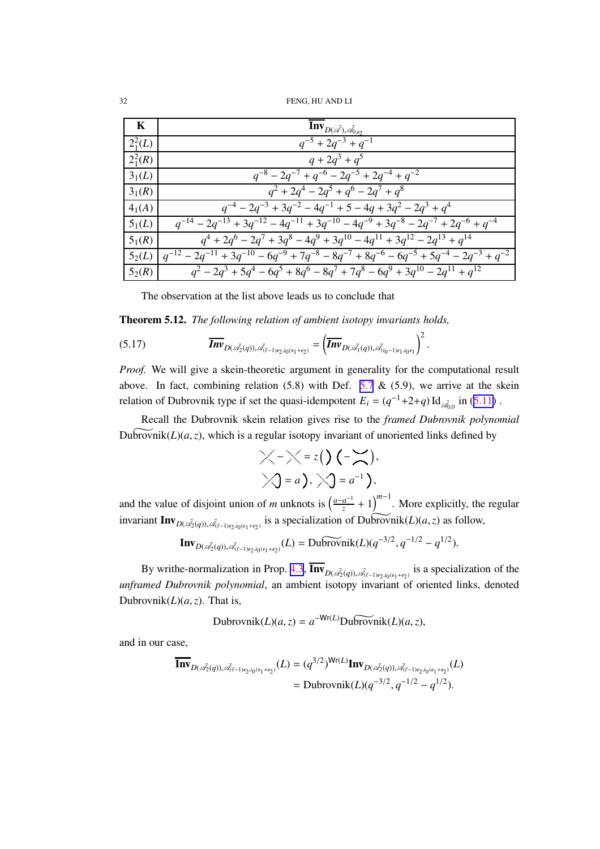<span id="page-31-0"></span><sup>32</sup> FENG, HU AND LI

| $\mathbf K$        | $\textbf{Inv}_{D(\vec{\mathcal{A}}), \vec{\mathcal{A}}_{0,\epsilon_2}}$                                        |
|--------------------|----------------------------------------------------------------------------------------------------------------|
| $2^2_1(L)$         | $q^{-5} + 2q^{-3} + q^{-1}$                                                                                    |
| $2^2_1(R)$         | $q + 2q^3 + q^5$                                                                                               |
| 3 <sub>1</sub> (L) | $q^{-8}$ – 2 $q^{-7}$ + $q^{-6}$ – 2 $q^{-5}$ + 2 $q^{-4}$ + $q^{-2}$                                          |
| $3_1(R)$           | $q^{2} + 2q^{4} - 2q^{5} + q^{6} - 2q^{7} + q^{8}$                                                             |
| $4_1(A)$           | $q^{-4} - 2q^{-3} + 3q^{-2} - 4q^{-1} + 5 - 4q + 3q^{2} - 2q^{3} + q^{4}$                                      |
| 5 <sub>1</sub> (L) | $q^{-14} - 2q^{-13} + 3q^{-12} - 4q^{-11} + 3q^{-10} - 4q^{-9} + 3q^{-8} - 2q^{-7} + 2q^{-6} + q^{-4}$         |
| $5_1(R)$           | $\sqrt{q^4 + 2q^6 - 2q^7 + 3q^8 - 4q^9 + 3q^{10} - 4q^{11} + 3q^{12} - 2q^{13} + q^{14}}$                      |
| 5 <sub>2</sub> (L) | $q^{-12} - 2q^{-11} + 3q^{-10} - 6q^{-9} + 7q^{-8} - 8q^{-7} + 8q^{-6} - 6q^{-5} + 5q^{-4} - 2q^{-3} + q^{-2}$ |
| $5_2(R)$           | $q^{2}-2q^{3}+5q^{4}-6q^{5}+8q^{6}-8q^{7}+7q^{8}-6q^{9}+3q^{10}-2q^{11}+q^{12}$                                |

The observation at the list above leads us to conclude that

Theorem 5.12. *The following relation of ambient isotopy invariants holds,*

(5.17) *InvD*(A¯ <sup>2</sup>(*q*)),A¯ (ℓ−1)ǫ2 ,*i*0 (ǫ1 +ǫ2 ) = *InvD*(A¯ <sup>1</sup>(*q*)),A¯ (*i*0 −1)ǫ1 ,*i*0 ǫ1 2 .

*Proof.* We will give a skein-theoretic argument in generality for the computational result above. In fact, combining relation  $(5.8)$  with Def.  $5.7 \& (5.9)$  $5.7 \& (5.9)$ , we arrive at the skein relation of Dubrovnik type if set the quasi-idempotent  $E_i = (q^{-1}+2+q) \, \text{Id}_{\bar{A}_{0,0}}$  in ([5.11\)](#page-28-0).

Recall the Dubrovnik skein relation gives rise to the *framed Dubrovnik polynomial* Dubrovnik $(L)(a, z)$ , which is a regular isotopy invariant of unoriented links defined by

$$
\times \times = z() (-\times),
$$
  

$$
\times] = a), \times] = a^{-1}),
$$

and the value of disjoint union of *m* unknots is  $\left(\frac{a-a^{-1}}{a}\right)$  $\left(\frac{a^{-1}}{z} + 1\right)^{m-1}$ . More explicitly, the regular invariant  $\text{Inv}_{D(\overrightarrow{A_2}(q)), \overrightarrow{A_{(\ell-1)\epsilon_2, i_0(\epsilon_1+\epsilon_2)}}}$  is a specialization of  $\text{Downik}(L)(a, z)$  as follow,

$$
\mathbf{Inv}_{D(\vec{\mathscr{A}}_2(q)),\vec{\mathscr{A}}_{(\ell-1)\epsilon_2,i_0(\epsilon_1+\epsilon_2)}}(L) = \text{Dubrovnik}(L)(q^{-3/2}, q^{-1/2} - q^{1/2}).
$$

By writhe-normalization in Prop. [4.3](#page-18-0),  $\text{Inv}_{D(\mathscr{A}_2(q)), \mathscr{A}_{(\ell-1)\epsilon_2, i_0(\epsilon_1+\epsilon_2)}}$  is a specialization of the *unframed Dubrovnik polynomial*, an ambient isotopy invariant of oriented links, denoted Dubrovnik $(L)(a, z)$ . That is,

$$
Subrovnik(L)(a, z) = a^{-Wr(L)}Du\widetilde{brovnik}(L)(a, z),
$$

and in our case,

$$
\overline{\mathbf{Inv}}_{D(\vec{\mathscr{A}}_2(q)),\vec{\mathscr{A}}_{(\ell-1)\epsilon_2,i_0(\epsilon_1+\epsilon_2)}}(L) = (q^{3/2})^{\mathsf{Wr}(L)} \mathbf{Inv}_{D(\vec{\mathscr{A}}_2(q)),\vec{\mathscr{A}}_{(\ell-1)\epsilon_2,i_0(\epsilon_1+\epsilon_2)}}(L) \\ = \text{Dubrovnik}(L)(q^{-3/2}, q^{-1/2} - q^{1/2}).
$$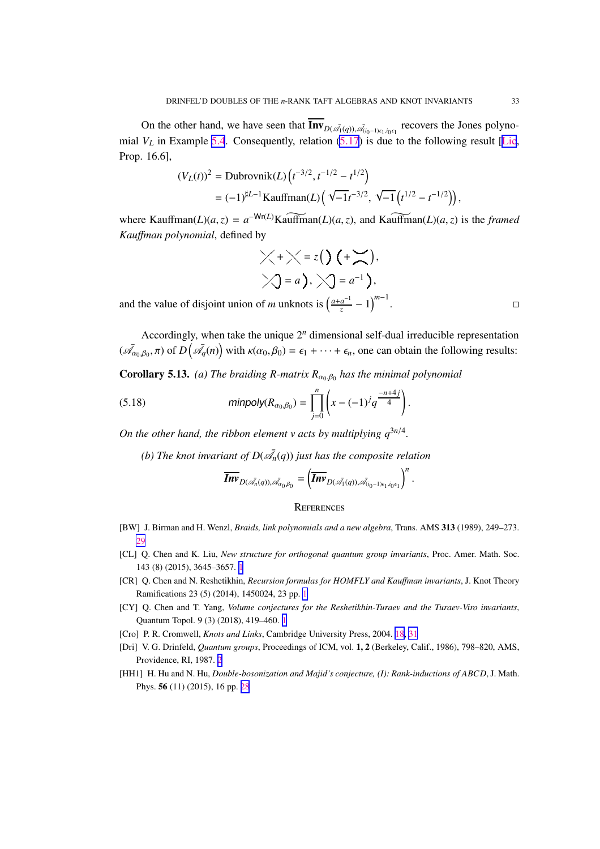<span id="page-32-0"></span>On the other hand, we have seen that  $\text{Inv}_{D(\mathscr{A}_1(q)), \mathscr{A}_{(i_0-1)\epsilon_1, i_0\epsilon_1}}$  recovers the Jones polynomial  $V_L$  in Example [5.4](#page-23-0). Consequently, relation  $(5.17)$  $(5.17)$  is due to the following result [[Lic](#page-33-0), Prop. 16.6],

$$
(V_L(t))^2 = \text{Dubrovnik}(L) \left( t^{-3/2}, t^{-1/2} - t^{1/2} \right)
$$
  
=  $(-1)^{\sharp L-1} \text{Kaufman}(L) \left( \sqrt{-1} t^{-3/2}, \sqrt{-1} \left( t^{1/2} - t^{-1/2} \right) \right),$ 

where Kauffman(*L*)(*a*,*z*) =  $a^{-Wr(L)}$ Kauffman(*L*)(*a*,*z*), and Kauffman(*L*)(*a*,*z*) is the *framed Kau*ff*man polynomial*, defined by

$$
\times + \times = z() (+ \times).
$$
  

$$
\times -a), \times -a^{-1}),
$$

and the value of disjoint union of *m* unknots is  $\left(\frac{a+a^{-1}}{z}\right)$  $\frac{a^{-1}}{z} - 1$ <sup>m-1</sup>

Accordingly, when take the unique  $2^n$  dimensional self-dual irreducible representation  $(\bar{\mathcal{A}}_{\alpha_0,\beta_0},\pi)$  of  $D(\bar{\mathcal{A}}_q(n))$  with  $\kappa(\alpha_0,\beta_0)=\epsilon_1+\cdots+\epsilon_n$ , one can obtain the following results:

.

**Corollary 5.13.** (a) The braiding R-matrix  $R_{\alpha_0,\beta_0}$  has the minimal polynomial

(5.18) 
$$
\text{minpoly}(R_{\alpha_0,\beta_0}) = \prod_{j=0}^n \left( x - (-1)^j q^{\frac{-n+4j}{4}} \right)
$$

*On the other hand, the ribbon element v acts by multiplying*  $q^{3n/4}$ *.* 

(b) The knot invariant of  $D(\bar{\mathscr{A}}_n(q))$  just has the composite relation

$$
\overline{\textit{Inv}}_{D(\bar{\mathscr{A}_n}(q)),\bar{\mathscr{A}}_{\alpha_0\beta_0}}=\left(\overline{\textit{Inv}}_{D(\bar{\mathscr{A}_1}(q)),\bar{\mathscr{A}}_{(i_0-1)\epsilon_1,i_0\epsilon_1}}\right)^n.
$$

#### **REFERENCES**

- [BW] J. Birman and H. Wenzl, *Braids, link polynomials and a new algebra*, Trans. AMS 313 (1989), 249–273. [29](#page-28-0)
- [CL] Q. Chen and K. Liu, *New structure for orthogonal quantum group invariants*, Proc. Amer. Math. Soc. 143 (8) (2015), 3645–3657. [1](#page-0-0)
- [CR] Q. Chen and N. Reshetikhin, *Recursion formulas for HOMFLY and Kau*ff*man invariants*, J. Knot Theory Ramifications 23 (5) (2014), 1450024, 23 pp. [1](#page-0-0)
- [CY] Q. Chen and T. Yang, *Volume conjectures for the Reshetikhin-Turaev and the Turaev-Viro invariants*, Quantum Topol. 9 (3) (2018), 419–460. [1](#page-0-0)
- [Cro] P. R. Cromwell, *Knots and Links*, Cambridge University Press, 2004. [18,](#page-17-0) [31](#page-30-0)
- [Dri] V. G. Drinfeld, *Quantum groups*, Proceedings of ICM, vol. 1, 2 (Berkeley, Calif., 1986), 798–820, AMS, Providence, RI, 1987. [2](#page-1-0)
- [HH1] H. Hu and N. Hu, *Double-bosonization and Majid's conjecture, (I): Rank-inductions of ABCD*, J. Math. Phys. 56 (11) (2015), 16 pp. [28](#page-27-0)

. В последните последните село в последните село в село в село в село в село в село в село в село в село в сел<br>В село в село в село в село в село в село в село в село в село в село в село в село в село в село в село в се<br>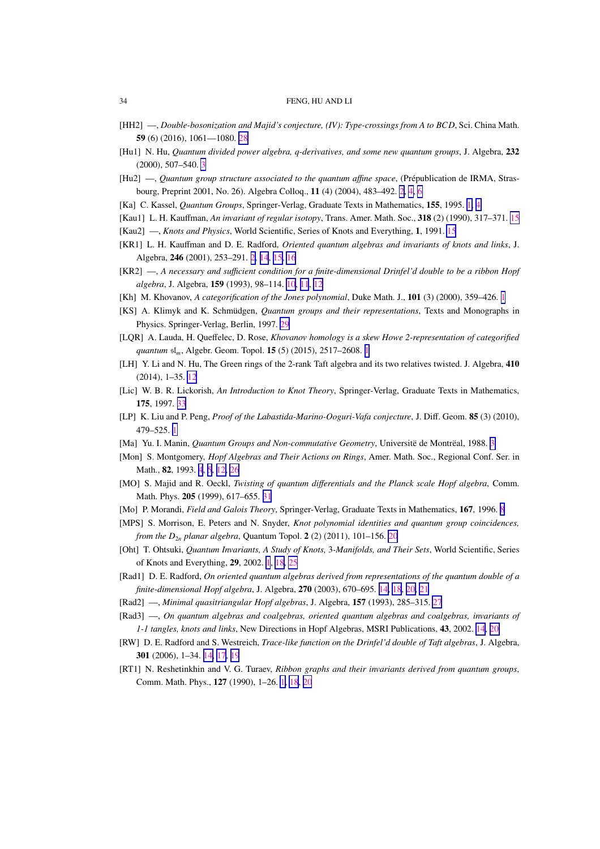- [HH2] —, *Double-bosonization and Majid's conjecture, (IV): Type-crossings from A to BCD*, Sci. China Math. 59 (6) (2016), 1061—1080. [28](#page-27-0)
- [Hu1] N. Hu, *Quantum divided power algebra, q-derivatives, and some new quantum groups*, J. Algebra, 232 (2000), 507–540. [3](#page-2-0)
- [Hu2] —, *Quantum group structure associated to the quantum affine space*, (Prépublication de IRMA, Strasbourg, Preprint 2001, No. 26). Algebra Colloq., 11 (4) (2004), 483–492. [2,](#page-1-0) [4,](#page-3-0) [6](#page-5-0)
- [Ka] C. Kassel, *Quantum Groups*, Springer-Verlag, Graduate Texts in Mathematics, 155, 1995. [1,](#page-0-0) [4](#page-3-0)
- [Kau1] L. H. Kauffman, *An invariant of regular isotopy*, Trans. Amer. Math. Soc., 318 (2) (1990), 317–371. [15](#page-14-0)
- [Kau2] —, *Knots and Physics*, World Scientific, Series of Knots and Everything, 1, 1991. [15](#page-14-0)
- [KR1] L. H. Kauffman and D. E. Radford, *Oriented quantum algebras and invariants of knots and links*, J. Algebra, 246 (2001), 253–291. [2,](#page-1-0) [14](#page-13-0), [15,](#page-14-0) [16](#page-15-0)
- [KR2] —, *A necessary and su*ffi*cient condition for a finite-dimensional Drinfel'd double to be a ribbon Hopf algebra*, J. Algebra, 159 (1993), 98–114. [10](#page-9-0), [11](#page-10-0), [12](#page-11-0)
- [Kh] M. Khovanov, *A categorification of the Jones polynomial*, Duke Math. J., 101 (3) (2000), 359–426. [1](#page-0-0)
- [KS] A. Klimyk and K. Schmüdgen, *Quantum groups and their representations*, Texts and Monographs in Physics. Springer-Verlag, Berlin, 1997. [29](#page-28-0)
- [LQR] A. Lauda, H. Queffelec, D. Rose, *Khovanov homology is a skew Howe 2-representation of categorified quantum* sl*m*, Algebr. Geom. Topol. 15 (5) (2015), 2517–2608. [1](#page-0-0)
- [LH] Y. Li and N. Hu, The Green rings of the 2-rank Taft algebra and its two relatives twisted. J. Algebra, 410 (2014), 1–35. [12](#page-11-0)
- [Lic] W. B. R. Lickorish, *An Introduction to Knot Theory*, Springer-Verlag, Graduate Texts in Mathematics, 175, 1997. [33](#page-32-0)
- [LP] K. Liu and P. Peng, *Proof of the Labastida-Marino-Ooguri-Vafa conjecture*, J. Diff. Geom. 85 (3) (2010), 479–525. [1](#page-0-0)
- [Ma] Yu. I. Manin, *Quantum Groups and Non-commutative Geometry*, Universitë de Montrëal, 1988. [3](#page-2-0)
- [Mon] S. Montgomery, *Hopf Algebras and Their Actions on Rings*, Amer. Math. Soc., Regional Conf. Ser. in Math., 82, 1993. [4](#page-3-0), [5](#page-4-0), [12,](#page-11-0) [26](#page-25-0)
- [MO] S. Majid and R. Oeckl, *Twisting of quantum di*ff*erentials and the Planck scale Hopf algebra*, Comm. Math. Phys. 205 (1999), 617–655. [31](#page-30-0)
- [Mo] P. Morandi, *Field and Galois Theory*, Springer-Verlag, Graduate Texts in Mathematics, 167, 1996. [8](#page-7-0)
- [MPS] S. Morrison, E. Peters and N. Snyder, *Knot polynomial identities and quantum group coincidences, from the*  $D_{2n}$  *planar algebra*, Quantum Topol. 2 (2) ([20](#page-19-0)11), 101–156. 20
- [Oht] T. Ohtsuki, *Quantum Invariants, A Study of Knots,* 3*-Manifolds, and Their Sets*, World Scientific, Series of Knots and Everything, 29, 2002. [1](#page-0-0), [18,](#page-17-0) [25](#page-24-0)
- [Rad1] D. E. Radford, *On oriented quantum algebras derived from representations of the quantum double of a finite-dimensional Hopf algebra*, J. Algebra, 270 (2003), 670–695. [14,](#page-13-0) [18](#page-17-0), [20,](#page-19-0) [21](#page-20-0)
- [Rad2] —, *Minimal quasitriangular Hopf algebras*, J. Algebra, 157 (1993), 285–315. [27](#page-26-0)
- [Rad3] —, *On quantum algebras and coalgebras, oriented quantum algebras and coalgebras, invariants of 1-1 tangles, knots and links*, New Directions in Hopf Algebras, MSRI Publications, 43, 2002. [14](#page-13-0), [20](#page-19-0)
- [RW] D. E. Radford and S. Westreich, *Trace-like function on the Drinfel'd double of Taft algebras*, J. Algebra, 301 (2006), 1–34. [14,](#page-13-0) [17](#page-16-0), [19](#page-18-0)
- [RT1] N. Reshetinkhin and V. G. Turaev, *Ribbon graphs and their invariants derived from quantum groups*, Comm. Math. Phys., 127 (1990), 1–26. [1,](#page-0-0) [18](#page-17-0), [20](#page-19-0)

<span id="page-33-0"></span>